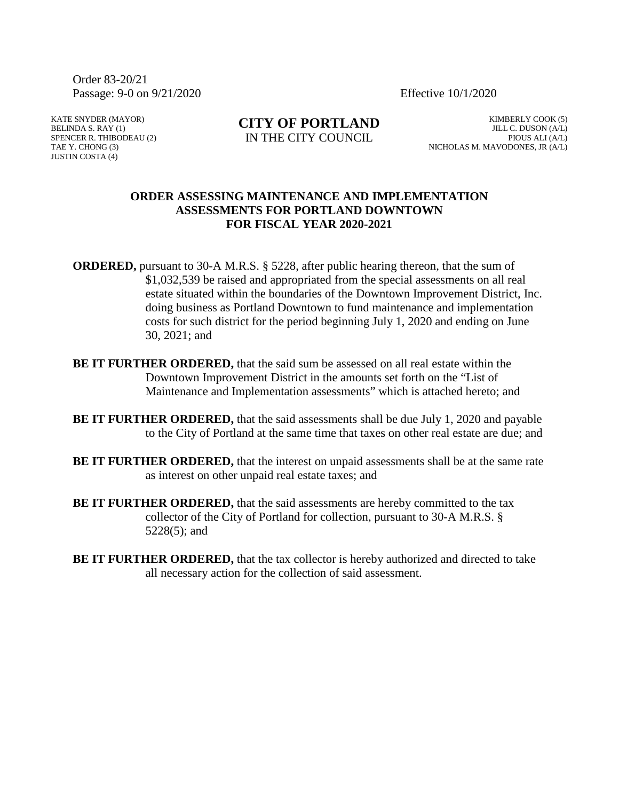Order 83-20/21 Passage: 9-0 on 9/21/2020 Effective 10/1/2020

KATE SNYDER (MAYOR) BELINDA S. RAY (1) SPENCER R. THIBODEAU (2) TAE Y. CHONG (3) JUSTIN COSTA (4)

**CITY OF PORTLAND** IN THE CITY COUNCIL

KIMBERLY COOK (5) JILL C. DUSON (A/L) PIOUS ALI (A/L) NICHOLAS M. MAVODONES, JR (A/L)

## **ORDER ASSESSING MAINTENANCE AND IMPLEMENTATION ASSESSMENTS FOR PORTLAND DOWNTOWN FOR FISCAL YEAR 2020-2021**

**ORDERED,** pursuant to 30-A M.R.S. § 5228, after public hearing thereon, that the sum of \$1,032,539 be raised and appropriated from the special assessments on all real estate situated within the boundaries of the Downtown Improvement District, Inc. doing business as Portland Downtown to fund maintenance and implementation costs for such district for the period beginning July 1, 2020 and ending on June 30, 2021; and

- **BE IT FURTHER ORDERED,** that the said sum be assessed on all real estate within the Downtown Improvement District in the amounts set forth on the "List of Maintenance and Implementation assessments" which is attached hereto; and
- **BE IT FURTHER ORDERED,** that the said assessments shall be due July 1, 2020 and payable to the City of Portland at the same time that taxes on other real estate are due; and
- **BE IT FURTHER ORDERED,** that the interest on unpaid assessments shall be at the same rate as interest on other unpaid real estate taxes; and
- **BE IT FURTHER ORDERED,** that the said assessments are hereby committed to the tax collector of the City of Portland for collection, pursuant to 30-A M.R.S. § 5228(5); and
- **BE IT FURTHER ORDERED, that the tax collector is hereby authorized and directed to take** all necessary action for the collection of said assessment.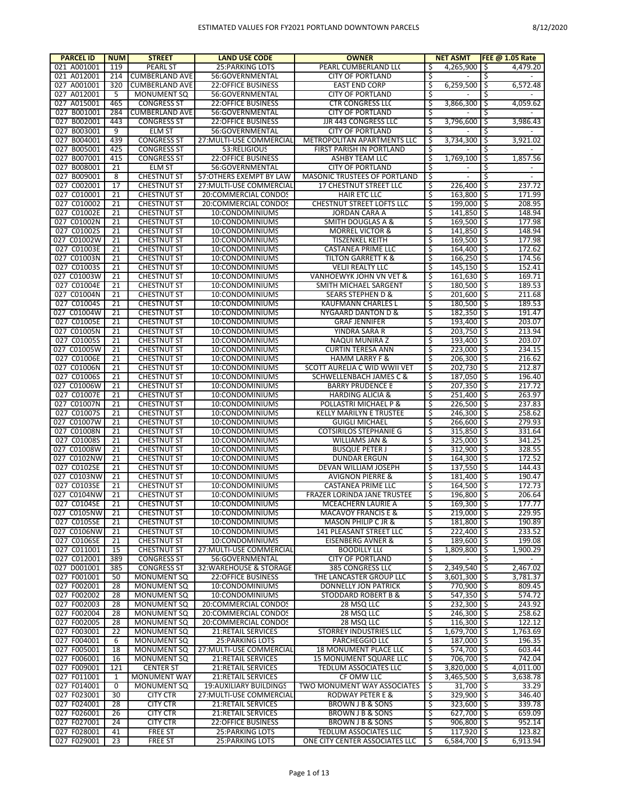| <b>PARCEL ID</b>           | <b>NUM</b>  | <b>STREET</b>                            | <b>LAND USE CODE</b>                           | <b>OWNER</b>                              |          | <b>NET ASMT</b>                  | FEE $@1.05$ Rate       |
|----------------------------|-------------|------------------------------------------|------------------------------------------------|-------------------------------------------|----------|----------------------------------|------------------------|
| 021 A001001                | 119         | <b>PEARL ST</b>                          | <b>25:PARKING LOTS</b>                         | PEARL CUMBERLAND LLC                      | S        | $4,265,900$   \$                 | 4,479.20               |
| 021 A012001                | 214         | <b>CUMBERLAND AVE</b>                    | 56:GOVERNMENTAL                                | <b>CITY OF PORTLAND</b>                   | \$       |                                  | Ş                      |
| 027 A001001                | 320         | <b>CUMBERLAND AVE</b>                    | <b>22:OFFICE BUSINESS</b>                      | <b>EAST END CORP</b>                      | \$       | $6,259,500$ \$                   | 6,572.48               |
| 027 A012001                | 5           | <b>MONUMENT SQ</b>                       | 56:GOVERNMENTAL                                | <b>CITY OF PORTLAND</b>                   | \$       |                                  | \$                     |
| 027 A015001                | 465         | <b>CONGRESS ST</b>                       | <b>22:OFFICE BUSINESS</b>                      | <b>CTR CONGRESS LLC</b>                   | \$       | 3,866,300 \$                     | 4,059.62               |
| 027 B001001                | 284         | <b>CUMBERLAND AVE</b>                    | 56:GOVERNMENTAL                                | <b>CITY OF PORTLAND</b>                   | \$       |                                  | \$                     |
| 027 B002001                | 443         | <b>CONGRESS ST</b>                       | <b>22:OFFICE BUSINESS</b>                      | JJR 443 CONGRESS LLC                      | \$       | $3,796,600$ \$                   | 3,986.43               |
| 027 B003001                | 9           | <b>ELM ST</b>                            | 56:GOVERNMENTAL                                | <b>CITY OF PORTLAND</b>                   | \$       |                                  | \$                     |
| 027 B004001                | 439         | <b>CONGRESS ST</b>                       | 27: MULTI-USE COMMERCIAL                       | METROPOLITAN APARTMENTS LLC               | Ŝ        | 3,734,300 \$                     | 3,921.02               |
| 027 B005001                | 425         | <b>CONGRESS ST</b>                       | 53:RELIGIOUS                                   | FIRST PARISH IN PORTLAND                  | \$       |                                  | \$                     |
| 027 B007001                | 415<br>21   | <b>CONGRESS ST</b>                       | <b>22:OFFICE BUSINESS</b>                      | ASHBY TEAM LLC<br><b>CITY OF PORTLAND</b> | \$       | 1,769,100 \$<br>$\blacksquare$   | 1,857.56               |
| 027 B008001<br>027 B009001 | 8           | <b>ELM ST</b><br><b>CHESTNUT ST</b>      | 56:GOVERNMENTAL<br>57:OTHERS EXEMPT BY LAW     | <b>MASONIC TRUSTEES OF PORTLAND</b>       | \$<br>Ś  | $\blacksquare$                   | \$<br>Ŝ                |
| 027 C002001                | 17          | <b>CHESTNUT ST</b>                       | 27: MULTI-USE COMMERCIAL                       | 17 CHESTNUT STREET LLC                    | \$       | $226,400$ \$                     | 237.72                 |
| 027 C010001                | 21          | <b>CHESTNUT ST</b>                       | 20:COMMERCIAL CONDOS                           | <b>HAIR ETC LLC</b>                       | \$       | $163,800$ \$                     | 171.99                 |
| 027 C010002                | 21          | <b>CHESTNUT ST</b>                       | 20:COMMERCIAL CONDOS                           | CHESTNUT STREET LOFTS LLC                 | \$       | 199,000 \$                       | 208.95                 |
| 027 C01002E                | 21          | <b>CHESTNUT ST</b>                       | 10:CONDOMINIUMS                                | <b>JORDAN CARA A</b>                      | \$       | $141,850$ \$                     | 148.94                 |
| 027 C01002N                | 21          | <b>CHESTNUT ST</b>                       | 10:CONDOMINIUMS                                | <b>SMITH DOUGLAS A &amp;</b>              | \$       | $169,500$ \$                     | 177.98                 |
| 027 C01002S                | 21          | <b>CHESTNUT ST</b>                       | 10:CONDOMINIUMS                                | <b>MORREL VICTOR &amp;</b>                | \$       | $141,850$ \$                     | 148.94                 |
| 027 C01002W                | 21          | <b>CHESTNUT ST</b>                       | 10:CONDOMINIUMS                                | TISZENKEL KEITH                           | \$       | $169,500$ \$                     | 177.98                 |
| 027 C01003E                | 21          | <b>CHESTNUT ST</b>                       | 10:CONDOMINIUMS                                | <b>CASTANEA PRIME LLC</b>                 | \$       | 164,400 \$                       | 172.62                 |
| 027 C01003N                | 21          | <b>CHESTNUT ST</b>                       | 10:CONDOMINIUMS                                | TILTON GARRETT K &                        | \$       | $166,250$ \$                     | 174.56                 |
| 027 C01003S                | 21          | <b>CHESTNUT ST</b>                       | 10:CONDOMINIUMS                                | <b>VELJI REALTY LLC</b>                   | \$       | $145,150$   \$                   | 152.41                 |
| 027 C01003W                | 21          | <b>CHESTNUT ST</b>                       | 10:CONDOMINIUMS                                | VANHOEWYK JOHN VN VET &                   | \$       | $161,630$ \$                     | 169.71                 |
| 027 C01004E                | 21          | <b>CHESTNUT ST</b>                       | 10:CONDOMINIUMS                                | SMITH MICHAEL SARGENT                     | \$       | $180,500$   \$                   | 189.53                 |
| 027 C01004N                | 21          | <b>CHESTNUT ST</b>                       | 10:CONDOMINIUMS                                | <b>SEARS STEPHEN D &amp;</b>              | \$       | $201,600$ \$                     | 211.68                 |
| 027 C01004S                | 21          | <b>CHESTNUT ST</b>                       | 10:CONDOMINIUMS                                | KAUFMANN CHARLES L                        | \$       | $180,500$   \$                   | 189.53                 |
| 027 C01004W                | 21          | <b>CHESTNUT ST</b>                       | 10:CONDOMINIUMS                                | NYGAARD DANTON D &                        | \$       | $182,350$ \$                     | 191.47                 |
| 027 C01005E                | 21          | <b>CHESTNUT ST</b>                       | 10:CONDOMINIUMS                                | <b>GRAF JENNIFER</b>                      | \$       | $193,400$ \$                     | 203.07                 |
| 027 C01005N                | 21          | <b>CHESTNUT ST</b>                       | 10:CONDOMINIUMS                                | YINDRA SARA R                             | \$       | $203,750$ \$                     | 213.94                 |
| 027 C01005S                | 21          | <b>CHESTNUT ST</b>                       | 10:CONDOMINIUMS                                | NAQUI MUNIRA Z                            | Ś        | $193,400$ \$                     | 203.07                 |
| 027 C01005W                | 21          | <b>CHESTNUT ST</b>                       | 10:CONDOMINIUMS                                | <b>CURTIN TERESA ANN</b>                  | \$       | $223,000$   \$                   | 234.15                 |
| 027 C01006E                | 21          | <b>CHESTNUT ST</b>                       | 10:CONDOMINIUMS                                | <b>HAMM LARRY F &amp;</b>                 | \$       | $206,300$ \$                     | 216.62                 |
| 027 C01006N                | 21          | <b>CHESTNUT ST</b>                       | 10:CONDOMINIUMS                                | SCOTT AURELIA C WID WWII VET              | \$       | $202,730$ \$                     | 212.87                 |
| 027 C01006S                | 21          | <b>CHESTNUT ST</b>                       | 10:CONDOMINIUMS                                | <b>SCHWELLENBACH JAMES C &amp;</b>        | Ś        | 187,050 \$                       | 196.40                 |
| 027 C01006W                | 21          | <b>CHESTNUT ST</b>                       | 10:CONDOMINIUMS                                | <b>BARRY PRUDENCE B</b>                   | \$       | $207,350$ \$                     | 217.72                 |
| 027 C01007E                | 21          | <b>CHESTNUT ST</b>                       | 10:CONDOMINIUMS                                | <b>HARDING ALICIA &amp;</b>               | \$       | $251,400$ \$                     | 263.97                 |
| 027 C01007N                | 21          | <b>CHESTNUT ST</b>                       | 10:CONDOMINIUMS                                | POLLASTRI MICHAEL P &                     | \$       | $226,500$ \$                     | 237.83                 |
| 027 C01007S                | 21          | <b>CHESTNUT ST</b>                       | 10:CONDOMINIUMS                                | <b>KELLY MARILYN E TRUSTEE</b>            | \$       | $246,300$ \$                     | 258.62                 |
| 027 C01007W                | 21          | <b>CHESTNUT ST</b>                       | 10:CONDOMINIUMS                                | <b>GUIGLI MICHAEL</b>                     | \$       | $266,600$ \$                     | 279.93                 |
| 027 C01008N                | 21          | <b>CHESTNUT ST</b>                       | 10:CONDOMINIUMS                                | <b>COTSIRILOS STEPHANIE G</b>             | \$       | $315,850$   \$                   | 331.64                 |
| 027 C01008S<br>027 C01008W | 21<br>21    | <b>CHESTNUT ST</b>                       | 10:CONDOMINIUMS<br>10:CONDOMINIUMS             | WILLIAMS JAN &<br><b>BUSQUE PETER J</b>   | \$<br>\$ | $325,000$   \$                   | 341.25<br>328.55       |
| 027 C0102NW                | 21          | <b>CHESTNUT ST</b><br><b>CHESTNUT ST</b> | 10:CONDOMINIUMS                                | <b>DUNDAR ERGUN</b>                       | \$       | $312,900$   \$<br>$164,300$   \$ | 172.52                 |
| 027 C0102SE                | 21          | <b>CHESTNUT ST</b>                       | 10:CONDOMINIUMS                                | DEVAN WILLIAM JOSEPH                      | \$       | $137,550$   \$                   | 144.43                 |
| 027 C0103NW                | 21          | <b>CHESTNUT ST</b>                       | 10:CONDOMINIUMS                                | <b>AVIGNON PIERRE &amp;</b>               | \$       | $181,400$ \$                     | 190.47                 |
| 027 C0103SE                | 21          | <b>CHESTNUT ST</b>                       | 10:CONDOMINIUMS                                | <b>CASTANEA PRIME LLC</b>                 |          | $164,500$ \$                     | 172.73                 |
| 027 C0104NW                | 21          | <b>CHESTNUT ST</b>                       | 10:CONDOMINIUMS                                | FRAZER LORINDA JANE TRUSTEE               | \$       | 196,800 \$                       | 206.64                 |
| 027 C0104SE                | 21          | <b>CHESTNUT ST</b>                       | 10:CONDOMINIUMS                                | MCEACHERN LAURIE A                        |          | $169,300$ \$                     | 177.77                 |
| 027 C0105NW                | 21          | <b>CHESTNUT ST</b>                       | 10:CONDOMINIUMS                                | <b>MACAVOY FRANCIS E &amp;</b>            | \$       | $219,000$ \$                     | 229.95                 |
| 027 C0105SE                | 21          | <b>CHESTNUT ST</b>                       | 10:CONDOMINIUMS                                | MASON PHILIP C JR &                       | \$       | 181,800 \$                       | 190.89                 |
| 027 C0106NW                | 21          | <b>CHESTNUT ST</b>                       | 10:CONDOMINIUMS                                | 141 PLEASANT STREET LLC                   | \$       | $222,400$ \$                     | 233.52                 |
| 027 C0106SE                | 21          | <b>CHESTNUT ST</b>                       | 10:CONDOMINIUMS                                | <b>EISENBERG AVNER &amp;</b>              | \$       | 189,600 \$                       | 199.08                 |
| 027 C011001                | 15          | <b>CHESTNUT ST</b>                       | 27: MULTI-USE COMMERCIAL                       | <b>BOODILLY LL(</b>                       | \$       | $1,809,800$ \$                   | 1,900.29               |
| 027 C012001                | 389         | <b>CONGRESS ST</b>                       | 56:GOVERNMENTAL                                | <b>CITY OF PORTLAND</b>                   | \$       | $\sim$                           | \$ ا<br>$\blacksquare$ |
| 027 D001001                | 385         | <b>CONGRESS ST</b>                       | 32: WAREHOUSE & STORAGE                        | 385 CONGRESS LLC                          | \$       | $2,349,540$ \$                   | 2,467.02               |
| 027 F001001                | 50          | <b>MONUMENT SQ</b>                       | <b>22:OFFICE BUSINESS</b>                      | THE LANCASTER GROUP LLC                   | \$       | $3,601,300$ \$                   | 3,781.37               |
| 027 F002001                | 28          | <b>MONUMENT SQ</b>                       | 10:CONDOMINIUMS                                | DONNELLY JON PATRICK                      | \$       | 770,900 \$                       | 809.45                 |
| 027 F002002                | 28          | <b>MONUMENT SQ</b>                       | 10:CONDOMINIUMS                                | STODDARD ROBERT B &                       | \$       | $547,350$ \$                     | 574.72                 |
| 027 F002003                | 28          | <b>MONUMENT SQ</b>                       | 20:COMMERCIAL CONDOS                           | 28 MSQ LLC                                | \$       | $232,300$ \$                     | 243.92                 |
| 027 F002004                | 28          | <b>MONUMENT SQ</b>                       | 20:COMMERCIAL CONDOS                           | 28 MSQ LLC                                | Ś        | $246,300$ \$                     | 258.62                 |
| 027 F002005                | 28          | <b>MONUMENT SQ</b>                       | 20:COMMERCIAL CONDOS                           | 28 MSQ LLC                                | \$       | $116,300$ \$                     | 122.12                 |
| 027 F003001                | 22          | <b>MONUMENT SQ</b>                       | 21:RETAIL SERVICES                             | STORREY INDUSTRIES LLC                    | \$       | 1,679,700 \$                     | 1,763.69               |
| 027 F004001                | 6           | <b>MONUMENT SQ</b>                       | 25: PARKING LOTS                               | PARCHEGGIO LLC                            | \$       | 187,000 \$                       | 196.35                 |
| 027 F005001                | 18          | MONUMENT SQ                              | 27: MULTI-USE COMMERCIAL                       | 18 MONUMENT PLACE LLC                     | Ś        | 574,700 \$                       | 603.44                 |
| 027 F006001                | 16          | <b>MONUMENT SQ</b>                       | 21: RETAIL SERVICES                            | <b>15 MONUMENT SQUARE LLC</b>             | \$       | 706,700 \$                       | 742.04                 |
| 027 F009001                | 121         | <b>CENTER ST</b>                         | 21: RETAIL SERVICES                            | TEDLUM ASSOCIATES LLC                     | \$       | $3,820,000$ \$                   | 4,011.00               |
| 027 F011001                | 1           | MONUMENT WAY                             | 21:RETAIL SERVICES                             | CF OMW LLC                                | \$       | $3,465,500$   \$                 | 3,638.78               |
| 027 F014001                | $\mathbf 0$ | <b>MONUMENT SQ</b>                       | 19: AUXILIARY BUILDINGS                        | TWO MONUMENT WAY ASSOCIATES               | -\$      | $31,700$ \$                      | 33.29                  |
| 027 F023001<br>027 F024001 | 30<br>28    | CITY CTR<br><b>CITY CTR</b>              | 27: MULTI-USE COMMERCIAL<br>21:RETAIL SERVICES | RODWAY PETER E &<br>BROWN J B & SONS      | \$<br>\$ | $329,900$   \$<br>$323,600$ \$   | 346.40<br>339.78       |
| 027 F026001                | 26          | CITY CTR                                 | 21: RETAIL SERVICES                            | BROWN J B & SONS                          | \$       | $627,700$ \$                     | 659.09                 |
| 027 F027001                | 24          | <b>CITY CTR</b>                          | 22:OFFICE BUSINESS                             | BROWN J B & SONS                          | Ś        | $906,800$ \$                     | 952.14                 |
| 027 F028001                | 41          | <b>FREE ST</b>                           | 25: PARKING LOTS                               | TEDLUM ASSOCIATES LLC                     | \$       | $117,920$ \$                     | 123.82                 |
| 027 F029001                | 23          | <b>FREE ST</b>                           | 25: PARKING LOTS                               | ONE CITY CENTER ASSOCIATES LLC            | ۱Ş       | $6,584,700$ \$                   | 6,913.94               |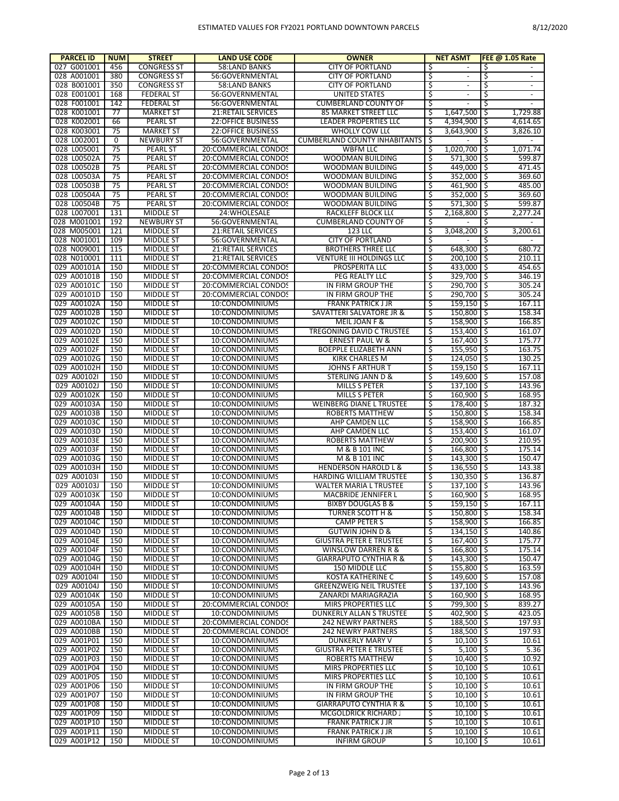| <b>PARCEL ID</b> | <b>NUM</b> | <b>STREET</b>      | <b>LAND USE CODE</b>               | <b>OWNER</b>                         |     | <b>NET ASMT</b>          | <b>FEE @ 1.05 Rate</b>         |
|------------------|------------|--------------------|------------------------------------|--------------------------------------|-----|--------------------------|--------------------------------|
| 027 G001001      | 456        | <b>CONGRESS ST</b> | 58:LAND BANKS                      | <b>CITY OF PORTLAND</b>              | \$  | $\overline{\phantom{a}}$ | \$                             |
| 028 A001001      | 380        | <b>CONGRESS ST</b> | 56:GOVERNMENTAL                    | <b>CITY OF PORTLAND</b>              | \$  |                          | \$                             |
| 028 B001001      | 350        | <b>CONGRESS ST</b> | <b>58:LAND BANKS</b>               | <b>CITY OF PORTLAND</b>              | \$  | $\blacksquare$           | \$<br>$\overline{\phantom{a}}$ |
| 028 E001001      | 168        | <b>FEDERAL ST</b>  | 56:GOVERNMENTAL                    | <b>UNITED STATES</b>                 | \$  | $\overline{\phantom{a}}$ | \$<br>$\overline{\phantom{a}}$ |
| 028 F001001      | 142        | <b>FEDERAL ST</b>  | 56:GOVERNMENTAL                    | <b>CUMBERLAND COUNTY OF</b>          | \$  | $\overline{\phantom{a}}$ | 5<br>$\overline{\phantom{a}}$  |
| 028 K001001      | 77         | <b>MARKET ST</b>   | 21:RETAIL SERVICES                 | 85 MARKET STREET LLC                 | \$  | $1,647,500$ \$           | 1,729.88                       |
| 028 K002001      | 66         | <b>PEARL ST</b>    | <b>22:OFFICE BUSINESS</b>          | <b>LEADER PROPERTIES LLC</b>         | Ś   | 4.394.900 \$             | 4.614.65                       |
| 028 K003001      | 75         | <b>MARKET ST</b>   | 22:OFFICE BUSINESS                 | <b>WHOLLY COW LL(</b>                | \$  | $3,643,900$ \$           | 3,826.10                       |
| 028 L002001      | 0          | <b>NEWBURY ST</b>  | 56:GOVERNMENTAL                    | <b>CUMBERLAND COUNTY INHABITANTS</b> | \$  |                          | \$                             |
| 028 L005001      | 75         | <b>PEARL ST</b>    | 20:COMMERCIAL CONDOS               | <b>WBFM LLC</b>                      | \$  | $1,020,700$ \$           | 1,071.74                       |
| 028 L00502A      | 75         | <b>PEARL ST</b>    | 20:COMMERCIAL CONDOS               | WOODMAN BUILDING                     | \$  | 571.300 \$               | 599.87                         |
| 028 L00502B      | 75         | <b>PEARL ST</b>    | 20:COMMERCIAL CONDOS               | WOODMAN BUILDING                     | \$  | 449,000 \$               | 471.45                         |
| 028 L00503A      | 75         | <b>PEARL ST</b>    | 20:COMMERCIAL CONDOS               | WOODMAN BUILDING                     | \$  | 352,000 \$               | 369.60                         |
| 028 L00503B      | 75         | <b>PEARL ST</b>    | 20:COMMERCIAL CONDOS               | WOODMAN BUILDING                     | \$  | 461,900 \$               | 485.00                         |
| 028 L00504A      | 75         | <b>PEARL ST</b>    | 20:COMMERCIAL CONDOS               | WOODMAN BUILDING                     | \$  | 352.000 \$               | 369.60                         |
| 028 L00504B      | 75         | <b>PEARL ST</b>    | 20:COMMERCIAL CONDOS               | WOODMAN BUILDING                     | \$. | 571,300 \$               | 599.87                         |
| 028 L007001      | 131        | <b>MIDDLE ST</b>   | 24: WHOLESALE                      | RACKLEFF BLOCK LLC                   | Ś   | $2,168,800$ \$           | 2,277.24                       |
| 028 M001001      | 192        | <b>NEWBURY ST</b>  | 56:GOVERNMENTAL                    | <b>CUMBERLAND COUNTY OF</b>          | \$  |                          | \$                             |
| 028 M005001      | 121        | <b>MIDDLE ST</b>   | 21:RETAIL SERVICES                 | 123 LLC                              | ॱऽ  | $3,048,200$ \$           | 3,200.61                       |
| 028 N001001      | 109        | <b>MIDDLE ST</b>   | 56:GOVERNMENTAL                    | <b>CITY OF PORTLAND</b>              | \$  |                          | \$<br>$\overline{\phantom{a}}$ |
| 028 N009001      | 115        | <b>MIDDLE ST</b>   | 21:RETAIL SERVICES                 | <b>BROTHERS THREE LLC</b>            | \$  | 648.300 \$               | 680.72                         |
| 028 N010001      | 111        | <b>MIDDLE ST</b>   | 21:RETAIL SERVICES                 | VENTURE III HOLDINGS LLC             | \$  | $200,100$ \$             | 210.11                         |
| 029 A00101A      | 150        | <b>MIDDLE ST</b>   | 20:COMMERCIAL CONDOS               | PROSPERITA LLC                       | \$  | 433,000 \$               | 454.65                         |
| 029 A00101B      | 150        | <b>MIDDLE ST</b>   | 20:COMMERCIAL CONDOS               | PEG REALTY LLC                       | \$  | 329,700 \$               | 346.19                         |
| 029 A00101C      | 150        | <b>MIDDLE ST</b>   | 20:COMMERCIAL CONDOS               | IN FIRM GROUP THE                    | \$  | 290.700 \$               | 305.24                         |
| 029 A00101D      | 150        | <b>MIDDLE ST</b>   | 20:COMMERCIAL CONDOS               | IN FIRM GROUP THE                    | \$  | 290,700 \$               | 305.24                         |
|                  |            |                    |                                    |                                      |     |                          |                                |
| 029 A00102A      | 150        | <b>MIDDLE ST</b>   | 10:CONDOMINIUMS<br>10:CONDOMINIUMS | <b>FRANK PATRICK J JR</b>            | \$  | $159,150$ \$             | 167.11                         |
| 029 A00102B      | 150        | <b>MIDDLE ST</b>   |                                    | SAVATTERI SALVATORE JR &             | \$  | 150,800 \$               | 158.34                         |
| 029 A00102C      | 150        | <b>MIDDLE ST</b>   | 10:CONDOMINIUMS                    | MEIL JOAN F &                        | \$  | 158,900 \$               | 166.85                         |
| 029 A00102D      | 150        | <b>MIDDLE ST</b>   | 10:CONDOMINIUMS                    | <b>TREGONING DAVID C TRUSTEE</b>     | \$  | 153,400 \$               | 161.07                         |
| 029 A00102E      | 150        | <b>MIDDLE ST</b>   | 10:CONDOMINIUMS                    | <b>ERNEST PAUL W &amp;</b>           | Ś   | 167,400 \$               | 175.77                         |
| 029 A00102F      | 150        | <b>MIDDLE ST</b>   | 10:CONDOMINIUMS                    | BOEPPLE ELIZABETH ANN                | \$  | $155,950$ \$             | 163.75                         |
| 029 A00102G      | 150        | <b>MIDDLE ST</b>   | 10:CONDOMINIUMS                    | <b>KIRK CHARLES M</b>                | \$  | 124,050 \$               | 130.25                         |
| 029 A00102H      | 150        | <b>MIDDLE ST</b>   | 10:CONDOMINIUMS                    | <b>JOHNS F ARTHUR T</b>              | \$  | $159,150$ \$             | 167.11                         |
| 029 A00102I      | 150        | <b>MIDDLE ST</b>   | 10:CONDOMINIUMS                    | STERLING JANN D &                    | \$  | 149,600 \$               | 157.08                         |
| 029 A00102J      | 150        | <b>MIDDLE ST</b>   | 10:CONDOMINIUMS                    | MILLS S PETER                        | \$  | $137,100$ \$             | 143.96                         |
| 029 A00102K      | 150        | <b>MIDDLE ST</b>   | 10:CONDOMINIUMS                    | <b>MILLS S PETER</b>                 | \$  | $160,900$ \$             | 168.95                         |
| 029 A00103A      | 150        | <b>MIDDLE ST</b>   | 10:CONDOMINIUMS                    | <b>WEINBERG DIANE L TRUSTEE</b>      | \$  | 178,400 \$               | 187.32                         |
| 029 A00103B      | 150        | <b>MIDDLE ST</b>   | 10:CONDOMINIUMS                    | ROBERTS MATTHEW                      | \$  | 150,800 \$               | 158.34                         |
| 029 A00103C      | 150        | <b>MIDDLE ST</b>   | 10:CONDOMINIUMS                    | AHP CAMDEN LLC                       | \$  | 158,900 \$               | 166.85                         |
| 029 A00103D      | 150        | <b>MIDDLE ST</b>   | 10:CONDOMINIUMS                    | AHP CAMDEN LLC                       | \$  | 153,400 \$               | 161.07                         |
| 029 A00103E      | 150        | <b>MIDDLE ST</b>   | 10:CONDOMINIUMS                    | ROBERTS MATTHEW                      | \$  | 200,900 \$               | 210.95                         |
| 029 A00103F      | 150        | <b>MIDDLE ST</b>   | 10:CONDOMINIUMS                    | M & B 101 INC                        | \$  | 166,800 \$               | 175.14                         |
| 029 A00103G      | 150        | <b>MIDDLE ST</b>   | 10:CONDOMINIUMS                    | M & B 101 INC                        | \$  | $143,300$ \$             | 150.47                         |
| 029 A00103H      | 150        | MIDDLE ST          | 10:CONDOMINIUMS                    | <b>HENDERSON HAROLD L &amp;</b>      | Ś   | $136,550$ \$             | 143.38                         |
| 029 A00103I      | 150        | <b>MIDDLE ST</b>   | 10:CONDOMINIUMS                    | HARDING WILLIAM TRUSTEE              | \$  | $130,350$ \$             | 136.87                         |
| 029 A00103J      | 150        | <b>MIDDLE ST</b>   | 10:CONDOMINIUMS                    | <b>WALTER MARIA L TRUSTEE</b>        | Ś   | $137,100$ \$             | 143.96                         |
| 029 A00103K      | 150        | <b>MIDDLE ST</b>   | 10:CONDOMINIUMS                    | MACBRIDE JENNIFER L                  | \$  | 160,900 \$               | 168.95                         |
| 029 A00104A      | 150        | <b>MIDDLE ST</b>   | 10:CONDOMINIUMS                    | <b>BIXBY DOUGLAS B &amp;</b>         | ्   | $159.150$ \$             | 167.11                         |
| 029 A00104B      | 150        | <b>MIDDLE ST</b>   | 10:CONDOMINIUMS                    | TURNER SCOTT H &                     | \$  | 150,800 \$               | 158.34                         |
| 029 A00104C      | 150        | MIDDLE ST          | 10:CONDOMINIUMS                    | <b>CAMP PETER S</b>                  | \$  | 158,900 \$               | 166.85                         |
| 029 A00104D      | 150        | MIDDLE ST          | 10:CONDOMINIUMS                    | <b>GUTWIN JOHN D &amp;</b>           | \$  | $134,150$ \$             | 140.86                         |
| 029 A00104E      | 150        | <b>MIDDLE ST</b>   | 10:CONDOMINIUMS                    | <b>GIUSTRA PETER E TRUSTEE</b>       | \$  | 167,400 \$               | 175.77                         |
| 029 A00104F      | 150        | MIDDLE ST          | 10:CONDOMINIUMS                    | WINSLOW DARREN R &                   | \$  | 166,800 \$               | 175.14                         |
| 029 A00104G      | 150        | <b>MIDDLE ST</b>   | 10:CONDOMINIUMS                    | <b>GIARRAPUTO CYNTHIA R &amp;</b>    | \$  | $143,300$ \$             | 150.47                         |
| 029 A00104H      | 150        | <b>MIDDLE ST</b>   | 10:CONDOMINIUMS                    | 150 MIDDLE LLC                       | \$  | 155,800 \$               | 163.59                         |
| 029 A00104I      | 150        | <b>MIDDLE ST</b>   | 10:CONDOMINIUMS                    | KOSTA KATHERINE C                    | \$  | 149,600 \$               | 157.08                         |
| 029 A00104J      | 150        | MIDDLE ST          | 10:CONDOMINIUMS                    | <b>GREENZWEIG NEIL TRUSTEE</b>       | \$  | $137,100$ \$             | 143.96                         |
| 029 A00104K      | 150        | MIDDLE ST          | 10:CONDOMINIUMS                    | ZANARDI MARIAGRAZIA                  | \$  | $160,900$ \$             | 168.95                         |
| 029 A00105A      | 150        | <b>MIDDLE ST</b>   | 20:COMMERCIAL CONDOS               | MIRS PROPERTIES LLC                  | \$  | 799.300 \$               | 839.27                         |
| 029 A00105B      | 150        | <b>MIDDLE ST</b>   | 10:CONDOMINIUMS                    | DUNKERLY ALLAN S TRUSTEE             | \$  | 402,900 \$               | 423.05                         |
| 029 A0010BA      | 150        | <b>MIDDLE ST</b>   | 20:COMMERCIAL CONDOS               | <b>242 NEWRY PARTNERS</b>            | \$  | 188,500 \$               | 197.93                         |
| 029 A0010BB      | 150        | <b>MIDDLE ST</b>   | 20:COMMERCIAL CONDOS               | <b>242 NEWRY PARTNERS</b>            | Ŝ   | 188,500 \$               | 197.93                         |
| 029 A001P01      | 150        | <b>MIDDLE ST</b>   | 10:CONDOMINIUMS                    | DUNKERLY MARY V                      | \$  | $10,100$ \$              | 10.61                          |
| 029 A001P02      | 150        | <b>MIDDLE ST</b>   | 10:CONDOMINIUMS                    | <b>GIUSTRA PETER E TRUSTEE</b>       | \$  | $5,100$   \$             | 5.36                           |
| 029 A001P03      | 150        | MIDDLE ST          | 10:CONDOMINIUMS                    | ROBERTS MATTHEW                      | \$  | $10,400$ \$              | 10.92                          |
| 029 A001P04      | 150        | <b>MIDDLE ST</b>   | 10:CONDOMINIUMS                    | MIRS PROPERTIES LLC                  | Ŝ   | $10,100$ \$              |                                |
| 029 A001P05      |            |                    |                                    |                                      |     |                          | 10.61                          |
|                  | 150        | <b>MIDDLE ST</b>   | 10:CONDOMINIUMS                    | MIRS PROPERTIES LLC                  | \$  | $10,100$ \$              | 10.61                          |
| 029 A001P06      | 150        | <b>MIDDLE ST</b>   | 10:CONDOMINIUMS                    | IN FIRM GROUP THE                    | \$  | $10,100$ \$              | 10.61                          |
| 029 A001P07      | 150        | <b>MIDDLE ST</b>   | 10:CONDOMINIUMS                    | IN FIRM GROUP THE                    | \$  | $10,100$ \$              | 10.61                          |
| 029 A001P08      | 150        | <b>MIDDLE ST</b>   | 10:CONDOMINIUMS                    | <b>GIARRAPUTO CYNTHIA R &amp;</b>    | Ŝ   | $10,100$ \$              | 10.61                          |
| 029 A001P09      | 150        | <b>MIDDLE ST</b>   | 10:CONDOMINIUMS                    | MCGOLDRICK RICHARD J                 | \$  | $10,100$ \$              | 10.61                          |
| 029 A001P10      | 150        | MIDDLE ST          | 10:CONDOMINIUMS                    | <b>FRANK PATRICK J JR</b>            | \$  | $10,100$ \$              | 10.61                          |
| 029 A001P11      | 150        | MIDDLE ST          | 10:CONDOMINIUMS                    | <b>FRANK PATRICK J JR</b>            | \$  | $10,100$ \$              | 10.61                          |
| 029 A001P12      | 150        | <b>MIDDLE ST</b>   | 10:CONDOMINIUMS                    | <b>INFIRM GROUP</b>                  | \$  | $10,100$ \$              | 10.61                          |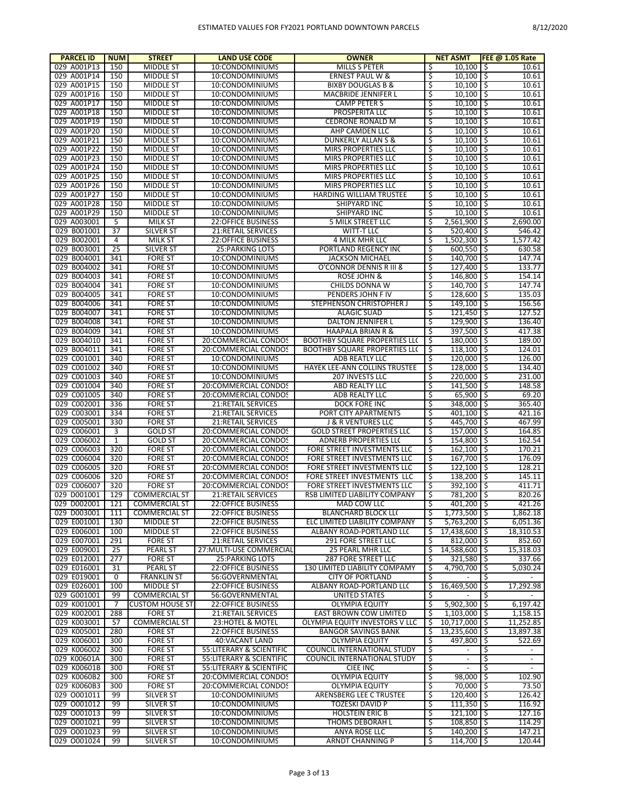| <b>PARCEL ID</b>           | <b>NUM</b>      | <b>STREET</b>                         | <b>LAND USE CODE</b>                         | <b>OWNER</b>                                                      |           | <b>NET ASMT</b>                                                                |            | <b>FEE @ 1.05 Rate</b> |
|----------------------------|-----------------|---------------------------------------|----------------------------------------------|-------------------------------------------------------------------|-----------|--------------------------------------------------------------------------------|------------|------------------------|
| 029 A001P13                | 150             | <b>MIDDLE ST</b>                      | 10:CONDOMINIUMS                              | MILLS S PETER                                                     | \$        | $10,100$   \$                                                                  |            | 10.61                  |
| 029 A001P14                | 150             | <b>MIDDLE ST</b>                      | 10:CONDOMINIUMS                              | <b>ERNEST PAUL W &amp;</b>                                        | \$        | $10,100$   \$                                                                  |            | 10.61                  |
| 029 A001P15                | 150             | <b>MIDDLE ST</b>                      | 10:CONDOMINIUMS                              | <b>BIXBY DOUGLAS B &amp;</b>                                      | \$        | $10,100$   \$                                                                  |            | 10.61                  |
| 029 A001P16                | 150             | <b>MIDDLE ST</b>                      | 10:CONDOMINIUMS                              | MACBRIDE JENNIFER L                                               | \$        | 10,100                                                                         | ۱\$        | 10.61                  |
| 029 A001P17                | 150             | <b>MIDDLE ST</b>                      | 10:CONDOMINIUMS                              | <b>CAMP PETER S</b>                                               | Ś         | 10,100                                                                         | I\$        | 10.61                  |
| 029 A001P18                | 150             | <b>MIDDLE ST</b>                      | 10:CONDOMINIUMS                              | PROSPERITA LLC                                                    | \$        | 10,100                                                                         | I\$        | 10.61                  |
| 029 A001P19                | 150             | <b>MIDDLE ST</b>                      | 10:CONDOMINIUMS                              | <b>CEDRONE RONALD M</b>                                           | \$        | 10,100                                                                         | I\$        | 10.61                  |
| 029 A001P20                | 150             | <b>MIDDLE ST</b>                      | 10:CONDOMINIUMS                              | AHP CAMDEN LLC                                                    | \$        | 10,100                                                                         | I\$        | 10.61                  |
| 029 A001P21<br>029 A001P22 | 150<br>150      | <b>MIDDLE ST</b><br><b>MIDDLE ST</b>  | 10:CONDOMINIUMS<br>10:CONDOMINIUMS           | <b>DUNKERLY ALLAN S &amp;</b>                                     | \$<br>\$  | 10,100                                                                         | I\$<br>I\$ | 10.61                  |
| 029 A001P23                | 150             | <b>MIDDLE ST</b>                      | 10:CONDOMINIUMS                              | MIRS PROPERTIES LLC<br>MIRS PROPERTIES LLC                        | \$        | 10,100<br>10.100                                                               | I\$        | 10.61<br>10.61         |
| 029 A001P24                | 150             | <b>MIDDLE ST</b>                      | 10:CONDOMINIUMS                              | MIRS PROPERTIES LLC                                               | \$        | 10,100                                                                         | I\$        | 10.61                  |
| 029 A001P25                | 150             | <b>MIDDLE ST</b>                      | 10:CONDOMINIUMS                              | MIRS PROPERTIES LLC                                               | \$        | 10,100                                                                         | I\$        | 10.61                  |
| 029 A001P26                | 150             | <b>MIDDLE ST</b>                      | 10:CONDOMINIUMS                              | MIRS PROPERTIES LLC                                               | \$        | 10,100                                                                         | I\$        | 10.61                  |
| 029 A001P27                | 150             | <b>MIDDLE ST</b>                      | 10:CONDOMINIUMS                              | HARDING WILLIAM TRUSTEE                                           | Ś         | 10,100                                                                         | l\$        | 10.61                  |
| 029 A001P28                | 150             | <b>MIDDLE ST</b>                      | 10:CONDOMINIUMS                              | <b>SHIPYARD INC</b>                                               | \$        | 10,100                                                                         | ۱\$        | 10.61                  |
| 029 A001P29                | 150             | <b>MIDDLE ST</b>                      | 10:CONDOMINIUMS                              | SHIPYARD INC                                                      | \$        | 10,100                                                                         | l\$        | 10.61                  |
| 029 A003001                | 5               | <b>MILK ST</b>                        | <b>22:OFFICE BUSINESS</b>                    | 5 MILK STREET LLC                                                 | \$        | $2,561,900$ \$                                                                 |            | 2,690.00               |
| 029 B001001                | $\overline{37}$ | <b>SILVER ST</b>                      | 21:RETAIL SERVICES                           | WITT-T LLC                                                        | \$        | $520,400$ \$                                                                   |            | 546.42                 |
| 029 B002001                | 4               | MILK ST                               | 22:OFFICE BUSINESS                           | 4 MILK MHR LLC                                                    | \$        | $1,502,300$ \$                                                                 |            | 1,577.42               |
| 029 B003001                | $\overline{25}$ | <b>SILVER ST</b>                      | <b>25: PARKING LOTS</b>                      | PORTLAND REGENCY INC                                              | \$        | $600.550$ \$                                                                   |            | 630.58                 |
| 029 B004001                | 341             | <b>FORE ST</b>                        | 10:CONDOMINIUMS                              | <b>JACKSON MICHAEL</b>                                            | \$        | 140,700 \$                                                                     |            | 147.74                 |
| 029 B004002                | 341             | <b>FORE ST</b>                        | 10:CONDOMINIUMS                              | O'CONNOR DENNIS R III &                                           | \$        | 127,400 \$                                                                     |            | 133.77                 |
| 029 B004003                | 341             | <b>FORE ST</b>                        | 10:CONDOMINIUMS                              | ROSE JOHN &                                                       | \$        | 146,800 \$                                                                     |            | 154.14                 |
| 029 B004004<br>029 B004005 | 341<br>341      | <b>FORE ST</b><br>FORE ST             | 10:CONDOMINIUMS<br>10:CONDOMINIUMS           | CHILDS DONNA W<br>PENDERS JOHN F IV                               | \$<br>\$  | 140,700 \$<br>128,600 \$                                                       |            | 147.74<br>135.03       |
| 029 B004006                | 341             | <b>FORE ST</b>                        |                                              |                                                                   | \$        | 149,100 \$                                                                     |            | 156.56                 |
| 029 B004007                | 341             | <b>FORE ST</b>                        | 10:CONDOMINIUMS<br>10:CONDOMINIUMS           | STEPHENSON CHRISTOPHER J<br><b>ALAGIC SUAD</b>                    | \$        | $121,450$ \$                                                                   |            | 127.52                 |
| 029 B004008                | 341             | <b>FORE ST</b>                        | 10:CONDOMINIUMS                              | <b>DALTON JENNIFER L</b>                                          | \$        | 129,900 \$                                                                     |            | 136.40                 |
| 029 B004009                | 341             | <b>FORE ST</b>                        | 10:CONDOMINIUMS                              | <b>HAAPALA BRIAN R &amp;</b>                                      | \$        | 397,500 \$                                                                     |            | 417.38                 |
| 029 B004010                | 341             | <b>FORE ST</b>                        | 20:COMMERCIAL CONDOS                         | <b>BOOTHBY SQUARE PROPERTIES LLC</b>                              | \$        | 180,000 \$                                                                     |            | 189.00                 |
| 029 B004011                | 341             | <b>FORE ST</b>                        | 20:COMMERCIAL CONDOS                         | <b>BOOTHBY SQUARE PROPERTIES LLC</b>                              | \$        | $118,100$ \$                                                                   |            | 124.01                 |
| 029 C001001                | 340             | <b>FORE ST</b>                        | 10:CONDOMINIUMS                              | ADB REATLY LLC                                                    | \$        | $120,000$ \$                                                                   |            | 126.00                 |
| 029 C001002                | 340             | <b>FORE ST</b>                        | 10:CONDOMINIUMS                              | HAYEK LEE-ANN COLLINS TRUSTEE                                     | \$        | 128,000 \$                                                                     |            | 134.40                 |
| 029 C001003                | 340             | <b>FORE ST</b>                        | 10:CONDOMINIUMS                              | 207 INVESTS LLC                                                   | \$        | 220,000 \$                                                                     |            | 231.00                 |
| 029 C001004                | 340             | <b>FORE ST</b>                        | 20:COMMERCIAL CONDOS                         | ABD REALTY LLC                                                    | \$        | $141,500$ \$                                                                   |            | 148.58                 |
| 029 C001005                | 340             | <b>FORE ST</b>                        | 20:COMMERCIAL CONDOS                         | ADB REALTY LLC                                                    | \$        | $65,900$   \$                                                                  |            | 69.20                  |
| 029 C002001                | 336             | <b>FORE ST</b>                        | 21: RETAIL SERVICES                          | DOCK FORE INC                                                     | \$        | 348,000 \$                                                                     |            | 365.40                 |
| 029 C003001                | 334             | <b>FORE ST</b>                        | 21:RETAIL SERVICES                           | PORT CITY APARTMENTS                                              | \$        | $401,100$ \$                                                                   |            | 421.16                 |
| 029 C005001                | 330             | <b>FORE ST</b>                        | 21:RETAIL SERVICES                           | <b>J &amp; R VENTURES LLC</b>                                     | \$        | 445,700 \$                                                                     |            | 467.99                 |
| 029 C006001<br>029 C006002 | 3<br>1          | <b>GOLD ST</b><br><b>GOLD ST</b>      | 20:COMMERCIAL CONDOS<br>20:COMMERCIAL CONDOS | <b>GOLD STREET PROPERTIES LLC</b><br><b>ADNERB PROPERTIES LLC</b> | \$        | 157,000 \$<br>154,800 \$                                                       |            | 164.85<br>162.54       |
| 029 C006003                | 320             | <b>FORE ST</b>                        | 20:COMMERCIAL CONDOS                         | FORE STREET INVESTMENTS LLC                                       | \$<br>\$  | $162,100$ $\overline{\phantom{1}}\overline{\phantom{1}}\overline{\phantom{1}}$ |            | 170.21                 |
| 029 C006004                | 320             | <b>FORE ST</b>                        | 20:COMMERCIAL CONDOS                         | FORE STREET INVESTMENTS LLC                                       | \$        | 167,700 \$                                                                     |            | 176.09                 |
| 029 C006005                | 320             | <b>FORE ST</b>                        | 20:COMMERCIAL CONDOS                         | FORE STREET INVESTMENTS LLC                                       | \$        | $122,100$ \$                                                                   |            | 128.21                 |
| 029 C006006                | 320             | <b>FORE ST</b>                        | 20:COMMERCIAL CONDOS                         | FORE STREET INVESTMENTS LLC                                       | \$.       | $138,200$ \$                                                                   |            | 145.11                 |
| 029 C006007                | 320             | <b>FORE ST</b>                        | 20:COMMERCIAL CONDOS                         | FORE STREET INVESTMENTS LLC                                       | Ś         | 392,100 \$                                                                     |            | 411.71                 |
| 029 D001001                | 129             | <b>COMMERCIAL ST</b>                  | <b>21:RETAIL SERVICES</b>                    | RSB LIMITED LIABILITY COMPANY                                     | \$        | 781,200 \$                                                                     |            | 820.26                 |
| 029 D002001                | 121             | <b>COMMERCIAL ST</b>                  | 22:OFFICE BUSINESS                           | MAD COW LLC                                                       |           | $401,200$ \$                                                                   |            | 421.26                 |
| 029 D003001                | 111             | <b>COMMERCIAL ST</b>                  | 22:OFFICE BUSINESS                           | <b>BLANCHARD BLOCK LL(</b>                                        | \$        | $1,773,500$ \$                                                                 |            | 1,862.18               |
| 029 E001001                | 130             | MIDDLE ST                             | <b>22:OFFICE BUSINESS</b>                    | ELC LIMITED LIABILITY COMPANY                                     | -\$       | $5,763,200$ \$                                                                 |            | 6,051.36               |
| 029 E006001                | 100             | MIDDLE ST                             | <b>22:OFFICE BUSINESS</b>                    | ALBANY ROAD-PORTLAND LLC                                          | -\$       | 17,438,600 \$                                                                  |            | 18,310.53              |
| 029 E007001                | 291             | <b>FORE ST</b>                        | 21:RETAIL SERVICES                           | 291 FORE STREET LLC                                               | \$        | $812,000$ \$                                                                   |            | 852.60                 |
| 029 E009001                | 25              | PEARL ST                              | 27: MULTI-USE COMMERCIAL                     | 25 PEARL MHR LLC                                                  | \$        | 14,588,600 \$                                                                  |            | 15,318.03              |
| 029 E012001                | 277             | <b>FORE ST</b>                        | 25: PARKING LOTS                             | 287 FORE STREET LLC<br>130 LIMITED LIABILITY COMPAMY              | \$        | $321,580$ \$<br>4,790,700 \$                                                   |            | 337.66<br>5,030.24     |
| 029 E016001<br>029 E019001 | 31<br>0         | <b>PEARL ST</b><br><b>FRANKLIN ST</b> | <b>22:OFFICE BUSINESS</b><br>56:GOVERNMENTAL | <b>CITY OF PORTLAND</b>                                           | \$<br>\$  |                                                                                | -\$        |                        |
| 029 E026001                | 100             | <b>MIDDLE ST</b>                      | <b>22:OFFICE BUSINESS</b>                    | ALBANY ROAD-PORTLAND LL(                                          | \$        | 16,469,500 \$                                                                  |            | 17,292.98              |
| 029 G001001                | 99              | <b>COMMERCIAL ST</b>                  | 56:GOVERNMENTAL                              | UNITED STATES                                                     | \$        |                                                                                | -\$        |                        |
| 029 K001001                | 7               | <b>CUSTOM HOUSE ST</b>                | <b>22:OFFICE BUSINESS</b>                    | <b>OLYMPIA EQUITY</b>                                             | \$        | $5,902,300$ \$                                                                 |            | 6,197.42               |
| 029 K002001                | 288             | <b>FORE ST</b>                        | 21:RETAIL SERVICES                           | EAST BROWN COW LIMITED                                            | -\$       | $1,103,000$ \$                                                                 |            | 1,158.15               |
| 029 K003001                | 57              | <b>COMMERCIAL ST</b>                  | 23:HOTEL & MOTEL                             | <b>OLYMPIA EQUITY INVESTORS V LLC</b>                             | -\$       | 10,717,000 \$                                                                  |            | 11,252.85              |
| 029 K005001                | 280             | <b>FORE ST</b>                        | <b>22:OFFICE BUSINESS</b>                    | <b>BANGOR SAVINGS BANK</b>                                        | \$        | 13,235,600 \$                                                                  |            | 13,897.38              |
| 029 K006001                | 300             | <b>FORE ST</b>                        | 40: VACANT LAND                              | <b>OLYMPIA EQUITY</b>                                             | \$        | 497,800 \$                                                                     |            | 522.69                 |
| 029 K006002                | 300             | <b>FORE ST</b>                        | 55: LITERARY & SCIENTIFIC                    | COUNCIL INTERNATIONAL STUDY                                       | \$        | $\blacksquare$                                                                 | \$         | $\blacksquare$         |
| 029 K00601A                | 300             | <b>FORE ST</b>                        | 55: LITERARY & SCIENTIFIC                    | COUNCIL INTERNATIONAL STUDY                                       | \$        | $\sim$                                                                         | د<br>ڊ     | $\sim$                 |
| 029 K00601B                | 300             | <b>FORE ST</b>                        | 55:LITERARY & SCIENTIFIC                     | <b>CIEE INC</b>                                                   | \$        | $\sim$                                                                         | \$ ا       | $\sim$                 |
| 029 K0060B2                | 300             | <b>FORE ST</b>                        | 20:COMMERCIAL CONDOS                         | <b>OLYMPIA EQUITY</b>                                             | \$        | 98,000 \$                                                                      |            | 102.90                 |
| 029 K0060B3                | 300             | <b>FORE ST</b>                        | 20:COMMERCIAL CONDOS                         | <b>OLYMPIA EQUITY</b>                                             | \$        | 70,000 \$                                                                      |            | 73.50                  |
| 029 0001011                | 99              | <b>SILVER ST</b>                      | 10:CONDOMINIUMS                              | ARENSBERG LEE C TRUSTEE                                           | \$        | 120,400 \$                                                                     |            | 126.42                 |
| 029 0001012                | 99              | <b>SILVER ST</b>                      | 10:CONDOMINIUMS                              | TOZESKI DAVID P                                                   | \$        | $111,350$   \$                                                                 |            | 116.92                 |
| 029 0001013<br>029 0001021 | 99<br>99        | <b>SILVER ST</b>                      | 10:CONDOMINIUMS<br>10:CONDOMINIUMS           | <b>HOLSTEIN ERIC B</b>                                            | \$        | $121,100$ \$                                                                   |            | 127.16<br>114.29       |
| 029 0001023                | 99              | <b>SILVER ST</b><br><b>SILVER ST</b>  | 10:CONDOMINIUMS                              | THOMS DEBORAH L<br>ANYA ROSE LLC                                  | \$<br>-\$ | $108,850$   \$<br>$140,200$   \$                                               |            | 147.21                 |
| 029 0001024                | 99              | <b>SILVER ST</b>                      | 10:CONDOMINIUMS                              | ARNDT CHANNING P                                                  | 5         | 114,700 \$                                                                     |            | 120.44                 |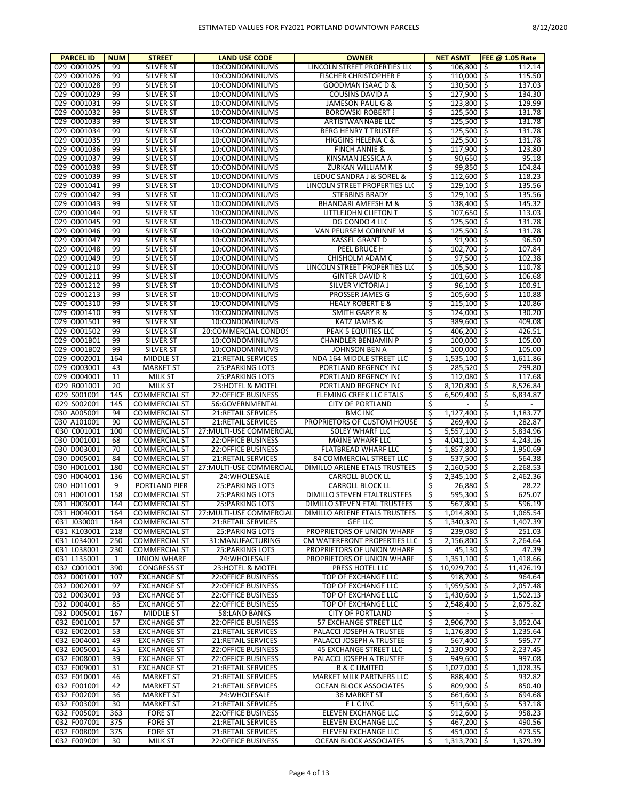| <b>PARCEL ID</b> | <b>NUM</b>   | <b>STREET</b>                        | <b>LAND USE CODE</b>               | <b>OWNER</b>                                     |          | <b>NET ASMT</b>               | FEE @ 1.05 Rate  |
|------------------|--------------|--------------------------------------|------------------------------------|--------------------------------------------------|----------|-------------------------------|------------------|
| 029 0001025      | 99           | <b>SILVER ST</b>                     | 10:CONDOMINIUMS                    | LINCOLN STREET PROERTIES LLC                     | \$.      | 106,800 \$                    | 112.14           |
| 029 0001026      | 99           | <b>SILVER ST</b>                     | 10:CONDOMINIUMS                    | <b>FISCHER CHRISTOPHER E</b>                     | \$       | $110,000$ \$                  | 115.50           |
| 029 0001028      | 99           | <b>SILVER ST</b>                     | 10:CONDOMINIUMS                    | <b>GOODMAN ISAAC D &amp;</b>                     | \$       | $130,500$ \$                  | 137.03           |
| 029 0001029      | 99           | <b>SILVER ST</b>                     | 10:CONDOMINIUMS                    | COUSINS DAVID A                                  | \$       | $127,900$   \$                | 134.30           |
| 029 0001031      | 99           | <b>SILVER ST</b>                     | 10:CONDOMINIUMS                    | JAMESON PAUL G &                                 | \$       | $123,800$   \$                | 129.99           |
| 029 0001032      | 99           | <b>SILVER ST</b>                     | 10:CONDOMINIUMS                    | <b>BOROWSKI ROBERT I</b>                         | \$       | $125,500$ \$                  | 131.78           |
| 029 0001033      | 99           | <b>SILVER ST</b>                     | 10:CONDOMINIUMS                    | ARTISTWANNABE LLC                                | \$       | $125,500$ \$                  | 131.78           |
| 029 0001034      | 99           | <b>SILVER ST</b>                     | 10:CONDOMINIUMS                    | <b>BERG HENRY T TRUSTEE</b>                      | \$       | $125,500$   \$                | 131.78           |
| 029 0001035      | 99           | <b>SILVER ST</b>                     | 10:CONDOMINIUMS                    | HIGGINS HELENA C &                               | Ś        | $125,500$   \$                | 131.78           |
| 029 0001036      | 99           | <b>SILVER ST</b>                     | 10:CONDOMINIUMS                    | <b>FINCH ANNIE &amp;</b>                         | \$       | $117,900$   \$                | 123.80           |
| 029 0001037      | 99           | <b>SILVER ST</b>                     | 10:CONDOMINIUMS                    | KINSMAN JESSICA A                                | Ś        | $90,650$ \$                   | 95.18            |
| 029 0001038      | 99           | <b>SILVER ST</b>                     | 10:CONDOMINIUMS                    | ZURKAN WILLIAM K                                 | \$       | 99,850 \$                     | 104.84           |
| 029 0001039      | 99           | <b>SILVER ST</b>                     | 10:CONDOMINIUMS                    | LEDUC SANDRA J & SOREL &                         | \$       | $112,600$   \$                | 118.23           |
| 029 0001041      | 99           | <b>SILVER ST</b>                     | 10:CONDOMINIUMS                    | LINCOLN STREET PROPERTIES LLC                    | \$       | $129,100$ \$                  | 135.56           |
| 029 0001042      | 99           | <b>SILVER ST</b>                     | 10:CONDOMINIUMS                    | <b>STEBBINS BRADY</b>                            | \$       | $129,100$ \$                  | 135.56           |
| 029 0001043      | 99           | <b>SILVER ST</b>                     | 10:CONDOMINIUMS                    | BHANDARI AMEESH M &                              | \$       | $138,400$   \$                | 145.32           |
| 029 0001044      | 99           | <b>SILVER ST</b>                     | 10:CONDOMINIUMS                    | LITTLEJOHN CLIFTON T                             | Ś        | $107,650$ \$                  | 113.03           |
| 029 0001045      | 99           | <b>SILVER ST</b>                     | 10:CONDOMINIUMS                    | DG CONDO 4 LLC                                   | \$       | $125,500$   \$                | 131.78           |
| 029 0001046      | 99           | <b>SILVER ST</b>                     | 10:CONDOMINIUMS                    | VAN PEURSEM CORINNE M                            | Ŝ        | $125,500$   \$                | 131.78           |
| 029 0001047      | 99           | <b>SILVER ST</b>                     | 10:CONDOMINIUMS                    | <b>KASSEL GRANT D</b>                            | \$       | $91,900$ \$                   | 96.50            |
| 029 0001048      | 99           | <b>SILVER ST</b>                     | 10:CONDOMINIUMS                    | PEEL BRUCE H                                     | \$       | $102,700$ \$                  | 107.84           |
| 029 0001049      |              |                                      |                                    |                                                  |          |                               |                  |
| 029 0001210      | 99<br>99     | <b>SILVER ST</b><br><b>SILVER ST</b> | 10:CONDOMINIUMS<br>10:CONDOMINIUMS | CHISHOLM ADAM C<br>LINCOLN STREET PROPERTIES LLC | \$<br>Ŝ. | $97,500$ \$<br>$105,500$   \$ | 102.38<br>110.78 |
| 029 0001211      |              |                                      | 10:CONDOMINIUMS                    |                                                  |          |                               |                  |
|                  | 99           | <b>SILVER ST</b>                     |                                    | <b>GINTER DAVID R</b>                            | \$       | $101,600$   \$                | 106.68           |
| 029 0001212      | 99           | <b>SILVER ST</b>                     | 10:CONDOMINIUMS                    | SILVER VICTORIA J                                | \$       | $96,100$ \$                   | 100.91           |
| 029 0001213      | 99           | <b>SILVER ST</b>                     | 10:CONDOMINIUMS                    | PROSSER JAMES G                                  | \$       | 105,600 \$                    | 110.88           |
| 029 0001310      | 99           | <b>SILVER ST</b>                     | 10:CONDOMINIUMS                    | <b>HEALY ROBERT E &amp;</b>                      | \$       | $115,100$   \$                | 120.86           |
| 029 0001410      | 99           | <b>SILVER ST</b>                     | 10:CONDOMINIUMS                    | <b>SMITH GARY R &amp;</b>                        | \$       | $124,000$   \$                | 130.20           |
| 029 0001501      | 99           | <b>SILVER ST</b>                     | 10:CONDOMINIUMS                    | KATZ JAMES &                                     | \$       | 389,600 \$                    | 409.08           |
| 029 0001502      | 99           | <b>SILVER ST</b>                     | 20:COMMERCIAL CONDOS               | PEAK 5 EQUITIES LLC                              | \$       | $406,200$ \$                  | 426.51           |
| 029 0001B01      | 99           | <b>SILVER ST</b>                     | 10:CONDOMINIUMS                    | CHANDLER BENJAMIN P                              | Ś        | $100.000$ \$                  | 105.00           |
| 029 0001B02      | 99           | <b>SILVER ST</b>                     | 10:CONDOMINIUMS                    | JOHNSON BEN A                                    | \$       | $100,000$   \$                | 105.00           |
| 029 0002001      | 164          | <b>MIDDLE ST</b>                     | <b>21:RETAIL SERVICES</b>          | NDA 164 MIDDLE STREET LLC                        | Ŝ        | $1,535,100$ \$                | 1,611.86         |
| 029 0003001      | 43           | <b>MARKET ST</b>                     | <b>25: PARKING LOTS</b>            | PORTLAND REGENCY INC                             | \$       | $285,520$ \$                  | 299.80           |
| 029 0004001      | 11           | <b>MILK ST</b>                       | 25: PARKING LOTS                   | PORTLAND REGENCY INC                             | \$       | $112,080$ \$                  | 117.68           |
| 029 R001001      | 20           | <b>MILK ST</b>                       | 23:HOTEL & MOTEL                   | PORTLAND REGENCY INC                             | \$       | $8,120,800$ \$                | 8,526.84         |
| 029 S001001      | 145          | <b>COMMERCIAL ST</b>                 | <b>22:OFFICE BUSINESS</b>          | FLEMING CREEK LLC ETALS                          | \$       | 6,509,400 \$                  | 6,834.87         |
| 029 S002001      | 145          | <b>COMMERCIAL ST</b>                 | 56:GOVERNMENTAL                    | <b>CITY OF PORTLAND</b>                          | \$       |                               | S.               |
| 030 A005001      | 94           | <b>COMMERCIAL ST</b>                 | 21:RETAIL SERVICES                 | <b>BMC INC</b>                                   | \$       | $1,127,400$ \$                | 1,183.77         |
| 030 A101001      | 90           | <b>COMMERCIAL ST</b>                 | 21:RETAIL SERVICES                 | PROPRIETORS OF CUSTOM HOUSE                      | \$       | $269,400$ \$                  | 282.87           |
| 030 C001001      | 100          | <b>COMMERCIAL ST</b>                 | 27: MULTI-USE COMMERCIAL           | <b>SOLEY WHARF LLC</b>                           | Ŝ.       | $5,557,100$ \$                | 5,834.96         |
| 030 D001001      | 68           | <b>COMMERCIAL ST</b>                 | <b>22:OFFICE BUSINESS</b>          | MAINE WHARF LLC                                  | \$       | $4,041,100$ \$                | 4,243.16         |
| 030 D003001      | 70           | <b>COMMERCIAL ST</b>                 | <b>22:OFFICE BUSINESS</b>          | FLATBREAD WHARF LLC                              | Ŝ.       | 1,857,800 \$                  | 1,950.69         |
| 030 D005001      | 84           | <b>COMMERCIAL ST</b>                 | 21:RETAIL SERVICES                 | 84 COMMERCIAL STREET LLC                         | \$       | $537,500$   \$                | 564.38           |
| 030 H001001      | 180          | <b>COMMERCIAL ST</b>                 | 27: MULTI-USE COMMERCIAL           | DIMILLO ARLENE ETALS TRUSTEES                    | Ŝ.       | $2,160,500$ \$                | 2.268.53         |
| 030 H004001      | 136          | <b>COMMERCIAL ST</b>                 | 24: WHOLESALE                      | CARROLL BLOCK LL                                 | \$       | $2,345,100$ \$                | 2,462.36         |
| 030 H011001      | 9            | <b>PORTLAND PIER</b>                 | <b>25: PARKING LOTS</b>            | CARROLL BLOCK LL                                 | Ŝ.       | 26,880 \$                     | 28.22            |
| 031 H001001      | 158          | <b>COMMERCIAL ST</b>                 | <b>25: PARKING LOTS</b>            | <b>DIMILLO STEVEN ETALTRUSTEES</b>               | \$       | 595,300 \$                    | 625.07           |
| 031 H003001      | 144          | <b>COMMERCIAL ST</b>                 | 25: PARKING LOTS                   | DIMILLO STEVEN ETAL TRUSTEES                     | ें       |                               | 596.19           |
| 031 H004001      | 164          | <b>COMMERCIAL ST</b>                 | 27: MULTI-USE COMMERCIAL           |                                                  |          |                               |                  |
| 031 J030001      | 184          |                                      |                                    |                                                  |          | 567,800 \$                    |                  |
| 031 K103001      |              |                                      |                                    | DIMILLO ARLENE ETALS TRUSTEES                    | \$       | $1,014,800$ \$                | 1,065.54         |
|                  |              | <b>COMMERCIAL ST</b>                 | 21:RETAIL SERVICES                 | <b>GEF LLC</b>                                   | S.       | $1,340,370$ \$                | 1,407.39         |
|                  | 218          | <b>COMMERCIAL ST</b>                 | 25: PARKING LOTS                   | PROPRIETORS OF UNION WHARF                       | S.       | $239,080$ \$                  | 251.03           |
| 031 L034001      | 250          | <b>COMMERCIAL ST</b>                 | 31:MANUFACTURING                   | CM WATERFRONT PROPERTIES LLC                     | \$       | $2,156,800$ \$                | 2,264.64         |
| 031 L038001      | 230          | <b>COMMERCIAL ST</b>                 | 25: PARKING LOTS                   | PROPRIETORS OF UNION WHARF                       | S.       | 45,130 \$                     | 47.39            |
| 031 L135001      | $\mathbf{1}$ | <b>UNION WHARF</b>                   | 24: WHOLESALE                      | PROPRIETORS OF UNION WHARF                       | \$       | $1,351,100$ \$                | 1,418.66         |
| 032 C001001      | 390          | <b>CONGRESS ST</b>                   | 23: HOTEL & MOTEL                  | PRESS HOTEL LLC                                  | \$       | 10,929,700 \$                 | 11,476.19        |
| 032 D001001      | 107          | <b>EXCHANGE ST</b>                   | <b>22:OFFICE BUSINESS</b>          | TOP OF EXCHANGE LLC                              | \$       | $918,700$ \$                  | 964.64           |
| 032 D002001      | 97           | <b>EXCHANGE ST</b>                   | <b>22:OFFICE BUSINESS</b>          | TOP OF EXCHANGE LLC                              | \$       | $1,959,500$ \$                | 2,057.48         |
| 032 D003001      | 93           | <b>EXCHANGE ST</b>                   | <b>22:OFFICE BUSINESS</b>          | <b>TOP OF EXCHANGE LLC</b>                       | \$       | $1,430,600$ \$                | 1,502.13         |
| 032 D004001      | 85           | <b>EXCHANGE ST</b>                   | <b>22:OFFICE BUSINESS</b>          | <b>TOP OF EXCHANGE LLC</b>                       | \$       | $2,548,400$ \$                | 2,675.82         |
| 032 D005001      | 167          | MIDDLE ST                            | 58:LAND BANKS                      | <b>CITY OF PORTLAND</b>                          | \$       |                               | \$               |
| 032 E001001      | 57           | <b>EXCHANGE ST</b>                   | <b>22:OFFICE BUSINESS</b>          | <b>57 EXCHANGE STREET LLC</b>                    | \$       | $2,906,700$ \$                | 3,052.04         |
| 032 E002001      | 53           | <b>EXCHANGE ST</b>                   | 21:RETAIL SERVICES                 | PALACCI JOSEPH A TRUSTEE                         | \$       | $1,176,800$ \$                | 1,235.64         |
| 032 E004001      | 49           | <b>EXCHANGE ST</b>                   | 21:RETAIL SERVICES                 | PALACCI JOSEPH A TRUSTEE                         | \$       | 567,400 \$                    | 595.77           |
| 032 E005001      | 45           | <b>EXCHANGE ST</b>                   | <b>22:OFFICE BUSINESS</b>          | 45 EXCHANGE STREET LLC                           | \$       | $2,130,900$ \$                | 2,237.45         |
| 032 E008001      | 39           | <b>EXCHANGE ST</b>                   | <b>22:OFFICE BUSINESS</b>          | PALACCI JOSEPH A TRUSTEE                         | \$       | $949,600$ \$                  | 997.08           |
| 032 E009001      | 31           | <b>EXCHANGE ST</b>                   | 21:RETAIL SERVICES                 | <b>B &amp; C LIMITED</b>                         | \$       | $1,027,000$   \$              | 1,078.35         |
| 032 E010001      | 46           | <b>MARKET ST</b>                     | 21:RETAIL SERVICES                 | MARKET MILK PARTNERS LLC                         | \$       | 888,400 \$                    | 932.82           |
| 032 F001001      | 42           | <b>MARKET ST</b>                     | 21:RETAIL SERVICES                 | OCEAN BLOCK ASSOCIATES                           | Ŝ        | 809,900 \$                    | 850.40           |
| 032 F002001      | 36           | <b>MARKET ST</b>                     | 24: WHOLESALE                      | 36 MARKET ST                                     | \$       | 661,600 \$                    | 694.68           |
| 032 F003001      | 30           | <b>MARKET ST</b>                     | 21:RETAIL SERVICES                 | <b>ELCINC</b>                                    | Ŝ        | $511,600$ \$                  | 537.18           |
| 032 F005001      | 363          | <b>FORE ST</b>                       | <b>22:OFFICE BUSINESS</b>          | ELEVEN EXCHANGE LLC                              | \$       | $912,600$ \$                  | 958.23           |
| 032 F007001      | 375          | <b>FORE ST</b>                       | 21:RETAIL SERVICES                 | ELEVEN EXCHANGE LLC                              | \$       | 467,200 \$                    | 490.56           |
| 032 F008001      | 375          | <b>FORE ST</b>                       | 21:RETAIL SERVICES                 | <b>ELEVEN EXCHANGE LLC</b>                       | \$       | 451,000 \$                    | 473.55           |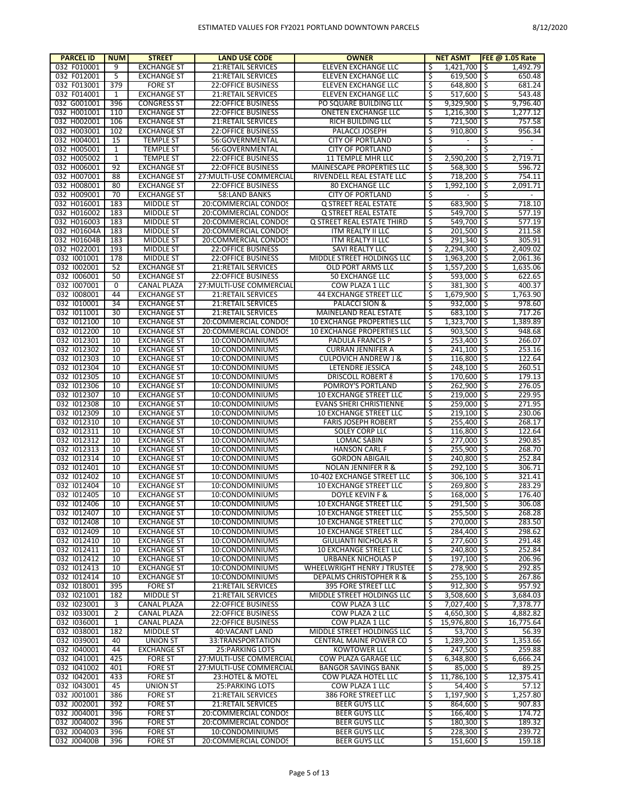| <b>PARCEL ID</b>           | <b>NUM</b>        | <b>STREET</b>                            | <b>LAND USE CODE</b>                            | <b>OWNER</b>                                   |         | <b>NET ASMT</b>               |          | FEE $@1.05$ Rate      |
|----------------------------|-------------------|------------------------------------------|-------------------------------------------------|------------------------------------------------|---------|-------------------------------|----------|-----------------------|
| 032 F010001                | 9                 | <b>EXCHANGE ST</b>                       | 21:RETAIL SERVICES                              | ELEVEN EXCHANGE LLC                            | \$      | 1,421,700                     | l \$     | 1,492.79              |
| 032 F012001                | 5                 | <b>EXCHANGE ST</b>                       | 21:RETAIL SERVICES                              | <b>ELEVEN EXCHANGE LLC</b>                     | \$      | $619,500$ \$                  |          | 650.48                |
| 032 F013001                | 379               | <b>FORE ST</b>                           | <b>22:OFFICE BUSINESS</b>                       | ELEVEN EXCHANGE LLC                            | Ś       | 648,800 \$                    |          | 681.24                |
| 032 F014001                | 1                 | <b>EXCHANGE ST</b>                       | 21:RETAIL SERVICES                              | ELEVEN EXCHANGE LLC                            | \$      | 517,600 \$                    |          | 543.48                |
| 032 G001001                | 396               | <b>CONGRESS ST</b>                       | <b>22:OFFICE BUSINESS</b>                       | PO SQUARE BUILDING LLC                         | Ś       | 9.329.900                     | -\$      | 9,796.40              |
| 032 H001001                | 110               | <b>EXCHANGE ST</b>                       | <b>22:OFFICE BUSINESS</b>                       | <b>ONETEN EXCHANGE LLC</b>                     | \$      | $1,216,300$ \$                |          | 1,277.12              |
| 032 H002001                | 106               | <b>EXCHANGE ST</b>                       | 21:RETAIL SERVICES                              | RICH BUILDING LLO                              | \$      | 721,500                       | ۱\$      | 757.58                |
| 032 H003001                | 102               | <b>EXCHANGE ST</b>                       | 22:OFFICE BUSINESS                              | PALACCI JOSEPH                                 | \$      | 910,800                       | -\$      | 956.34                |
| 032 H004001                | 15                | <b>TEMPLE ST</b>                         | 56:GOVERNMENTAL                                 | <b>CITY OF PORTLAND</b>                        | \$      |                               | \$       | $\blacksquare$        |
| 032 H005001                | 1<br>$\mathbf 1$  | <b>TEMPLE ST</b>                         | 56:GOVERNMENTAL                                 | <b>CITY OF PORTLAND</b>                        | \$<br>Ś | 2,590,200                     | \$<br>\$ |                       |
| 032 H005002<br>032 H006001 | 92                | <b>TEMPLE ST</b><br><b>EXCHANGE ST</b>   | 22:OFFICE BUSINESS<br><b>22:OFFICE BUSINESS</b> | 11 TEMPLE MHR LLC<br>MAINESCAPE PROPERTIES LLC | \$      | 568,300                       | l\$      | 2,719.71<br>596.72    |
| 032 H007001                | 88                | <b>EXCHANGE ST</b>                       | 27: MULTI-USE COMMERCIAL                        | RIVENDELL REAL ESTATE LLC                      | Ś       | 718,200 \$                    |          | 754.11                |
| 032 H008001                | 80                | <b>EXCHANGE ST</b>                       | 22: OFFICE BUSINESS                             | <b>80 EXCHANGE LLC</b>                         | \$      | 1,992,100                     | \$ ا     | 2,091.71              |
| 032 H009001                | 70                | <b>EXCHANGE ST</b>                       | 58:LAND BANKS                                   | <b>CITY OF PORTLAND</b>                        | \$      |                               | \$       | $\blacksquare$        |
| 032 H016001                | 183               | <b>MIDDLE ST</b>                         | 20:COMMERCIAL CONDOS                            | Q STREET REAL ESTATE                           | \$      | 683,900                       | \$ ا     | 718.10                |
| 032 H016002                | 183               | <b>MIDDLE ST</b>                         | 20:COMMERCIAL CONDOS                            | Q STREET REAL ESTATE                           | \$      | 549,700                       | ۱\$      | 577.19                |
| 032 H016003                | 183               | <b>MIDDLE ST</b>                         | 20:COMMERCIAL CONDOS                            | Q STREET REAL ESTATE THIRD                     | \$      | $549,700$ \$                  |          | 577.19                |
| 032 H01604A                | 183               | <b>MIDDLE ST</b>                         | 20:COMMERCIAL CONDOS                            | ITM REALTY II LLC                              | Ś       | $201,500$ \$                  |          | 211.58                |
| 032 H01604B                | 183               | <b>MIDDLE ST</b>                         | 20:COMMERCIAL CONDOS                            | ITM REALTY II LLC                              | \$      | $291,340$ \$                  |          | 305.91                |
| 032 H022001                | 193               | <b>MIDDLE ST</b>                         | <b>22:OFFICE BUSINESS</b>                       | SAVI REALTY LLC                                | Ś       | 2.294.300                     | \$       | 2,409.02              |
| 032 1001001                | 178               | <b>MIDDLE ST</b>                         | <b>22:OFFICE BUSINESS</b>                       | MIDDLE STREET HOLDINGS LLC                     | \$      | $1,963,200$ \$                |          | 2,061.36              |
| 032 1002001                | 52                | <b>EXCHANGE ST</b>                       | 21:RETAIL SERVICES                              | OLD PORT ARMS LLC                              | \$      | 1,557,200                     | -\$      | 1,635.06              |
| 032 1006001                | 50                | <b>EXCHANGE ST</b>                       | <b>22:OFFICE BUSINESS</b>                       | 50 EXCHANGE LLC                                | \$      | 593,000 \$                    |          | 622.65                |
| 032 1007001                | 0                 | <b>CANAL PLAZA</b>                       | 27: MULTI-USE COMMERCIAL                        | COW PLAZA 1 LLC                                | \$      | 381,300                       | l\$      | 400.37                |
| 032 1008001                | 44                | <b>EXCHANGE ST</b>                       | 21:RETAIL SERVICES                              | 44 EXCHANGE STREET LLC                         | \$      | 1,679,900 \$                  |          | 1,763.90              |
| 032 1010001                | 34                | <b>EXCHANGE ST</b>                       | <b>21:RETAIL SERVICES</b>                       | PALACCI SION &                                 | Ś       | 932,000                       | l\$      | 978.60                |
| 032 1011001                | 30                | <b>EXCHANGE ST</b>                       | 21:RETAIL SERVICES                              | MAINELAND REAL ESTATE                          | \$      | $683,100$ \$                  |          | 717.26                |
| 032 1012100                | 10                | <b>EXCHANGE ST</b>                       | 20:COMMERCIAL CONDOS                            | 10 EXCHANGE PROPERTIES LLC                     | Ś       | 1,323,700                     | -\$      | 1,389.89              |
| 032 1012200                | 10                | <b>EXCHANGE ST</b>                       | 20:COMMERCIAL CONDOS                            | <b>10 EXCHANGE PROPERTIES LLC</b>              | \$      | $903,500$ \$                  |          | 948.68                |
| 032 1012301                | 10                | <b>EXCHANGE ST</b>                       | 10:CONDOMINIUMS                                 | PADULA FRANCIS P                               | Ś       | 253,400                       | ى        | 266.07                |
| 032 1012302                | 10                | <b>EXCHANGE ST</b>                       | 10:CONDOMINIUMS                                 | <b>CURRAN JENNIFER A</b>                       | \$      | $241,100$ \$                  |          | 253.16                |
| 032 1012303                | 10                | <b>EXCHANGE ST</b>                       | 10:CONDOMINIUMS                                 | <b>CULPOVICH ANDREW J &amp;</b>                | \$      | 116,800                       | ۱\$      | 122.64                |
| 032 1012304                | 10                | <b>EXCHANGE ST</b>                       | 10:CONDOMINIUMS                                 | LETENDRE JESSICA                               | \$      | $248,100$ \$                  |          | 260.51                |
| 032 1012305                | 10                | <b>EXCHANGE ST</b>                       | 10:CONDOMINIUMS                                 | <b>DRISCOLL ROBERT &amp;</b>                   | \$      | 170,600                       | ۱\$      | 179.13                |
| 032 1012306<br>032 1012307 | 10<br>10          | <b>EXCHANGE ST</b><br><b>EXCHANGE ST</b> | 10:CONDOMINIUMS<br>10:CONDOMINIUMS              | POMROY'S PORTLAND<br>10 EXCHANGE STREET LLC    | \$<br>Ś | $262,900$ \$<br>219,000       | ۱\$      | 276.05<br>229.95      |
| 032 1012308                | 10                | <b>EXCHANGE ST</b>                       | 10:CONDOMINIUMS                                 | EVANS SHERI CHRISTIENNE                        | \$      | $259,000$   \$                |          | 271.95                |
| 032 1012309                | 10                | <b>EXCHANGE ST</b>                       | 10:CONDOMINIUMS                                 | 10 EXCHANGE STREET LLC                         | Ś       | 219,100                       | ى        | 230.06                |
| 032 1012310                | 10                | <b>EXCHANGE ST</b>                       | 10:CONDOMINIUMS                                 | <b>FARIS JOSEPH ROBERT</b>                     | \$      | 255,400 \$                    |          | 268.17                |
| 032 1012311                | 10                | <b>EXCHANGE ST</b>                       | 10:CONDOMINIUMS                                 | SOLEY CORP LLC                                 | \$      | 116,800                       | ۱\$      | 122.64                |
| 032 1012312                | 10                | <b>EXCHANGE ST</b>                       | 10:CONDOMINIUMS                                 | <b>LOMAC SABIN</b>                             | \$      | 277,000 \$                    |          | 290.85                |
| 032 1012313                | 10                | <b>EXCHANGE ST</b>                       | 10:CONDOMINIUMS                                 | <b>HANSON CARL F</b>                           | \$      | 255.900                       | -\$      | 268.70                |
| 032 1012314                | 10                | <b>EXCHANGE ST</b>                       | 10:CONDOMINIUMS                                 | <b>GORDON ABIGAIL</b>                          | \$      | 240,800                       | l\$      | 252.84                |
| 032 1012401                | 10                | <b>EXCHANGE ST</b>                       | 10:CONDOMINIUMS                                 | <b>NOLAN JENNIFER R &amp;</b>                  | Ś       | 292.100                       | ۱\$      | 306.71                |
| 032 1012402                | 10                | <b>EXCHANGE ST</b>                       | 10:CONDOMINIUMS                                 | 10-402 EXCHANGE STREET LLC                     | \$      | 306,100 \$                    |          | 321.41                |
| 032 1012404                | 10                | <b>EXCHANGE ST</b>                       | 10:CONDOMINIUMS                                 | 10 EXCHANGE STREET LLC                         | Ś       | 269.800                       | Ŝ        | 283.29                |
| 032 1012405                | 10                | <b>EXCHANGE ST</b>                       | 10:CONDOMINIUMS                                 | DOYLE KEVIN F &                                | \$      | $168,000$ \$                  |          | 176.40                |
| 032 1012406                | 10                | <b>EXCHANGE ST</b>                       | 10:CONDOMINIUMS                                 | <b>10 EXCHANGE STREET LLC</b>                  | र       | 291.500 \$                    |          | 306.08                |
| 032 1012407                | 10                | <b>EXCHANGE ST</b>                       | 10:CONDOMINIUMS                                 | 10 EXCHANGE STREET LLC                         | \$      | $255,500$ \$                  |          | 268.28                |
| 032 1012408                | 10                | <b>EXCHANGE ST</b>                       | 10:CONDOMINIUMS                                 | 10 EXCHANGE STREET LLC                         | \$      | 270,000 \$                    |          | 283.50                |
| 032 1012409                | 10                | <b>EXCHANGE ST</b>                       | 10:CONDOMINIUMS                                 | 10 EXCHANGE STREET LLC                         | \$      | 284,400 \$                    |          | 298.62                |
| 032 1012410                | 10                | <b>EXCHANGE ST</b>                       | 10:CONDOMINIUMS                                 | <b>GIULIANTI NICHOLAS R</b>                    | \$      | 277,600 \$                    |          | 291.48                |
| 032 1012411                | 10                | <b>EXCHANGE ST</b>                       | 10:CONDOMINIUMS                                 | <b>10 EXCHANGE STREET LLC</b>                  | \$      | 240,800 \$                    |          | 252.84                |
| 032 1012412                | 10                | <b>EXCHANGE ST</b>                       | 10:CONDOMINIUMS                                 | URBANEK NICHOLAS P                             | \$      | $197.100$ S                   |          | 206.96                |
| 032 1012413                | 10                | <b>EXCHANGE ST</b>                       | 10:CONDOMINIUMS                                 | <b>WHEELWRIGHT HENRY J TRUSTEE</b>             | \$      | 278,900 \$                    |          | 292.85                |
| 032 1012414                | 10                | <b>EXCHANGE ST</b>                       | 10:CONDOMINIUMS                                 | DEPALMS CHRISTOPHER R &                        | \$      | $255,100$ \$                  |          | 267.86                |
| 032 1018001                | 395               | <b>FORE ST</b>                           | 21:RETAIL SERVICES                              | <b>395 FORE STREET LLC</b>                     | \$      | $912,300$ \$                  |          | 957.92                |
| 032 1021001                | 182               | <b>MIDDLE ST</b><br><b>CANAL PLAZA</b>   | 21:RETAIL SERVICES                              | MIDDLE STREET HOLDINGS LLC                     | Ś       | $3,508,600$ \$                |          | 3,684.03              |
| 032 1023001<br>032 1033001 | 3                 |                                          | <b>22:OFFICE BUSINESS</b>                       | COW PLAZA 3 LLC                                | \$<br>Ś | 7,027,400 \$                  |          | 7,378.77              |
| 032 1036001                | 2<br>$\mathbf{1}$ | CANAL PLAZA<br>CANAL PLAZA               | 22:OFFICE BUSINESS<br><b>22:OFFICE BUSINESS</b> | COW PLAZA 2 LLC<br>COW PLAZA 1 LLC             | \$      | 4,650,300 \$<br>15,976,800 \$ |          | 4,882.82<br>16,775.64 |
| 032 1038001                | 182               | <b>MIDDLE ST</b>                         | 40: VACANT LAND                                 | MIDDLE STREET HOLDINGS LLC                     | \$      | $53.700$ S                    |          | 56.39                 |
| 032 1039001                | 40                | <b>UNION ST</b>                          | 33:TRANSPORTATION                               | CENTRAL MAINE POWER CO                         | \$      | $1,289,200$ \$                |          | 1,353.66              |
| 032 1040001                | 44                | <b>EXCHANGE ST</b>                       | 25: PARKING LOTS                                | KOWTOWER LLC                                   | \$      | $247,500$ \$                  |          | 259.88                |
| 032 1041001                | 425               | <b>FORE ST</b>                           | 27: MULTI-USE COMMERCIAL                        | COW PLAZA GARAGE LLC                           | \$      | $6,348,800$ \$                |          | 6,666.24              |
| 032 1041002                | 401               | <b>FORE ST</b>                           | 27: MULTI-USE COMMERCIAL                        | <b>BANGOR SAVINGS BANK</b>                     | \$      | 85,000 \$                     |          | 89.25                 |
| 032 1042001                | 433               | <b>FORE ST</b>                           | 23: HOTEL & MOTEL                               | COW PLAZA HOTEL LLC                            | \$      | 11,786,100 \$                 |          | 12,375.41             |
| 032 1043001                | 45                | <b>UNION ST</b>                          | 25: PARKING LOTS                                | COW PLAZA 1 LLC                                | \$      | $54,400$ $\mid$ \$            |          | 57.12                 |
| 032 J001001                | 386               | <b>FORE ST</b>                           | 21:RETAIL SERVICES                              | 386 FORE STREET LLC                            | \$      | $1,197,900$ \$                |          | 1,257.80              |
| 032 J002001                | 392               | <b>FORE ST</b>                           | 21:RETAIL SERVICES                              | <b>BEER GUYS LLC</b>                           | \$      | 864,600 \$                    |          | 907.83                |
| 032 J004001                | 396               | <b>FORE ST</b>                           | 20:COMMERCIAL CONDOS                            | <b>BEER GUYS LLC</b>                           | \$      | $166,400$ \$                  |          | 174.72                |
| 032 J004002                | 396               | <b>FORE ST</b>                           | 20:COMMERCIAL CONDOS                            | <b>BEER GUYS LLC</b>                           | \$      | $180,300$ \$                  |          | 189.32                |
| 032 J004003                | 396               | <b>FORE ST</b>                           | 10:CONDOMINIUMS                                 | <b>BEER GUYS LLC</b>                           | \$      | $228,300$ \$                  |          | 239.72                |
| 032 J00400B                | 396               | <b>FORE ST</b>                           | 20:COMMERCIAL CONDOS                            | <b>BEER GUYS LLC</b>                           | \$      | $151,600$ \$                  |          | 159.18                |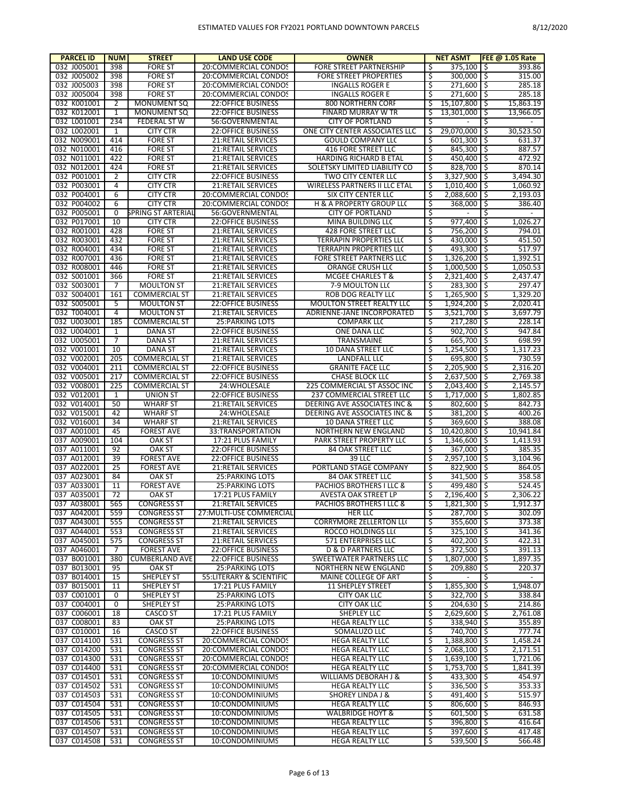| <b>PARCEL ID</b>           | <b>NUM</b> | <b>STREET</b>                                | <b>LAND USE CODE</b>                                   | <b>OWNER</b>                                           |         | <b>NET ASMT</b>                |          | <b>FEE @ 1.05 Rate</b> |
|----------------------------|------------|----------------------------------------------|--------------------------------------------------------|--------------------------------------------------------|---------|--------------------------------|----------|------------------------|
| 032 J005001                | 398        | <b>FORE ST</b>                               | 20:COMMERCIAL CONDOS                                   | <b>FORE STREET PARTNERSHIP</b>                         | Ś       | 375,100                        | Ŝ.       | 393.86                 |
| 032 J005002                | 398        | <b>FORE ST</b>                               | 20:COMMERCIAL CONDOS                                   | <b>FORE STREET PROPERTIES</b>                          | \$      | 300,000                        | .S       | 315.00                 |
| 032 J005003                | 398        | <b>FORE ST</b>                               | 20:COMMERCIAL CONDOS                                   | <b>INGALLS ROGER E</b>                                 | Ś       | 271,600                        | Ŝ.       | 285.18                 |
| 032 J005004                | 398        | <b>FORE ST</b>                               | 20:COMMERCIAL CONDOS                                   | <b>INGALLS ROGER E</b>                                 | \$      | 271,600                        | Ŝ.       | 285.18                 |
| 032 K001001                | 2          | <b>MONUMENT SQ</b>                           | <b>22:OFFICE BUSINESS</b>                              | 800 NORTHERN CORF                                      | Ś       | 15.107.800                     | Ś        | 15,863.19              |
| 032 K012001                | 1          | <b>MONUMENT SQ</b>                           | <b>22:OFFICE BUSINESS</b>                              | <b>FINARD MURRAY W TR</b>                              | Ś       | 13,301,000                     | Ś        | 13,966.05              |
| 032 L001001                | 234        | <b>FEDERAL ST W</b>                          | 56:GOVERNMENTAL                                        | <b>CITY OF PORTLAND</b>                                |         |                                | Ś        |                        |
| 032 L002001                | 1          | <b>CITY CTR</b>                              | <b>22:OFFICE BUSINESS</b>                              | ONE CITY CENTER ASSOCIATES LLC                         | Ś<br>Ś  | 29,070,000                     | Ŝ        | 30,523.50              |
| 032 N009001<br>032 N010001 | 414<br>416 | <b>FORE ST</b><br><b>FORE ST</b>             | 21:RETAIL SERVICES<br>21:RETAIL SERVICES               | <b>GOULD COMPANY LLC</b><br><b>416 FORE STREET LLC</b> | \$      | 601,300<br>845,300             | Ś<br>۱Ś  | 631.37<br>887.57       |
| 032 N011001                | 422        | <b>FORE ST</b>                               | <b>21:RETAIL SERVICES</b>                              | <b>HARDING RICHARD B ETAL</b>                          | Ś       | 450,400                        | Ŝ.       | 472.92                 |
| 032 N012001                | 424        | <b>FORE ST</b>                               | <b>21:RETAIL SERVICES</b>                              | SOLETSKY LIMITED LIABILITY CO                          | Ś       | 828,700                        | .S       | 870.14                 |
| 032 P001001                | 2          | <b>CITY CTR</b>                              | <b>22:OFFICE BUSINESS</b>                              | TWO CITY CENTER LLC                                    |         | 3,327,900                      | Ŝ.       | 3.494.30               |
| 032 P003001                | 4          | <b>CITY CTR</b>                              | 21:RETAIL SERVICES                                     | <b>WIRELESS PARTNERS II LLC ETAL</b>                   | Ś       | 1,010,400                      | .S       | 1,060.92               |
| 032 P004001                | 6          | <b>CITY CTR</b>                              | 20:COMMERCIAL CONDOS                                   | SIX CITY CENTER LLC                                    | Ś       | 2,088,600                      | Ŝ.       | 2,193.03               |
| 032 P004002                | 6          | <b>CITY CTR</b>                              | 20:COMMERCIAL CONDOS                                   | <b>H &amp; A PROPERTY GROUP LL(</b>                    | Ś       | 368,000                        | Ś        | 386.40                 |
| 032 P005001                | 0          | <b>SPRING ST ARTERIAL</b>                    | 56:GOVERNMENTAL                                        | <b>CITY OF PORTLAND</b>                                | Ś       |                                | Ś        |                        |
| 032 P017001                | 10         | <b>CITY CTR</b>                              | <b>22:OFFICE BUSINESS</b>                              | MINA BUILDING LLC                                      | Ś       | 977,400                        | Ŝ        | 1,026.27               |
| 032 R001001                | 428        | <b>FORE ST</b>                               | 21:RETAIL SERVICES                                     | <b>428 FORE STREET LLC</b>                             | Ś       | 756,200                        | Ŝ.       | 794.01                 |
| 032 R003001                | 432        | <b>FORE ST</b>                               | 21:RETAIL SERVICES                                     | <b>TERRAPIN PROPERTIES LLC</b>                         | Ś       | 430,000                        | ۱\$      | 451.50                 |
| 032 R004001                | 434        | <b>FORE ST</b>                               | 21:RETAIL SERVICES                                     | <b>TERRAPIN PROPERTIES LLC</b>                         |         | 493,300                        | Ŝ.       | 517.97                 |
| 032 R007001                | 436        | <b>FORE ST</b>                               | <b>21:RETAIL SERVICES</b>                              | <b>FORE STREET PARTNERS LLC</b>                        | \$      | 1,326,200                      | .S       | 1,392.51               |
| 032 R008001                | 446        | <b>FORE ST</b>                               | <b>21:RETAIL SERVICES</b>                              | ORANGE CRUSH LLC                                       | Ś       | 1.000.500                      | Ŝ.       | 1.050.53               |
| 032 S001001                | 366        | <b>FORE ST</b>                               | 21:RETAIL SERVICES                                     | <b>MCGEE CHARLES T &amp;</b>                           | \$      | 2,321,400                      | Ŝ        | 2,437.47               |
| 032 S003001                | 7          | <b>MOULTON ST</b>                            | 21:RETAIL SERVICES                                     | 7-9 MOULTON LL(                                        | Ś       | 283,300                        | Ŝ.       | 297.47                 |
| 032 S004001                | 161        | <b>COMMERCIAL ST</b>                         | 21:RETAIL SERVICES                                     | ROB DOG REALTY LLC                                     | \$      | 1,265,900                      | Ŝ.       | 1,329.20               |
| 032 S005001                | 5          | <b>MOULTON ST</b>                            | <b>22:OFFICE BUSINESS</b>                              | <b>MOULTON STREET REALTY LLC</b>                       | Ś       | 1,924,200                      | Ŝ        | 2.020.41               |
| 032 T004001                | 4          | <b>MOULTON ST</b>                            | 21:RETAIL SERVICES                                     | ADRIENNE-JANE INCORPORATED                             | \$      | 3,521,700                      | ۱Ś       | 3,697.79               |
| 032 U003001                | 185        | <b>COMMERCIAL ST</b>                         | <b>25: PARKING LOTS</b>                                | <b>COMPARK LLC</b>                                     | Ś       | 217,280                        | Ŝ.       | 228.14                 |
| 032 U004001                | 1          | DANA ST                                      | <b>22:OFFICE BUSINESS</b>                              | ONE DANA LLC                                           | Ś       | 902,700                        | ۱\$      | 947.84                 |
| 032 U005001                | 7          | <b>DANA ST</b>                               | 21:RETAIL SERVICES                                     | <b>TRANSMAINE</b>                                      | Ś       | 665,700                        | Ŝ.       | 698.99                 |
| 032 V001001                | 10         | <b>DANA ST</b>                               | 21:RETAIL SERVICES                                     | 10 DANA STREET LLC                                     | \$      | 1,254,500                      | \$       | 1,317.23               |
| 032 V002001                | 205        | <b>COMMERCIAL ST</b>                         | 21:RETAIL SERVICES                                     | <b>LANDFALL LLC</b>                                    | Ś       | 695,800                        | Ś        | 730.59                 |
| 032 V004001<br>032 V005001 | 211<br>217 | <b>COMMERCIAL ST</b><br><b>COMMERCIAL ST</b> | <b>22:OFFICE BUSINESS</b><br><b>22:OFFICE BUSINESS</b> | <b>GRANITE FACE LLC</b><br><b>CHASE BLOCK LLC</b>      | \$<br>Ś | 2,205,900<br>2,637,500         | .S<br>Ŝ. | 2,316.20<br>2,769.38   |
| 032 V008001                | 225        | <b>COMMERCIAL ST</b>                         | 24: WHOLESALE                                          | 225 COMMERCIAL ST ASSOC INC                            | \$      | 2,043,400                      | Ŝ.       | 2,145.57               |
| 032 V012001                | 1          | <b>UNION ST</b>                              | <b>22:OFFICE BUSINESS</b>                              | 237 COMMERCIAL STREET LLC                              | Ś       | 1,717,000                      | Ś        | 1,802.85               |
| 032 V014001                | 50         | <b>WHARF ST</b>                              | 21:RETAIL SERVICES                                     | DEERING AVE ASSOCIATES INC &                           | \$      | 802,600                        | ۱Ś       | 842.73                 |
| 032 V015001                | 42         | <b>WHARF ST</b>                              | 24: WHOLESALE                                          | DEERING AVE ASSOCIATES INC &                           | Ś       | 381,200                        | Ŝ        | 400.26                 |
| 032 V016001                | 34         | <b>WHARF ST</b>                              | 21:RETAIL SERVICES                                     | 10 DANA STREET LLC                                     | Ś       | 369,600                        | Ŝ.       | 388.08                 |
| 037 A001001                | 45         | <b>FOREST AVE</b>                            | 33:TRANSPORTATION                                      | NORTHERN NEW ENGLAND                                   | Ś       | 10,420,800                     | Ś        | 10,941.84              |
| 037 A009001                | 104        | OAK ST                                       | 17:21 PLUS FAMILY                                      | PARK STREET PROPERTY LLC                               | \$      | 1,346,600                      | .S       | 1,413.93               |
| 037 A011001                | 92         | <b>OAK ST</b>                                | <b>22:OFFICE BUSINESS</b>                              | 84 OAK STREET LLC                                      | Ś       | 367,000                        | Ś        | 385.35                 |
| 037 A012001                | 39         | <b>FOREST AVE</b>                            | <b>22:OFFICE BUSINESS</b>                              | 39 LLC                                                 | \$      | 2,957,100                      | \$       | 3,104.96               |
| 037 A022001                | 25         | <b>FOREST AVE</b>                            | <b>21:RETAIL SERVICES</b>                              | PORTLAND STAGE COMPANY                                 | Ś       | 822.900                        | Ŝ        | 864.05                 |
| 037 A023001                | 84         | <b>OAK ST</b>                                | <b>25: PARKING LOTS</b>                                | 84 OAK STREET LLC                                      | \$      | 341.500                        | ۱Ś       | 358.58                 |
| 037 A033001                | 11         | <b>FOREST AVE</b>                            | <b>25:PARKING LOTS</b>                                 | PACHIOS BROTHERS I LLC 8                               | Ś       | 499.480                        | Ś        | 524.45                 |
| 037 A035001                | 72         | <b>OAK ST</b>                                | 17:21 PLUS FAMILY                                      | AVESTA OAK STREET LP                                   | Ś       | 2,196,400                      | Ŝ        | 2.306.22               |
| 037 A038001                | 565        | <b>CONGRESS ST</b>                           | <b>21:RETAIL SERVICES</b>                              | PACHIOS BROTHERS I LLC 8                               | Ś       | $1,821,300$ \$                 |          | 1,912.37               |
| 037 A042001                | 559        | <b>CONGRESS ST</b>                           | 27: MULTI-USE COMMERCIAL                               | HER LLC                                                | Ŝ       | $287,700$ \$                   |          | 302.09                 |
| 037 A043001                | 555        | <b>CONGRESS ST</b>                           | <b>21:RETAIL SERVICES</b>                              | <b>CORRYMORE ZELLERTON LLI</b>                         | \$      | $355,600$   \$                 |          | 373.38                 |
| 037 A044001                | 553        | <b>CONGRESS ST</b>                           | 21:RETAIL SERVICES                                     | ROCCO HOLDINGS LLO                                     | \$      | $325,100$   \$                 |          | 341.36                 |
| 037 A045001                | 575        | <b>CONGRESS ST</b>                           | 21:RETAIL SERVICES                                     | 571 ENTERPRISES LLC                                    | Ś       | $402,200$ \$                   |          | 422.31                 |
| 037 A046001                | 7          | <b>FOREST AVE</b>                            | <b>22:OFFICE BUSINESS</b>                              | <b>D &amp; D PARTNERS LLC</b>                          | \$      | $372,500$   \$                 |          | 391.13                 |
| 037 B001001                | 380        | <b>CUMBERLAND AVE</b>                        | 22:OFFICE BUSINESS                                     | SWEETWATER PARTNERS LLC                                | Ś       | 1,807,000                      | l \$     | 1,897.35               |
| 037 B013001                | 95         | OAK ST                                       | 25: PARKING LOTS                                       | NORTHERN NEW ENGLAND                                   | \$      | 209,880                        | -\$      | 220.37                 |
| 037 B014001                | 15         | SHEPLEY ST                                   | 55: LITERARY & SCIENTIFIC                              | MAINE COLLEGE OF ART                                   | Ś       | $\sim$                         | Ś        | $\sim$                 |
| 037 B015001<br>037 C001001 | 11<br>0    | SHEPLEY ST                                   | 17:21 PLUS FAMILY<br>25: PARKING LOTS                  | <b>11 SHEPLEY STREET</b>                               | \$<br>Ś | $1,855,300$ \$<br>$322,700$ \$ |          | 1,948.07<br>338.84     |
| 037 C004001                | 0          | SHEPLEY ST<br>SHEPLEY ST                     | 25: PARKING LOTS                                       | <b>CITY OAK LLC</b><br><b>CITY OAK LLC</b>             | \$      | $204,630$ \$                   |          | 214.86                 |
| 037 C006001                | 18         | CASCO ST                                     | 17:21 PLUS FAMILY                                      | <b>SHEPLEY LLC</b>                                     | Ś       | 2,629,600 \$                   |          | 2,761.08               |
| 037 C008001                | 83         | <b>OAK ST</b>                                | 25: PARKING LOTS                                       | <b>HEGA REALTY LLC</b>                                 | \$      | $338,940$ \$                   |          | 355.89                 |
| 037 C010001                | 16         | CASCO ST                                     | <b>22:OFFICE BUSINESS</b>                              | SOMALUZO LLC                                           | Ś       | 740,700 \$                     |          | 777.74                 |
| 037 C014100                | 531        | <b>CONGRESS ST</b>                           | 20:COMMERCIAL CONDOS                                   | HEGA REALTY LLC                                        | \$      | 1,388,800 \$                   |          | 1,458.24               |
| 037 C014200                | 531        | <b>CONGRESS ST</b>                           | 20:COMMERCIAL CONDOS                                   | <b>HEGA REALTY LLC</b>                                 | Ś       | $2,068,100$ \$                 |          | 2,171.51               |
| 037 C014300                | 531        | <b>CONGRESS ST</b>                           | 20:COMMERCIAL CONDOS                                   | HEGA REALTY LLC                                        | \$      | $1,639,100$ \$                 |          | 1,721.06               |
| 037 C014400                | 531        | <b>CONGRESS ST</b>                           | 20:COMMERCIAL CONDOS                                   | HEGA REALTY LLC                                        | Ś       | $1,753,700$ \$                 |          | 1,841.39               |
| 037 C014501                | 531        | <b>CONGRESS ST</b>                           | 10:CONDOMINIUMS                                        | WILLIAMS DEBORAH J &                                   | \$      | $433,300$   \$                 |          | 454.97                 |
| 037 C014502                | 531        | <b>CONGRESS ST</b>                           | 10:CONDOMINIUMS                                        | <b>HEGA REALTY LLC</b>                                 | Ś       | $336,500$   \$                 |          | 353.33                 |
| 037 C014503                | 531        | <b>CONGRESS ST</b>                           | 10:CONDOMINIUMS                                        | <b>SHOREY LINDA J &amp;</b>                            | \$      | 491,400 \$                     |          | 515.97                 |
| 037 C014504                | 531        | <b>CONGRESS ST</b>                           | 10:CONDOMINIUMS                                        | HEGA REALTY LLC                                        | Ś       | $806,600$ \$                   |          | 846.93                 |
| 037 C014505                | 531        | <b>CONGRESS ST</b>                           | 10:CONDOMINIUMS                                        | WALBRIDGE HOYT &                                       | \$      | $601,500$ \$                   |          | 631.58                 |
| 037 C014506                | 531        | <b>CONGRESS ST</b>                           | 10:CONDOMINIUMS                                        | HEGA REALTY LLC                                        | Ś       | 396,800 \$                     |          | 416.64                 |
| 037 C014507                | 531        | <b>CONGRESS ST</b>                           | 10:CONDOMINIUMS                                        | HEGA REALTY LLC                                        | \$      | 397,600 \$                     |          | 417.48                 |
| 037 C014508                | 531        | <b>CONGRESS ST</b>                           | 10:CONDOMINIUMS                                        | HEGA REALTY LLC                                        | Ŝ       | $539,500$ \$                   |          | 566.48                 |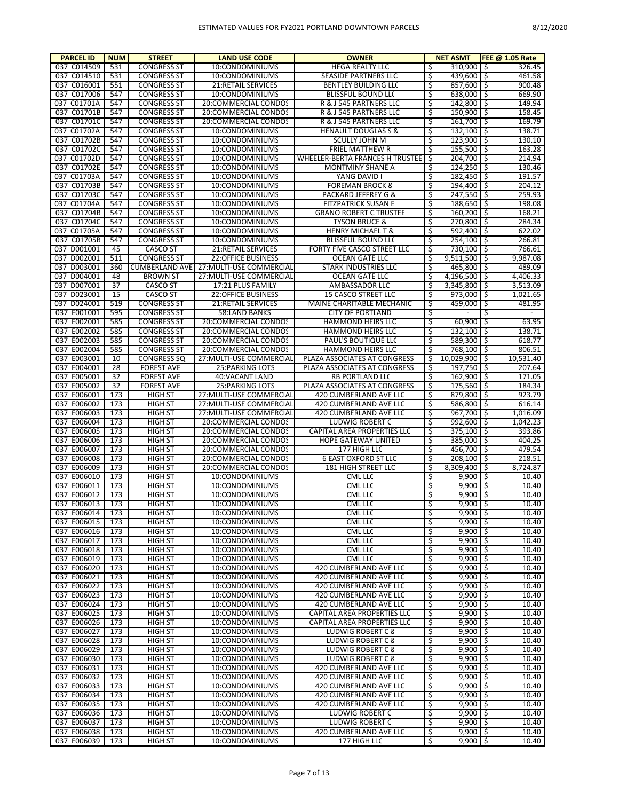| <b>PARCEL ID</b> | <b>NUM</b> | <b>STREET</b>         | <b>LAND USE CODE</b>      | <b>OWNER</b>                       |    | <b>NET ASMT</b> |   | FEE @ 1.05 Rate          |
|------------------|------------|-----------------------|---------------------------|------------------------------------|----|-----------------|---|--------------------------|
| 037 C014509      | 531        | <b>CONGRESS ST</b>    | 10:CONDOMINIUMS           | HEGA REALTY LLC                    | \$ | 310,900 \$      |   | 326.45                   |
| 037 C014510      | 531        | <b>CONGRESS ST</b>    | 10:CONDOMINIUMS           | SEASIDE PARTNERS LLC               | \$ | 439,600 \$      |   | 461.58                   |
| 037 C016001      | 551        | <b>CONGRESS ST</b>    | 21:RETAIL SERVICES        | <b>BENTLEY BUILDING LLC</b>        | \$ | $857,600$ \$    |   | 900.48                   |
| 037 C017006      | 547        | <b>CONGRESS ST</b>    | 10:CONDOMINIUMS           | <b>BLISSFUL BOUND LLC</b>          | \$ | 638,000 \$      |   | 669.90                   |
| 037 C01701A      | 547        | <b>CONGRESS ST</b>    | 20:COMMERCIAL CONDOS      | R & J 545 PARTNERS LLC             | \$ | $142,800$ \$    |   | 149.94                   |
| 037 C01701B      | 547        | <b>CONGRESS ST</b>    | 20:COMMERCIAL CONDOS      | R & J 545 PARTNERS LLC             | \$ | $150,900$ \$    |   | 158.45                   |
| 037 C01701C      | 547        | <b>CONGRESS ST</b>    | 20:COMMERCIAL CONDOS      | R & J 545 PARTNERS LLC             | \$ | $161,700$ \$    |   | 169.79                   |
| 037 C01702A      | 547        | <b>CONGRESS ST</b>    | 10:CONDOMINIUMS           | <b>HENAULT DOUGLAS S &amp;</b>     | \$ | $132,100$ \$    |   | 138.71                   |
| 037 C01702B      | 547        | <b>CONGRESS ST</b>    | 10:CONDOMINIUMS           | <b>SCULLY JOHN M</b>               | \$ | $123,900$ \$    |   | 130.10                   |
| 037 C01702C      | 547        | <b>CONGRESS ST</b>    | 10:CONDOMINIUMS           | FRIEL MATTHEW R                    | \$ | 155,500 \$      |   | 163.28                   |
| 037 C01702D      | 547        | <b>CONGRESS ST</b>    | 10:CONDOMINIUMS           | WHEELER-BERTA FRANCES H TRUSTEE    | Ŝ  | 204,700 \$      |   | 214.94                   |
| 037 C01702E      | 547        | <b>CONGRESS ST</b>    | 10:CONDOMINIUMS           | MONTMINY SHANE A                   | \$ | $124,250$ \$    |   | 130.46                   |
| 037 C01703A      | 547        | <b>CONGRESS ST</b>    | 10:CONDOMINIUMS           | YANG DAVID I                       | \$ | $182,450$ \$    |   | 191.57                   |
| 037 C01703B      | 547        | <b>CONGRESS ST</b>    | 10:CONDOMINIUMS           | <b>FOREMAN BROCK &amp;</b>         | \$ | 194,400 \$      |   | 204.12                   |
| 037 C01703C      | 547        | <b>CONGRESS ST</b>    | 10:CONDOMINIUMS           | PACKARD JEFFREY G &                | \$ | $247,550$ \$    |   | 259.93                   |
| 037 C01704A      | 547        | <b>CONGRESS ST</b>    | 10:CONDOMINIUMS           | <b>FITZPATRICK SUSAN E</b>         | \$ | 188,650 \$      |   | 198.08                   |
| 037 C01704B      | 547        | <b>CONGRESS ST</b>    | 10:CONDOMINIUMS           | <b>GRANO ROBERT C TRUSTEE</b>      | \$ | $160,200$ \$    |   | 168.21                   |
| 037 C01704C      | 547        | <b>CONGRESS ST</b>    | 10:CONDOMINIUMS           | <b>TYSON BRUCE &amp;</b>           | \$ | 270,800 \$      |   | 284.34                   |
| 037 C01705A      | 547        | <b>CONGRESS ST</b>    | 10:CONDOMINIUMS           | <b>HENRY MICHAEL T &amp;</b>       | \$ | $592,400$ \$    |   | 622.02                   |
| 037 C01705B      | 547        | <b>CONGRESS ST</b>    | 10:CONDOMINIUMS           | BLISSFUL BOUND LLC                 | \$ | $254,100$ \$    |   | 266.81                   |
| 037 D001001      | 45         | <b>CASCO ST</b>       | 21:RETAIL SERVICES        | FORTY FIVE CASCO STREET LLC        | \$ | $730,100$ \$    |   | 766.61                   |
| 037 D002001      | 511        | <b>CONGRESS ST</b>    | <b>22:OFFICE BUSINESS</b> | <b>OCEAN GATE LLC</b>              | \$ | $9,511,500$ \$  |   | 9,987.08                 |
| 037 D003001      | 360        | <b>CUMBERLAND AVE</b> | 27: MULTI-USE COMMERCIAL  | <b>STARK INDUSTRIES LLC</b>        | \$ | 465.800 \$      |   | 489.09                   |
| 037 D004001      | 48         | <b>BROWN ST</b>       | 27: MULTI-USE COMMERCIAL  | <b>OCEAN GATE LLC</b>              | \$ | $4,196,500$ \$  |   | 4,406.33                 |
| 037 D007001      |            |                       |                           |                                    | \$ |                 |   |                          |
|                  | 37         | <b>CASCO ST</b>       | 17:21 PLUS FAMILY         | AMBASSADOR LLC                     |    | $3,345,800$ \$  |   | 3,513.09                 |
| 037 D023001      | 15         | <b>CASCO ST</b>       | <b>22:OFFICE BUSINESS</b> | <b>15 CASCO STREET LLC</b>         | \$ | $973,000$ \$    |   | 1,021.65                 |
| 037 D024001      | 519        | <b>CONGRESS ST</b>    | 21:RETAIL SERVICES        | MAINE CHARITABLE MECHANIC          | \$ | $459,000$ \$    |   | 481.95                   |
| 037 E001001      | 595        | <b>CONGRESS ST</b>    | 58:LAND BANKS             | <b>CITY OF PORTLAND</b>            | \$ |                 | Ŝ | $\overline{\phantom{a}}$ |
| 037 E002001      | 585        | <b>CONGRESS ST</b>    | 20:COMMERCIAL CONDOS      | HAMMOND HEIRS LLC                  | \$ | $60,900$ \$     |   | 63.95                    |
| 037 E002002      | 585        | <b>CONGRESS ST</b>    | 20:COMMERCIAL CONDOS      | HAMMOND HEIRS LLC                  | \$ | $132,100$ \$    |   | 138.71                   |
| 037 E002003      | 585        | <b>CONGRESS ST</b>    | 20:COMMERCIAL CONDOS      | <b>PAUL'S BOUTIQUE LLC</b>         | \$ | 589,300 \$      |   | 618.77                   |
| 037 E002004      | 585        | <b>CONGRESS ST</b>    | 20:COMMERCIAL CONDOS      | HAMMOND HEIRS LLC                  | \$ | 768,100 \$      |   | 806.51                   |
| 037 E003001      | 10         | <b>CONGRESS SQ</b>    | 27: MULTI-USE COMMERCIAL  | PLAZA ASSOCIATES AT CONGRESS       | \$ | 10,029,900 \$   |   | 10,531.40                |
| 037 E004001      | 28         | <b>FOREST AVE</b>     | 25: PARKING LOTS          | PLAZA ASSOCIATES AT CONGRESS       | \$ | 197,750 \$      |   | 207.64                   |
| 037 E005001      | 32         | <b>FOREST AVE</b>     | 40: VACANT LAND           | <b>RB PORTLAND LLC</b>             | \$ | $162,900$ \$    |   | 171.05                   |
| 037 E005002      | 32         | <b>FOREST AVE</b>     | 25: PARKING LOTS          | PLAZA ASSOCIATES AT CONGRESS       | \$ | 175,560 \$      |   | 184.34                   |
| 037 E006001      | 173        | <b>HIGH ST</b>        | 27: MULTI-USE COMMERCIAL  | 420 CUMBERLAND AVE LLC             | \$ | 879,800 \$      |   | 923.79                   |
| 037 E006002      | 173        | <b>HIGH ST</b>        | 27: MULTI-USE COMMERCIAL  | 420 CUMBERLAND AVE LLC             | \$ | 586,800 \$      |   | 616.14                   |
| 037 E006003      | 173        | <b>HIGH ST</b>        | 27: MULTI-USE COMMERCIAL  | 420 CUMBERLAND AVE LLC             | \$ | $967,700$ \$    |   | 1,016.09                 |
| 037 E006004      | 173        | <b>HIGH ST</b>        | 20:COMMERCIAL CONDOS      | LUDWIG ROBERT C                    | \$ | 992,600 \$      |   | 1,042.23                 |
| 037 E006005      | 173        | <b>HIGH ST</b>        | 20:COMMERCIAL CONDOS      | CAPITAL AREA PROPERTIES LLC        | \$ | $375,100$ \$    |   | 393.86                   |
| 037 E006006      | 173        | <b>HIGH ST</b>        | 20:COMMERCIAL CONDOS      | HOPE GATEWAY UNITED                | \$ | 385,000 \$      |   | 404.25                   |
| 037 E006007      | 173        | <b>HIGH ST</b>        | 20:COMMERCIAL CONDOS      | 177 HIGH LLC                       | \$ | $456,700$ \$    |   | 479.54                   |
| 037 E006008      | 173        | <b>HIGH ST</b>        | 20:COMMERCIAL CONDOS      | <b>6 EAST OXFORD ST LLC</b>        | \$ | 208,100 \$      |   | 218.51                   |
| 037 E006009      | 173        | <b>HIGH ST</b>        | 20:COMMERCIAL CONDOS      | <b>181 HIGH STREET LLC</b>         | \$ | 8,309,400 \$    |   | 8,724.87                 |
| 037 E006010      | 173        | <b>HIGH ST</b>        | 10:CONDOMINIUMS           | CML LLC                            | \$ | $9,900$ \$      |   | 10.40                    |
| 037 E006011      | 173        | <b>HIGH ST</b>        | 10:CONDOMINIUMS           | CML LLC                            | \$ | $9,900$ \$      |   | 10.40                    |
| 037 E006012      | 173        | <b>HIGH ST</b>        | 10:CONDOMINIUMS           | CML LLC                            | \$ | $9,900$ \$      |   | 10.40                    |
| 037 E006013      | 173        | HIGH ST               | 10:CONDOMINIUMS           | <b>CML LLC</b>                     | र  | $9,900$ \$      |   | 10.40                    |
| 037 E006014      | 173        | HIGH ST               | 10:CONDOMINIUMS           | <b>CML LLC</b>                     | \$ | $9,900$ \$      |   | 10.40                    |
| 037 E006015      | 173        | <b>HIGH ST</b>        | 10:CONDOMINIUMS           | CML LLC                            | \$ | $9,900$ \$      |   | 10.40                    |
| 037 E006016      | 173        | <b>HIGH ST</b>        | 10:CONDOMINIUMS           | CML LLC                            | \$ | $9,900$ \$      |   | 10.40                    |
| 037 E006017      | 173        | <b>HIGH ST</b>        | 10:CONDOMINIUMS           | <b>CML LLC</b>                     | \$ | $9,900$ \$      |   | 10.40                    |
| 037 E006018      | 173        | <b>HIGH ST</b>        | 10:CONDOMINIUMS           | CML LLC                            | \$ | $9,900$ \$      |   | 10.40                    |
| 037 E006019      | 173        | <b>HIGH ST</b>        | 10:CONDOMINIUMS           | CML LLC                            | \$ | $9,900$ \$      |   | 10.40                    |
| 037 E006020      | 173        | <b>HIGH ST</b>        | 10:CONDOMINIUMS           | 420 CUMBERLAND AVE LLC             | \$ | $9,900$ \$      |   | 10.40                    |
| 037 E006021      | 173        | <b>HIGH ST</b>        | 10:CONDOMINIUMS           | 420 CUMBERLAND AVE LLC             | \$ | $9,900$ \$      |   | 10.40                    |
| 037 E006022      | 173        | <b>HIGH ST</b>        | 10:CONDOMINIUMS           | 420 CUMBERLAND AVE LLC             | \$ | $9,900$ \$      |   | 10.40                    |
| 037 E006023      | 173        | <b>HIGH ST</b>        | 10:CONDOMINIUMS           | 420 CUMBERLAND AVE LLC             | \$ | $9,900$ \$      |   | 10.40                    |
| 037 E006024      | 173        | <b>HIGH ST</b>        | 10:CONDOMINIUMS           | 420 CUMBERLAND AVE LLC             | \$ | $9,900$ \$      |   | 10.40                    |
| 037 E006025      | 173        | <b>HIGH ST</b>        | 10:CONDOMINIUMS           | CAPITAL AREA PROPERTIES LLC        | \$ | $9,900$ \$      |   | 10.40                    |
| 037 E006026      | 173        | <b>HIGH ST</b>        | 10:CONDOMINIUMS           | <b>CAPITAL AREA PROPERTIES LLC</b> | \$ | $9,900$ \$      |   | 10.40                    |
| 037 E006027      | 173        | <b>HIGH ST</b>        | 10:CONDOMINIUMS           | <b>LUDWIG ROBERT C 8</b>           | \$ | $9,900$ \$      |   | 10.40                    |
| 037 E006028      | 173        | <b>HIGH ST</b>        | 10:CONDOMINIUMS           | LUDWIG ROBERT C 8                  | \$ | $9,900$ \$      |   | 10.40                    |
| 037 E006029      | 173        | <b>HIGH ST</b>        | 10:CONDOMINIUMS           | LUDWIG ROBERT C 8                  | \$ | $9,900$ \$      |   | 10.40                    |
|                  |            |                       |                           |                                    |    | $9,900$ \$      |   |                          |
| 037 E006030      | 173        | <b>HIGH ST</b>        | 10:CONDOMINIUMS           | LUDWIG ROBERT C 8                  | \$ |                 |   | 10.40                    |
| 037 E006031      | 173        | <b>HIGH ST</b>        | 10:CONDOMINIUMS           | 420 CUMBERLAND AVE LLC             | \$ | $9,900$ \$      |   | 10.40                    |
| 037 E006032      | 173        | <b>HIGH ST</b>        | 10:CONDOMINIUMS           | 420 CUMBERLAND AVE LLC             | \$ | $9,900$ \$      |   | 10.40                    |
| 037 E006033      | 173        | <b>HIGH ST</b>        | 10:CONDOMINIUMS           | 420 CUMBERLAND AVE LLC             | \$ | $9,900$ \$      |   | 10.40                    |
| 037 E006034      | 173        | <b>HIGH ST</b>        | 10:CONDOMINIUMS           | 420 CUMBERLAND AVE LLC             | \$ | $9,900$ \$      |   | 10.40                    |
| 037 E006035      | 173        | <b>HIGH ST</b>        | 10:CONDOMINIUMS           | 420 CUMBERLAND AVE LLC             | \$ | $9,900$ \$      |   | 10.40                    |
| 037 E006036      | 173        | <b>HIGH ST</b>        | 10:CONDOMINIUMS           | LUDWIG ROBERT C                    | \$ | $9,900$ \$      |   | 10.40                    |
| 037 E006037      | 173        | <b>HIGH ST</b>        | 10:CONDOMINIUMS           | LUDWIG ROBERT C                    | \$ | $9,900$ \$      |   | 10.40                    |
| 037 E006038      | 173        | <b>HIGH ST</b>        | 10:CONDOMINIUMS           | 420 CUMBERLAND AVE LLC             | \$ | $9,900$ \$      |   | 10.40                    |
| 037 E006039      | 173        | <b>HIGH ST</b>        | 10:CONDOMINIUMS           | 177 HIGH LLC                       | \$ | $9,900$ \$      |   | 10.40                    |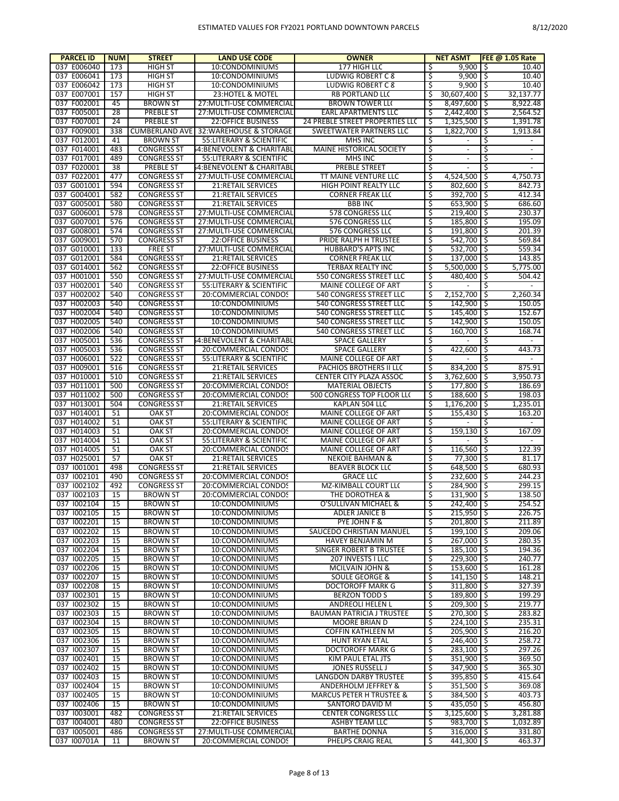| <b>PARCEL ID</b>           | <b>NUM</b> | <b>STREET</b>                            | <b>LAND USE CODE</b>                                   | <b>OWNER</b>                                    |          | <b>NET ASMT</b>                |         | <b>FEE @ 1.05 Rate</b> |
|----------------------------|------------|------------------------------------------|--------------------------------------------------------|-------------------------------------------------|----------|--------------------------------|---------|------------------------|
| 037 E006040                | 173        | HIGH ST                                  | 10:CONDOMINIUMS                                        | 177 HIGH LLC                                    | \$       | $9,900$   \$                   |         | 10.40                  |
| 037 E006041                | 173        | HIGH ST                                  | 10:CONDOMINIUMS                                        | LUDWIG ROBERT C 8                               | \$       | $9,900$   \$                   |         | 10.40                  |
| 037 E006042                | 173        | HIGH ST                                  | 10:CONDOMINIUMS                                        | LUDWIG ROBERT C 8                               | \$       | $9,900$ \$                     |         | 10.40                  |
| 037 E007001                | 157        | <b>HIGH ST</b>                           | 23: HOTEL & MOTEL                                      | <b>RB PORTLAND LLC</b>                          | \$       | 30,607,400 \$                  |         | 32,137.77              |
| 037 F002001                | 45         | <b>BROWN ST</b>                          | 27: MULTI-USE COMMERCIAL                               | <b>BROWN TOWER LLC</b>                          | \$       | $8,497,600$ \$                 |         | 8,922.48               |
| 037 F005001                | 28         | <b>PREBLE ST</b>                         | 27: MULTI-USE COMMERCIAL                               | EARL APARTMENTS LLC                             | \$       | 2,442,400 \$                   |         | 2,564.52               |
| 037 F007001                | 24         | <b>PREBLE ST</b>                         | <b>22:OFFICE BUSINESS</b>                              | 24 PREBLE STREET PROPERTIES LLC                 | \$       | $1,325,500$ \$                 |         | 1,391.78               |
| 037 F009001                | 338        | <b>CUMBERLAND AVE</b>                    | 32: WAREHOUSE & STORAGE                                | <b>SWEETWATER PARTNERS LLC</b>                  | \$       | 1,822,700                      | 1\$     | 1,913.84               |
| 037 F012001<br>037 F014001 | 41         | <b>BROWN ST</b>                          | 55: LITERARY & SCIENTIFIC                              | MHS INC<br>MAINE HISTORICAL SOCIETY             | \$       | $\blacksquare$                 | S<br>\$ |                        |
| 037 F017001                | 483<br>489 | <b>CONGRESS ST</b><br><b>CONGRESS ST</b> | 54:BENEVOLENT & CHARITABL<br>55: LITERARY & SCIENTIFIC | MHS INC                                         | \$<br>\$ | $\blacksquare$                 | \$      | $\blacksquare$         |
| 037 F020001                | 38         | <b>PREBLE ST</b>                         | 54:BENEVOLENT & CHARITABI                              | <b>PREBLE STREET</b>                            | \$       | $\blacksquare$                 | \$      |                        |
| 037 F022001                | 477        | <b>CONGRESS ST</b>                       | 27: MULTI-USE COMMERCIAL                               | TT MAINE VENTURE LLC                            | \$       | 4,524,500                      | I\$     | 4,750.73               |
| 037 G001001                | 594        | <b>CONGRESS ST</b>                       | 21: RETAIL SERVICES                                    | <b>HIGH POINT REALTY LLC</b>                    | \$       | 802.600                        | 1\$     | 842.73                 |
| 037 G004001                | 582        | <b>CONGRESS ST</b>                       | 21:RETAIL SERVICES                                     | <b>CORNER FREAK LLC</b>                         | \$       | 392,700 \$                     |         | 412.34                 |
| 037 G005001                | 580        | <b>CONGRESS ST</b>                       | <b>21:RETAIL SERVICES</b>                              | <b>BBB INC</b>                                  | \$       | $653,900$   \$                 |         | 686.60                 |
| 037 G006001                | 578        | <b>CONGRESS ST</b>                       | 27: MULTI-USE COMMERCIAL                               | 578 CONGRESS LLC                                | \$       | $219,400$ \$                   |         | 230.37                 |
| 037 G007001                | 576        | <b>CONGRESS ST</b>                       | 27: MULTI-USE COMMERCIAL                               | 576 CONGRESS LLC                                | \$       | 185,800 \$                     |         | 195.09                 |
| 037 G008001                | 574        | <b>CONGRESS ST</b>                       | 27: MULTI-USE COMMERCIAL                               | 576 CONGRESS LLC                                | \$       | $191,800$ \$                   |         | 201.39                 |
| 037 G009001                | 570        | <b>CONGRESS ST</b>                       | <b>22:OFFICE BUSINESS</b>                              | PRIDE RALPH H TRUSTEE                           | \$       | 542,700 \$                     |         | 569.84                 |
| 037 G010001                | 133        | <b>FREE ST</b>                           | 27: MULTI-USE COMMERCIAL                               | <b>HUBBARD'S APTS INC</b>                       | \$       | 532,700 \$                     |         | 559.34                 |
| 037 G012001                | 584        | <b>CONGRESS ST</b>                       | 21: RETAIL SERVICES                                    | <b>CORNER FREAK LLC</b>                         | \$.      | 137,000 \$                     |         | 143.85                 |
| 037 G014001                | 562        | <b>CONGRESS ST</b>                       | <b>22:OFFICE BUSINESS</b>                              | <b>TERBAX REALTY INC</b>                        | \$       | $5,500,000$ S                  |         | 5,775.00               |
| 037 H001001                | 550        | <b>CONGRESS ST</b>                       | 27: MULTI-USE COMMERCIAL                               | 550 CONGRESS STREET LLC                         | \$       | 480,400 \$                     |         | 504.42                 |
| 037 H002001                | 540        | <b>CONGRESS ST</b>                       | 55: LITERARY & SCIENTIFIC                              | MAINE COLLEGE OF ART                            | \$       |                                | \$      |                        |
| 037 H002002                | 540        | <b>CONGRESS ST</b>                       | 20:COMMERCIAL CONDOS                                   | <b>540 CONGRESS STREET LLC</b>                  | \$       | $2,152,700$ \$                 |         | 2,260.34               |
| 037 H002003                | 540        | <b>CONGRESS ST</b>                       | 10:CONDOMINIUMS                                        | 540 CONGRESS STREET LLC                         | \$       | 142.900 \$                     |         | 150.05                 |
| 037 H002004                | 540        | <b>CONGRESS ST</b>                       | 10:CONDOMINIUMS                                        | 540 CONGRESS STREET LLC                         | \$       | 145,400 \$                     |         | 152.67                 |
| 037 H002005                | 540        | <b>CONGRESS ST</b>                       | 10:CONDOMINIUMS                                        | 540 CONGRESS STREET LLC                         | \$       | 142,900                        | I\$     | 150.05                 |
| 037 H002006                | 540        | <b>CONGRESS ST</b>                       | 10:CONDOMINIUMS                                        | 540 CONGRESS STREET LLC                         | \$       | 160,700                        | \$      | 168.74                 |
| 037 H005001                | 536        | <b>CONGRESS ST</b>                       | 54:BENEVOLENT & CHARITABL                              | <b>SPACE GALLERY</b>                            | \$       |                                | \$      |                        |
| 037 H005003                | 536        | <b>CONGRESS ST</b>                       | 20:COMMERCIAL CONDOS                                   | <b>SPACE GALLERY</b>                            | \$       | 422,600                        | Τ\$     | 443.73                 |
| 037 H006001                | 522        | <b>CONGRESS ST</b>                       | 55: LITERARY & SCIENTIFIC                              | MAINE COLLEGE OF ART<br>PACHIOS BROTHERS II LLC | \$       |                                | \$      | 875.91                 |
| 037 H009001<br>037 H010001 | 516<br>510 | <b>CONGRESS ST</b><br><b>CONGRESS ST</b> | <b>21:RETAIL SERVICES</b><br>21:RETAIL SERVICES        | CENTER CITY PLAZA ASSOC                         | \$<br>\$ | 834,200 \$<br>$3,762,600$ S    |         | 3,950.73               |
| 037 H011001                | 500        | <b>CONGRESS ST</b>                       | 20:COMMERCIAL CONDOS                                   | <b>MATERIAL OBJECTS</b>                         | \$       | 177,800                        | 1\$     | 186.69                 |
| 037 H011002                | 500        | <b>CONGRESS ST</b>                       | 20:COMMERCIAL CONDOS                                   | 500 CONGRESS TOP FLOOR LLC                      | \$       | 188,600 \$                     |         | 198.03                 |
| 037 H013001                | 504        | <b>CONGRESS ST</b>                       | <b>21:RETAIL SERVICES</b>                              | KAPLAN 504 LLC                                  | \$       | $1,176,200$   \$               |         | 1,235.01               |
| 037 H014001                | 51         | <b>OAK ST</b>                            | 20:COMMERCIAL CONDOS                                   | MAINE COLLEGE OF ART                            | \$       | $155,430$   \$                 |         | 163.20                 |
| 037 H014002                | 51         | OAK ST                                   | 55: LITERARY & SCIENTIFIC                              | MAINE COLLEGE OF ART                            | \$       |                                | \$      |                        |
| 037 H014003                | 51         | OAK ST                                   | 20:COMMERCIAL CONDOS                                   | MAINE COLLEGE OF ART                            | \$       | 159,130                        | I\$     | 167.09                 |
| 037 H014004                | 51         | OAK ST                                   | 55: LITERARY & SCIENTIFIC                              | MAINE COLLEGE OF ART                            | \$       |                                | \$      | $\blacksquare$         |
| 037 H014005                | 51         | <b>OAK ST</b>                            | 20:COMMERCIAL CONDOS                                   | MAINE COLLEGE OF ART                            | \$       | 116,560                        | 1\$     | 122.39                 |
| 037 H025001                | 57         | OAK ST                                   | 21: RETAIL SERVICES                                    | <b>NEKOIE BAHMAN &amp;</b>                      | \$       | 77,300 \$                      |         | 81.17                  |
| 037 1001001                | 498        | <b>CONGRESS ST</b>                       | 21:RETAIL SERVICES                                     | <b>BEAVER BLOCK LLC</b>                         | \$       | 648,500 \$                     |         | 680.93                 |
| 037 1002101                | 490        | <b>CONGRESS ST</b>                       | 20:COMMERCIAL CONDOS                                   | <b>GRACE LLC</b>                                | \$       | 232,600 \$                     |         | 244.23                 |
| 037 1002102                | 492        | <b>CONGRESS ST</b>                       | 20:COMMERCIAL CONDOS                                   | <b>MZ-KIMBALL COURT LL(</b>                     | \$       | 284,900 \$                     |         | 299.15                 |
| 037 1002103                | 15         | <b>BROWN ST</b>                          | 20:COMMERCIAL CONDOS                                   | THE DOROTHEA &                                  | \$       | 131,900 \$                     |         | 138.50                 |
| 037 1002104                | 15         | <b>BROWN ST</b>                          | 10:CONDOMINIUMS                                        | O'SULLIVAN MICHAEL &                            |          | 242,400 \$                     |         | 254.52                 |
| 037 1002105                | 15         | <b>BROWN ST</b>                          | 10:CONDOMINIUMS                                        | ADLER JANICE B                                  | \$       | $215,950$ \$                   |         | 226.75                 |
| 037 1002201                | 15         | <b>BROWN ST</b>                          | 10:CONDOMINIUMS                                        | PYE JOHN F &                                    | Ŝ        | 201,800 \$                     |         | 211.89                 |
| 037 1002202                | 15         | <b>BROWN ST</b>                          | 10:CONDOMINIUMS                                        | SAUCEDO CHRISTIAN MANUEL                        | \$       | 199,100 \$                     |         | 209.06                 |
| 037 1002203<br>037 1002204 | 15<br>15   | <b>BROWN ST</b><br><b>BROWN ST</b>       | 10:CONDOMINIUMS<br>10:CONDOMINIUMS                     | HAVEY BENJAMIN M<br>SINGER ROBERT B TRUSTEE     | \$<br>\$ | $267,000$ \$<br>$185,100$   \$ |         | 280.35<br>194.36       |
| 037 1002205                | 15         | <b>BROWN ST</b>                          | 10:CONDOMINIUMS                                        | 207 INVESTS I LLC                               | \$       | $229,300$ \$                   |         | 240.77                 |
| 037 1002206                | 15         | <b>BROWN ST</b>                          | 10:CONDOMINIUMS                                        | MCILVAIN JOHN &                                 | \$       | 153,600 \$                     |         | 161.28                 |
| 037 1002207                | 15         | <b>BROWN ST</b>                          | 10:CONDOMINIUMS                                        | SOULE GEORGE &                                  | \$       | $141,150$   \$                 |         | 148.21                 |
| 037 1002208                | 15         | <b>BROWN ST</b>                          | 10:CONDOMINIUMS                                        | <b>DOCTOROFF MARK G</b>                         | \$       | 311,800 \$                     |         | 327.39                 |
| 037 1002301                | 15         | <b>BROWN ST</b>                          | 10:CONDOMINIUMS                                        | <b>BERZON TODD S</b>                            | \$       | 189,800 \$                     |         | 199.29                 |
| 037 1002302                | 15         | <b>BROWN ST</b>                          | 10:CONDOMINIUMS                                        | ANDREOLI HELEN L                                | \$       | 209,300 \$                     |         | 219.77                 |
| 037 1002303                | 15         | <b>BROWN ST</b>                          | 10:CONDOMINIUMS                                        | <b>BAUMAN PATRICIA J TRUSTEE</b>                | \$       | $270,300$ \$                   |         | 283.82                 |
| 037 1002304                | 15         | <b>BROWN ST</b>                          | 10:CONDOMINIUMS                                        | MOORE BRIAN D                                   | \$       | $\overline{224,100}$ \$        |         | 235.31                 |
| 037 1002305                | 15         | <b>BROWN ST</b>                          | 10:CONDOMINIUMS                                        | <b>COFFIN KATHLEEN M</b>                        | \$       | $205,900$ \$                   |         | 216.20                 |
| 037 1002306                | 15         | <b>BROWN ST</b>                          | 10:CONDOMINIUMS                                        | HUNT RYAN ETAL                                  | \$       | 246,400 \$                     |         | 258.72                 |
| 037 1002307                | 15         | <b>BROWN ST</b>                          | 10:CONDOMINIUMS                                        | DOCTOROFF MARK G                                | \$       | 283,100 \$                     |         | 297.26                 |
| 037 1002401                | 15         | <b>BROWN ST</b>                          | 10:CONDOMINIUMS                                        | KIM PAUL ETAL JTS                               | \$       | 351,900 \$                     |         | 369.50                 |
| 037 1002402                | 15         | <b>BROWN ST</b>                          | 10:CONDOMINIUMS                                        | JONES RUSSELL J                                 | \$       | $347,900$ \$                   |         | 365.30                 |
| 037 1002403                | 15         | <b>BROWN ST</b>                          | 10:CONDOMINIUMS                                        | LANGDON DARBY TRUSTEE                           | \$       | 395,850 \$                     |         | 415.64                 |
| 037 1002404                | 15         | <b>BROWN ST</b>                          | 10:CONDOMINIUMS                                        | ANDERHOLM JEFFREY &                             | Ŝ        | $351,500$ \$                   |         | 369.08                 |
| 037 1002405                | 15         | <b>BROWN ST</b>                          | 10:CONDOMINIUMS                                        | <b>MARCUS PETER H TRUSTEE &amp;</b>             | \$       | 384,500 \$                     |         | 403.73                 |
| 037 1002406                | 15         | <b>BROWN ST</b>                          | 10:CONDOMINIUMS                                        | SANTORO DAVID M                                 | \$       | $435,050$   \$                 |         | 456.80                 |
| 037 1003001                | 482        | <b>CONGRESS ST</b>                       | 21:RETAIL SERVICES                                     | <b>CENTER CONGRESS LLC</b>                      | \$       | $3,125,600$   \$               |         | 3,281.88               |
| 037 1004001                | 480        | <b>CONGRESS ST</b>                       | 22:OFFICE BUSINESS                                     | ASHBY TEAM LLC                                  | \$       | 983,700 \$                     |         | 1,032.89               |
| 037 1005001                | 486        | <b>CONGRESS ST</b>                       | 27: MULTI-USE COMMERCIAL                               | <b>BARTHE DONNA</b>                             | \$       | $316,000$ \$                   |         | 331.80                 |
| 037 100701A                | 11         | <b>BROWN ST</b>                          | 20:COMMERCIAL CONDOS                                   | PHELPS CRAIG REAL                               | \$       | $441,300$ \$                   |         | 463.37                 |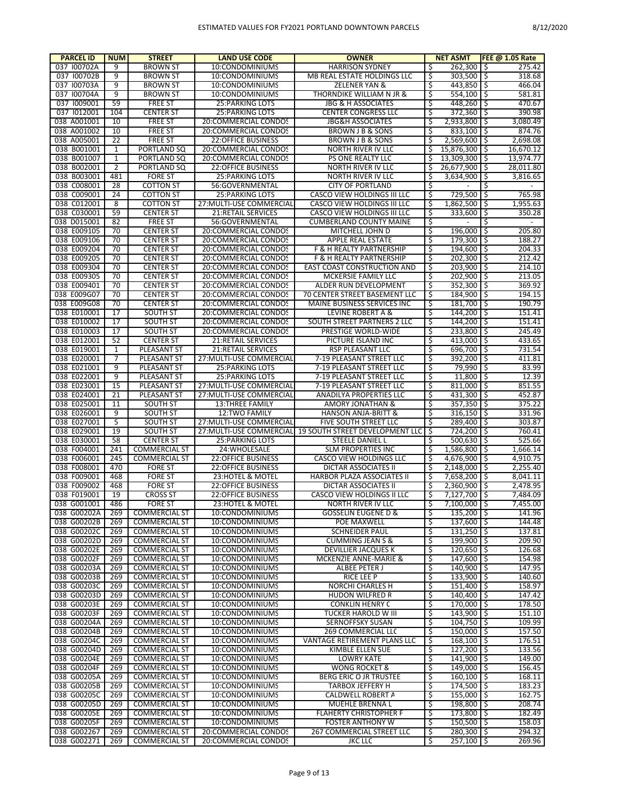| <b>PARCEL ID</b>           | <b>NUM</b>        | <b>STREET</b>                                | <b>LAND USE CODE</b>                              | <b>OWNER</b>                                              |           | <b>NET ASMT</b>                | FEE $@$ 1.05 Rate      |
|----------------------------|-------------------|----------------------------------------------|---------------------------------------------------|-----------------------------------------------------------|-----------|--------------------------------|------------------------|
| 037 I00702A                | 9                 | <b>BROWN ST</b>                              | 10:CONDOMINIUMS                                   | <b>HARRISON SYDNEY</b>                                    | Ŝ         | $262,300$ \$                   | 275.42                 |
| 037 I00702B                | 9                 | <b>BROWN ST</b>                              | 10:CONDOMINIUMS                                   | MB REAL ESTATE HOLDINGS LLC                               | \$        | $303,500$ \$                   | 318.68                 |
| 037 100703A                | 9                 | <b>BROWN ST</b>                              | 10:CONDOMINIUMS                                   | <b>ZELENER YAN &amp;</b>                                  | Ś         | 443,850 \$                     | 466.04                 |
| 037 I00704A                | 9                 | <b>BROWN ST</b>                              | 10:CONDOMINIUMS                                   | THORNDIKE WILLIAM N JR &                                  | \$        | $554,100$ \$                   | 581.81                 |
| 037 1009001                | 59                | <b>FREE ST</b>                               | <b>25: PARKING LOTS</b>                           | <b>JBG &amp; H ASSOCIATES</b>                             | Ś         | 448,260 \$                     | 470.67                 |
| 037 1012001                | 104               | <b>CENTER ST</b>                             | <b>25: PARKING LOTS</b>                           | <b>CENTER CONGRESS LLC</b>                                | \$        | $372,360$ \$                   | 390.98                 |
| 038 A001001                | 10                | <b>FREE ST</b>                               | 20:COMMERCIAL CONDOS                              | <b>JBG&amp;H ASSOCIATES</b>                               | \$        | 2,933,800 \$                   | 3,080.49               |
| 038 A001002                | 10                | <b>FREE ST</b>                               | 20:COMMERCIAL CONDOS                              | <b>BROWN J B &amp; SONS</b>                               | \$        | $833,100$ \$                   | 874.76                 |
| 038 A005001                | 22                | <b>FREE ST</b>                               | <b>22:OFFICE BUSINESS</b>                         | <b>BROWN J B &amp; SONS</b>                               | \$<br>Ś   | 2,569,600 \$                   | 2,698.08               |
| 038 B001001<br>038 B001007 | 1<br>$\mathbf{1}$ | PORTLAND SQ<br>PORTLAND SQ                   | 20:COMMERCIAL CONDOS<br>20:COMMERCIAL CONDOS      | NORTH RIVER IV LLC<br><b>PS ONE REALTY LLC</b>            | \$        | 15,876,300 \$                  | 16,670.12<br>13,974.77 |
| 038 B002001                | 2                 | PORTLAND SQ                                  | <b>22:OFFICE BUSINESS</b>                         | NORTH RIVER IV LLC                                        | \$        | 13,309,300 \$<br>26,677,900 \$ | 28,011.80              |
| 038 B003001                | 481               | <b>FORE ST</b>                               | <b>25:PARKING LOTS</b>                            | NORTH RIVER IV LLC                                        | \$        | $3,634,900$ \$                 | 3,816.65               |
| 038 C008001                | 28                | <b>COTTON ST</b>                             | 56:GOVERNMENTAL                                   | <b>CITY OF PORTLAND</b>                                   | \$        |                                | \$                     |
| 038 C009001                | 24                | <b>COTTON ST</b>                             | <b>25: PARKING LOTS</b>                           | CASCO VIEW HOLDINGS III LLC                               | \$        | 729,500 \$                     | 765.98                 |
| 038 C012001                | 8                 | <b>COTTON ST</b>                             | 27: MULTI-USE COMMERCIAL                          | CASCO VIEW HOLDINGS III LLC                               | \$        | $1,862,500$   \$               | 1,955.63               |
| 038 C030001                | 59                | <b>CENTER ST</b>                             | 21:RETAIL SERVICES                                | CASCO VIEW HOLDINGS III LLC                               | \$        | 333,600 \$                     | 350.28                 |
| 038 D015001                | 82                | <b>FREE ST</b>                               | 56:GOVERNMENTAL                                   | <b>CUMBERLAND COUNTY MAINE</b>                            | \$        |                                | \$                     |
| 038 E009105                | 70                | <b>CENTER ST</b>                             | 20:COMMERCIAL CONDOS                              | MITCHELL JOHN D                                           | \$        | $196,000$ \$                   | 205.80                 |
| 038 E009106                | 70                | <b>CENTER ST</b>                             | 20:COMMERCIAL CONDOS                              | <b>APPLE REAL ESTATE</b>                                  | \$        | 179,300 \$                     | 188.27                 |
| 038 E009204                | 70                | <b>CENTER ST</b>                             | 20:COMMERCIAL CONDOS                              | F & H REALTY PARTNERSHIP                                  | Ś         | 194,600 \$                     | 204.33                 |
| 038 E009205                | 70                | <b>CENTER ST</b>                             | 20:COMMERCIAL CONDOS                              | F & H REALTY PARTNERSHIP                                  | \$        | $202,300$ \$                   | 212.42                 |
| 038 E009304                | 70                | <b>CENTER ST</b>                             | 20:COMMERCIAL CONDOS                              | EAST COAST CONSTRUCTION AND                               | Ś         | $203,900$ \$                   | 214.10                 |
| 038 E009305                | 70                | <b>CENTER ST</b>                             | 20:COMMERCIAL CONDOS                              | MCKERSIE FAMILY LLC                                       | \$        | $202,900$ \$                   | 213.05                 |
| 038 E009401                | 70                | <b>CENTER ST</b>                             | 20:COMMERCIAL CONDOS                              | ALDER RUN DEVELOPMENT                                     | \$        | $352,300$ \$                   | 369.92                 |
| 038 E009G07                | 70                | <b>CENTER ST</b>                             | 20:COMMERCIAL CONDOS                              | 70 CENTER STREET BASEMENT LLC                             | \$        | 184,900 \$                     | 194.15                 |
| 038 E009G08                | 70                | <b>CENTER ST</b>                             | 20:COMMERCIAL CONDOS                              | MAINE BUSINESS SERVICES INC                               | \$        | 181,700 \$                     | 190.79                 |
| 038 E010001                | 17                | <b>SOUTH ST</b>                              | 20:COMMERCIAL CONDOS                              | LEVINE ROBERT A &                                         | \$        | 144,200 \$                     | 151.41                 |
| 038 E010002                | 17                | <b>SOUTH ST</b>                              | 20:COMMERCIAL CONDOS                              | SOUTH STREET PARTNERS 2 LLC                               | Ś         | 144,200 \$                     | 151.41                 |
| 038 E010003                | 17                | <b>SOUTH ST</b>                              | 20:COMMERCIAL CONDOS                              | <b>PRESTIGE WORLD-WIDE</b>                                | \$        | 233,800 \$                     | 245.49                 |
| 038 E012001                | 52                | <b>CENTER ST</b>                             | <b>21:RETAIL SERVICES</b>                         | PICTURE ISLAND INC                                        | \$        | $413,000$ \$                   | 433.65                 |
| 038 E019001                | 1                 | PLEASANT ST                                  | 21:RETAIL SERVICES                                | RSP PLEASANT LLC                                          | \$        | 696,700 \$                     | 731.54                 |
| 038 E020001                | $\overline{7}$    | PLEASANT ST                                  | 27: MULTI-USE COMMERCIAL                          | 7-19 PLEASANT STREET LLC                                  | \$        | 392,200 \$                     | 411.81                 |
| 038 E021001<br>038 E022001 | 9<br>9            | PLEASANT ST<br>PLEASANT ST                   | <b>25:PARKING LOTS</b><br><b>25: PARKING LOTS</b> | 7-19 PLEASANT STREET LLC<br>7-19 PLEASANT STREET LLC      | \$<br>\$  | 79,990 \$<br>$11,800$   \$     | 83.99<br>12.39         |
| 038 E023001                | 15                | PLEASANT ST                                  | 27: MULTI-USE COMMERCIAL                          | 7-19 PLEASANT STREET LLC                                  | \$        | $811,000$ \$                   | 851.55                 |
| 038 E024001                | 21                | PLEASANT ST                                  | 27: MULTI-USE COMMERCIAL                          | ANADILYA PROPERTIES LLC                                   | \$        | 431,300 \$                     | 452.87                 |
| 038 E025001                | 11                | <b>SOUTH ST</b>                              | <b>13:THREE FAMILY</b>                            | AMORY JONATHAN &                                          | \$        | $357,350$ \$                   | 375.22                 |
| 038 E026001                | 9                 | <b>SOUTH ST</b>                              | 12:TWO FAMILY                                     | <b>HANSON ANJA-BRITT &amp;</b>                            | \$        | $316,150$ \$                   | 331.96                 |
| 038 E027001                | 5                 | <b>SOUTH ST</b>                              | 27: MULTI-USE COMMERCIAL                          | FIVE SOUTH STREET LLC                                     | \$        | 289,400 \$                     | 303.87                 |
| 038 E029001                | 19                | <b>SOUTH ST</b>                              |                                                   | 27: MULTI-USE COMMERCIAL 19 SOUTH STREET DEVELOPMENT LLC  | \$        | 724,200 \$                     | 760.41                 |
| 038 E030001                | 58                | <b>CENTER ST</b>                             | <b>25: PARKING LOTS</b>                           | STEELE DANIEL L                                           | \$        | $500,630$ \$                   | 525.66                 |
| 038 F004001                | 241               | <b>COMMERCIAL ST</b>                         | 24: WHOLESALE                                     | <b>SLM PROPERTIES INC</b>                                 | \$        | 1,586,800 \$                   | 1,666.14               |
| 038 F006001                | 245               | <b>COMMERCIAL ST</b>                         | <b>22:OFFICE BUSINESS</b>                         | CASCO VIEW HOLDINGS LLC                                   | \$        | 4,676,900 \$                   | 4,910.75               |
| 038 F008001                | 470               | <b>FORE ST</b>                               | <b>22:OFFICE BUSINESS</b>                         | <b>DICTAR ASSOCIATES II</b>                               | Ś         | $2,148,000$ \$                 | 2,255.40               |
| 038 F009001                | 468               | <b>FORE ST</b>                               | 23: HOTEL & MOTEL                                 | HARBOR PLAZA ASSOCIATES II                                | \$        | 7,658,200 \$                   | 8.041.11               |
| 038 F009002                | 468               | <b>FORE ST</b>                               | <b>22:OFFICE BUSINESS</b>                         | <b>DICTAR ASSOCIATES II</b>                               | Ś         | $2,360,900$ \$                 | 2,478.95               |
| 038 F019001                | 19                | <b>CROSS ST</b>                              | <b>22:OFFICE BUSINESS</b>                         | <b>CASCO VIEW HOLDINGS II LLC</b>                         | \$        | 7,127,700                      | -\$<br>7,484.09        |
| 038 G001001                | 486               | <b>FORE ST</b>                               | 23: HOTEL & MOTEL                                 | NORTH RIVER IV LLC                                        |           | 7,100,000 \$                   | 7,455.00               |
| 038 G00202A                | 269               | COMMERCIAL ST                                | 10:CONDOMINIUMS                                   | <b>GOSSELIN EUGENE D &amp;</b>                            | \$        | $135,200$ \$                   | 141.96                 |
| 038 G00202B                | 269               | <b>COMMERCIAL ST</b>                         | 10:CONDOMINIUMS                                   | POE MAXWELL                                               | \$        | $137,600$ \$                   | 144.48                 |
| 038 G00202C<br>038 G00202D | 269               | <b>COMMERCIAL ST</b>                         | 10:CONDOMINIUMS                                   | <b>SCHNEIDER PAUL</b>                                     | \$<br>\$  | $131,250$ \$<br>$199,900$ \$   | 137.81<br>209.90       |
| 038 G00202E                | 269<br>269        | <b>COMMERCIAL ST</b><br><b>COMMERCIAL ST</b> | 10:CONDOMINIUMS<br>10:CONDOMINIUMS                | <b>CUMMING JEAN S &amp;</b><br><b>DEVILLIER JACQUES K</b> | \$        | $120,650$ \$                   | 126.68                 |
| 038 G00202F                | 269               | <b>COMMERCIAL ST</b>                         | 10:CONDOMINIUMS                                   | MCKENZIE ANNE-MARIE &                                     | \$        | $147,600$ \$                   | 154.98                 |
| 038 G00203A                | 269               | <b>COMMERCIAL ST</b>                         | 10:CONDOMINIUMS                                   | ALBEE PETER J                                             | \$        | 140,900 \$                     | 147.95                 |
| 038 G00203B                | 269               | <b>COMMERCIAL ST</b>                         | 10:CONDOMINIUMS                                   | RICE LEE P                                                | \$        | $133,900$ \$                   | 140.60                 |
| 038 G00203C                | 269               | <b>COMMERCIAL ST</b>                         | 10:CONDOMINIUMS                                   | NORCHI CHARLES H                                          | \$        | 151,400 \$                     | 158.97                 |
| 038 G00203D                | 269               | <b>COMMERCIAL ST</b>                         | 10:CONDOMINIUMS                                   | <b>HUDON WILFRED R</b>                                    | \$        | $140,400$ \$                   | 147.42                 |
| 038 G00203E                | 269               | <b>COMMERCIAL ST</b>                         | 10:CONDOMINIUMS                                   | <b>CONKLIN HENRY C</b>                                    | \$        | 170,000 \$                     | 178.50                 |
| 038 G00203F                | 269               | <b>COMMERCIAL ST</b>                         | 10:CONDOMINIUMS                                   | <b>TUCKER HAROLD W III</b>                                | \$        | $143,900$ \$                   | 151.10                 |
| 038 G00204A                | 269               | <b>COMMERCIAL ST</b>                         | 10:CONDOMINIUMS                                   | SERNOFFSKY SUSAN                                          | \$        | $104,750$ \$                   | 109.99                 |
| 038 G00204B                | 269               | <b>COMMERCIAL ST</b>                         | 10:CONDOMINIUMS                                   | 269 COMMERCIAL LLC                                        | \$        | $150,000$ \$                   | 157.50                 |
| 038 G00204C                | 269               | <b>COMMERCIAL ST</b>                         | 10:CONDOMINIUMS                                   | VANTAGE RETIREMENT PLANS LLC                              | \$        | $168,100$ \$                   | 176.51                 |
| 038 G00204D                | 269               | <b>COMMERCIAL ST</b>                         | 10:CONDOMINIUMS                                   | KIMBLE ELLEN SUE                                          | \$        | $127,200$ \$                   | 133.56                 |
| 038 G00204E                | 269               | <b>COMMERCIAL ST</b>                         | 10:CONDOMINIUMS                                   | <b>LOWRY KATE</b>                                         | \$        | $141,900$ \$                   | 149.00                 |
| 038 G00204F                | 269               | <b>COMMERCIAL ST</b>                         | 10:CONDOMINIUMS                                   | WONG ROCKET 8                                             | \$        | $149,000$ \$                   | 156.45                 |
| 038 G00205A                | 269               | <b>COMMERCIAL ST</b>                         | 10:CONDOMINIUMS                                   | BERG ERIC O JR TRUSTEE                                    | \$        | $160,100$ \$                   | 168.11                 |
| 038 G00205B                | 269               | <b>COMMERCIAL ST</b>                         | 10:CONDOMINIUMS                                   | TARBOX JEFFERY H                                          | \$        | $174,500$ \$                   | 183.23                 |
| 038 G00205C                | 269               | <b>COMMERCIAL ST</b>                         | 10:CONDOMINIUMS                                   | CALDWELL ROBERT A                                         | \$        | 155,000 \$                     | 162.75                 |
| 038 G00205D                | 269               | <b>COMMERCIAL ST</b>                         | 10:CONDOMINIUMS                                   | MUEHLE BRENNA L                                           | \$        | 198,800 \$                     | 208.74                 |
| 038 G00205E                | 269               | <b>COMMERCIAL ST</b>                         | 10:CONDOMINIUMS                                   | <b>FLAHERTY CHRISTOPHER F</b>                             | \$        | 173,800 \$                     | 182.49                 |
| 038 G00205F                | 269               | <b>COMMERCIAL ST</b>                         | 10:CONDOMINIUMS                                   | <b>FOSTER ANTHONY W</b>                                   | \$        | $150,500$ \$                   | 158.03                 |
| 038 G002267<br>038 G002271 | 269<br>269        | <b>COMMERCIAL ST</b><br><b>COMMERCIAL ST</b> | 20:COMMERCIAL CONDOS<br>20:COMMERCIAL CONDOS      | 267 COMMERCIAL STREET LLC<br><b>JKC LLC</b>               | \$<br>\$, | 280,300 \$<br>$257,100$ \$     | 294.32<br>269.96       |
|                            |                   |                                              |                                                   |                                                           |           |                                |                        |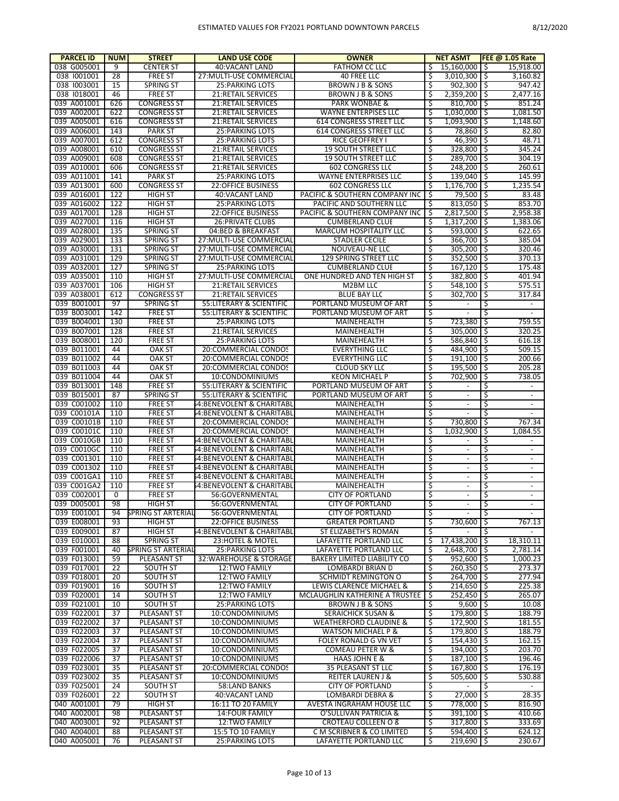| <b>PARCEL ID</b>           | <b>NUM</b> | <b>STREET</b>                        | <b>LAND USE CODE</b>                         | <b>OWNER</b>                                        |          | <b>NET ASMT</b>            |     | <b>FEE @ 1.05 Rate</b>   |
|----------------------------|------------|--------------------------------------|----------------------------------------------|-----------------------------------------------------|----------|----------------------------|-----|--------------------------|
| 038 G005001                | 9          | <b>CENTER ST</b>                     | 40: VACANT LAND                              | FATHOM CC LLC                                       | Ŝ        | 15.160.000 \$              |     | 15,918.00                |
| 038 1001001                | 28         | <b>FREE ST</b>                       | 27: MULTI-USE COMMERCIAL                     | 40 FREE LLC                                         | \$       | $3,010,300$ $\mid$ \$      |     | 3,160.82                 |
| 038 1003001                | 15         | <b>SPRING ST</b>                     | <b>25:PARKING LOTS</b>                       | BROWN J B & SONS                                    | Ś        | $902,300$ \$               |     | 947.42                   |
| 038 1018001                | 46         | <b>FREE ST</b>                       | 21:RETAIL SERVICES                           | <b>BROWN J B &amp; SONS</b>                         | \$       | $2,359,200$ \$             |     | 2,477.16                 |
| 039 A001001                | 626        | <b>CONGRESS ST</b>                   | 21:RETAIL SERVICES                           | <b>PARK WONBAE &amp;</b>                            | Ś        | $810,700$ \$               |     | 851.24                   |
| 039 A002001                | 622        | <b>CONGRESS ST</b>                   | 21:RETAIL SERVICES                           | <b>WAYNE ENTERPISES LLC</b>                         | \$       | $1.030.000$ S              |     | 1,081.50                 |
| 039 A005001                | 616<br>143 | <b>CONGRESS ST</b>                   | <b>21:RETAIL SERVICES</b>                    | <b>614 CONGRESS STREET LLC</b>                      | Ś        | $1.093.900$ S              |     | 1,148.60                 |
| 039 A006001<br>039 A007001 | 612        | <b>PARK ST</b><br><b>CONGRESS ST</b> | 25: PARKING LOTS<br><b>25:PARKING LOTS</b>   | 614 CONGRESS STREET LLC<br>RICE GEOFFREY I          | \$<br>Ś  | 78,860 \$<br>$46,390$ \$   |     | 82.80<br>48.71           |
| 039 A008001                | 610        | <b>CONGRESS ST</b>                   | 21:RETAIL SERVICES                           | <b>19 SOUTH STREET LLC</b>                          | \$       | 328,800 \$                 |     | 345.24                   |
| 039 A009001                | 608        | <b>CONGRESS ST</b>                   | <b>21:RETAIL SERVICES</b>                    | <b>19 SOUTH STREET LLC</b>                          | Ś        | $289,700$ \$               |     | 304.19                   |
| 039 A010001                | 606        | <b>CONGRESS ST</b>                   | 21:RETAIL SERVICES                           | <b>602 CONGRESS LLC</b>                             | \$       | 248,200 \$                 |     | 260.61                   |
| 039 A011001                | 141        | <b>PARK ST</b>                       | <b>25:PARKING LOTS</b>                       | <b>WAYNE ENTERPRISES LLC</b>                        | Ś        | $139,040$ \$               |     | 145.99                   |
| 039 A013001                | 600        | <b>CONGRESS ST</b>                   | <b>22:OFFICE BUSINESS</b>                    | <b>602 CONGRESS LLC</b>                             | \$       | $1,176,700$ \$             |     | 1,235.54                 |
| 039 A016001                | 122        | <b>HIGH ST</b>                       | 40: VACANT LAND                              | PACIFIC & SOUTHERN COMPANY INC                      | Ś        | $79,500$ \$                |     | 83.48                    |
| 039 A016002                | 122        | <b>HIGH ST</b>                       | <b>25:PARKING LOTS</b>                       | PACIFIC AND SOUTHERN LLC                            | \$       | $813,050$   \$             |     | 853.70                   |
| 039 A017001                | 128        | <b>HIGH ST</b>                       | <b>22:OFFICE BUSINESS</b>                    | PACIFIC & SOUTHERN COMPANY INC                      | Ś        | $2,817,500$ \$             |     | 2,958.38                 |
| 039 A027001                | 116        | <b>HIGH ST</b>                       | <b>26: PRIVATE CLUBS</b>                     | <b>CUMBERLAND CLUE</b>                              | \$       | $1,317,200$ \$             |     | 1,383.06                 |
| 039 A028001                | 135        | <b>SPRING ST</b>                     | 04:BED & BREAKFAST                           | MARCUM HOSPITALITY LLC                              | Ś        | $593,000$ \$               |     | 622.65                   |
| 039 A029001                | 133        | <b>SPRING ST</b>                     | 27: MULTI-USE COMMERCIAL                     | <b>STADLER CECILE</b>                               | \$       | 366,700 \$                 |     | 385.04                   |
| 039 A030001                | 131        | <b>SPRING ST</b>                     | 27: MULTI-USE COMMERCIAL                     | NOUVEAU-NE LLC                                      | Ś        | $305,200$ \$               |     | 320.46                   |
| 039 A031001                | 129        | <b>SPRING ST</b>                     | 27: MULTI-USE COMMERCIAL                     | 129 SPRING STREET LLC                               | \$       | 352.500 \$                 |     | 370.13                   |
| 039 A032001                | 127        | <b>SPRING ST</b>                     | <b>25:PARKING LOTS</b>                       | <b>CUMBERLAND CLUE</b>                              | Ś        | $167,120$ \$               |     | 175.48                   |
| 039 A035001                | 110        | <b>HIGH ST</b>                       | 27: MULTI-USE COMMERCIAL                     | ONE HUNDRED AND TEN HIGH ST                         | \$       | 382,800 \$                 |     | 401.94                   |
| 039 A037001                | 106        | <b>HIGH ST</b>                       | <b>21:RETAIL SERVICES</b>                    | M2BM LLC                                            | Ś        | $548,100$ \$               |     | 575.51                   |
| 039 A038001                | 612        | <b>CONGRESS ST</b>                   | 21:RETAIL SERVICES                           | <b>BLUE BAY LLC</b>                                 | \$       | 302,700 \$                 |     | 317.84                   |
| 039 B001001                | 97         | <b>SPRING ST</b>                     | 55: LITERARY & SCIENTIFIC                    | PORTLAND MUSEUM OF ART                              | \$       | $\overline{\phantom{a}}$   | \$  | $\blacksquare$           |
| 039 B003001                | 142        | <b>FREE ST</b>                       | 55: LITERARY & SCIENTIFIC                    | PORTLAND MUSEUM OF ART                              | \$       | $\blacksquare$             | \$  | $\overline{\phantom{a}}$ |
| 039 B004001                | 130        | <b>FREE ST</b>                       | <b>25:PARKING LOTS</b>                       | MAINEHEALTH                                         | \$       | 723,380                    | 1\$ | 759.55                   |
| 039 B007001                | 128        | <b>FREE ST</b>                       | <b>21:RETAIL SERVICES</b>                    | MAINEHEALTH                                         | \$       | 305,000 \$                 |     | 320.25                   |
| 039 B008001                | 120<br>44  | <b>FREE ST</b>                       | <b>25:PARKING LOTS</b>                       | MAINEHEALTH                                         | \$       | 586,840 \$                 |     | 616.18                   |
| 039 B011001<br>039 B011002 | 44         | <b>OAK ST</b><br><b>OAK ST</b>       | 20:COMMERCIAL CONDOS<br>20:COMMERCIAL CONDOS | <b>EVERYTHING LLC</b><br><b>EVERYTHING LLC</b>      | \$<br>Ś  | 484,900 \$<br>$191,100$ \$ |     | 509.15<br>200.66         |
| 039 B011003                | 44         | <b>OAK ST</b>                        | 20:COMMERCIAL CONDOS                         | <b>CLOUD SKY LLC</b>                                | \$       | 195,500 \$                 |     | 205.28                   |
| 039 B011004                | 44         | <b>OAK ST</b>                        | 10:CONDOMINIUMS                              | <b>KEON MICHAEL P</b>                               | Ś        | 702,900 \$                 |     | 738.05                   |
| 039 B013001                | 148        | <b>FREE ST</b>                       | 55: LITERARY & SCIENTIFIC                    | PORTLAND MUSEUM OF ART                              | \$       |                            | \$  | $\overline{\phantom{a}}$ |
| 039 B015001                | 87         | <b>SPRING ST</b>                     | 55: LITERARY & SCIENTIFIC                    | PORTLAND MUSEUM OF ART                              | \$       | $\blacksquare$             | \$  | $\overline{\phantom{a}}$ |
| 039 C001002                | 110        | <b>FREE ST</b>                       | 54:BENEVOLENT & CHARITABL                    | MAINEHEALTH                                         | \$       | $\overline{\phantom{a}}$   | \$  | $\overline{\phantom{a}}$ |
| 039 C00101A                | 110        | <b>FREE ST</b>                       | 54:BENEVOLENT & CHARITABL                    | MAINEHEALTH                                         | \$       | $\blacksquare$             | \$  |                          |
| 039 C00101B                | 110        | <b>FREE ST</b>                       | 20:COMMERCIAL CONDOS                         | MAINEHEALTH                                         | \$       | 730,800                    | 1\$ | 767.34                   |
| 039 C00101C                | 110        | <b>FREE ST</b>                       | 20:COMMERCIAL CONDOS                         | MAINEHEALTH                                         | Ś        | $1,032,900$ \$             |     | 1,084.55                 |
| 039 C0010GB                | 110        | <b>FREE ST</b>                       | 64:BENEVOLENT & CHARITABL                    | MAINEHEALTH                                         | \$       | $\blacksquare$             | \$  | $\overline{\phantom{a}}$ |
| 039 C0010GC                | 110        | <b>FREE ST</b>                       | 54:BENEVOLENT & CHARITABL                    | MAINEHEALTH                                         | \$       | $\blacksquare$             | \$  | $\blacksquare$           |
| 039 C001301                | 110        | <b>FREE ST</b>                       | 54:BENEVOLENT & CHARITABL                    | MAINEHEALTH                                         | \$       | $\overline{\phantom{a}}$   | \$  | $\overline{a}$           |
| 039 C001302                | 110        | <b>FREE ST</b>                       | 54:BENEVOLENT & CHARITABL                    | MAINEHEALTH                                         | \$       | $\blacksquare$             | \$  | $\overline{\phantom{a}}$ |
| 039 C001GA1                | 110        | <b>FREE ST</b>                       | 54:BENEVOLENT & CHARITABL                    | MAINEHEALTH                                         | \$       | $\overline{\phantom{a}}$   | \$  | $\overline{\phantom{a}}$ |
| 039 C001GA2                | 110        | <b>FREE ST</b>                       | 64:BENEVOLENT & CHARITABL                    | MAINEHEALTH                                         | 5        | $\overline{\phantom{a}}$   | \$  | $\overline{\phantom{a}}$ |
| 039 C002001                | 0          | <b>FREE ST</b>                       | 56:GOVERNMENTAL                              | <b>CITY OF PORTLAND</b>                             | \$       | $\overline{\phantom{a}}$   | \$  | $\overline{\phantom{a}}$ |
| 039 D005001                | 98         | HIGH ST                              | 56:GOVERNMENTAL                              | <b>CITY OF PORTLAND</b>                             |          |                            | Ŝ   |                          |
| 039 E001001                | 94         | SPRING ST ARTERIAL                   | 56:GOVERNMENTAL                              | <b>CITY OF PORTLAND</b>                             | \$       |                            | \$  | $\overline{\phantom{a}}$ |
| 039 E008001                | 93         | <b>HIGH ST</b>                       | <b>22:OFFICE BUSINESS</b>                    | <b>GREATER PORTLAND</b>                             | \$       | 730,600 \$                 |     | 767.13                   |
| 039 E009001<br>039 E010001 | 87         | <b>HIGH ST</b>                       | 54:BENEVOLENT & CHARITABL                    | ST ELIZABETH'S ROMAN<br>LAFAYETTE PORTLAND LLC      | \$<br>\$ | $\sim$<br>$17,438,200$ \$  | \$  | $\blacksquare$           |
| 039 F001001                | 88<br>40   | SPRING ST<br>SPRING ST ARTERIAL      | 23: HOTEL & MOTEL<br>25: PARKING LOTS        | LAFAYETTE PORTLAND LLC                              | \$       | 2,648,700 \$               |     | 18,310.11<br>2,781.14    |
| 039 F013001                | 59         | PLEASANT ST                          | 32: WAREHOUSE & STORAGE                      | BAKERY LIMITED LIABILITY CO                         | \$       | 952,600 \$                 |     | 1,000.23                 |
| 039 F017001                | 22         | <b>SOUTH ST</b>                      | 12:TWO FAMILY                                | LOMBARDI BRIAN D                                    | \$       | $260,350$ \$               |     | 273.37                   |
| 039 F018001                | 20         | <b>SOUTH ST</b>                      | 12:TWO FAMILY                                | SCHMIDT REMINGTON O                                 | \$       | 264,700 \$                 |     | 277.94                   |
| 039 F019001                | 16         | <b>SOUTH ST</b>                      | 12:TWO FAMILY                                | LEWIS CLARENCE MICHAEL &                            | \$       | $214,650$ \$               |     | 225.38                   |
| 039 F020001                | 14         | <b>SOUTH ST</b>                      | 12:TWO FAMILY                                | MCLAUGHLIN KATHERINE A TRUSTEE                      | Ś        | 252,450 \$                 |     | 265.07                   |
| 039 F021001                | 10         | <b>SOUTH ST</b>                      | 25: PARKING LOTS                             | BROWN J B & SONS                                    | \$       | $9,600$ \$                 |     | 10.08                    |
| 039 F022001                | 37         | PLEASANT ST                          | 10:CONDOMINIUMS                              | <b>SERAICHICK SUSAN &amp;</b>                       | \$       | 179,800 \$                 |     | 188.79                   |
| 039 F022002                | 37         | PLEASANT ST                          | 10:CONDOMINIUMS                              | <b>WEATHERFORD CLAUDINE &amp;</b>                   | \$       | 172,900 \$                 |     | 181.55                   |
| 039 F022003                | 37         | PLEASANT ST                          | 10:CONDOMINIUMS                              | <b>WATSON MICHAEL P &amp;</b>                       | \$       | 179,800 \$                 |     | 188.79                   |
| 039 F022004                | 37         | PLEASANT ST                          | 10:CONDOMINIUMS                              | FOLEY RONALD G VN VET                               | \$       | 154,430 \$                 |     | 162.15                   |
| 039 F022005                | 37         | PLEASANT ST                          | 10:CONDOMINIUMS                              | COMEAU PETER W &                                    | \$       | 194,000 \$                 |     | 203.70                   |
| 039 F022006                | 37         | PLEASANT ST                          | 10:CONDOMINIUMS                              | HAAS JOHN E &                                       | \$       | $187,100$ \$               |     | 196.46                   |
| 039 F023001                | 35         | PLEASANT ST                          | 20:COMMERCIAL CONDOS                         | 35 PLEASANT ST LLC                                  | \$       | 167,800 \$                 |     | 176.19                   |
| 039 F023002                | 35         | PLEASANT ST                          | 10:CONDOMINIUMS                              | <b>REITER LAUREN J &amp;</b>                        | \$       | $505,600$ \$               |     | 530.88                   |
| 039 F025001                | 24         | <b>SOUTH ST</b>                      | 58:LAND BANKS                                | <b>CITY OF PORTLAND</b>                             | \$       | $\overline{\phantom{a}}$   | \$  | $\sim$                   |
| 039 F026001                | 22         | <b>SOUTH ST</b>                      | 40: VACANT LAND                              | LOMBARDI DEBRA &                                    | \$       | $27,000$ \$                |     | 28.35                    |
| 040 A001001                | 79         | <b>HIGH ST</b>                       | 16:11 TO 20 FAMILY                           | AVESTA INGRAHAM HOUSE LLC                           | \$       | 778,000 \$                 |     | 816.90                   |
| 040 A002001                | 98         | PLEASANT ST                          | 14: FOUR FAMILY                              | O'SULLIVAN PATRICIA &                               | \$       | 391,100 \$                 |     | 410.66                   |
| 040 A003001                | 92         | PLEASANT ST                          | 12:TWO FAMILY                                | CROTEAU COLLEEN O 8                                 | \$       | 317,800 \$                 |     | 333.69                   |
| 040 A004001<br>040 A005001 | 88<br>76   | PLEASANT ST<br>PLEASANT ST           | 15:5 TO 10 FAMILY<br>25: PARKING LOTS        | C M SCRIBNER & CO LIMITED<br>LAFAYETTE PORTLAND LLC | \$<br>\$ | 594,400 \$<br>$219,690$ \$ |     | 624.12<br>230.67         |
|                            |            |                                      |                                              |                                                     |          |                            |     |                          |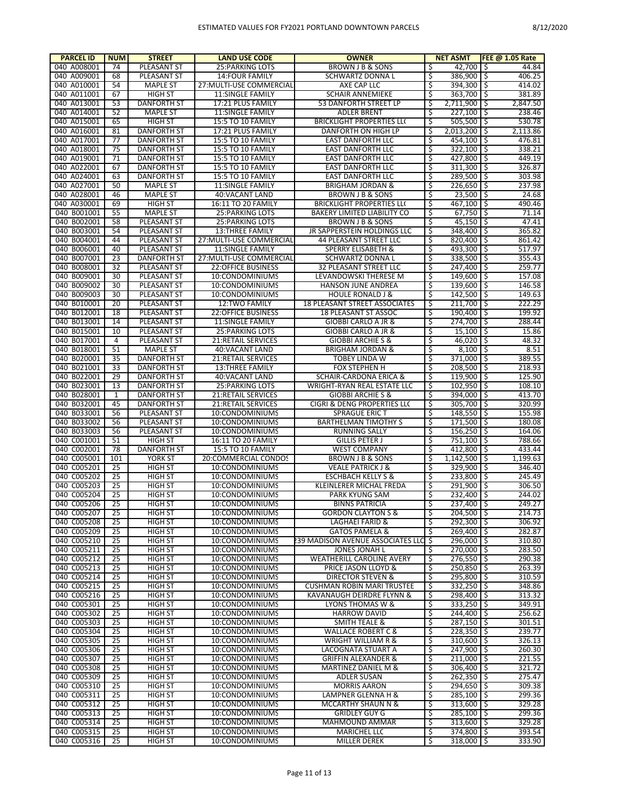| <b>PARCEL ID</b>           | <b>NUM</b>     | <b>STREET</b>                    | <b>LAND USE CODE</b>               | <b>OWNER</b>                                                    |         | <b>NET ASMT</b>            | <b>FEE @ 1.05 Rate</b>  |
|----------------------------|----------------|----------------------------------|------------------------------------|-----------------------------------------------------------------|---------|----------------------------|-------------------------|
| 040 A008001                | 74             | PLEASANT ST                      | <b>25: PARKING LOTS</b>            | BROWN J B & SONS                                                | \$      | 42,700                     | 44.84<br>-\$            |
| 040 A009001                | 68             | PLEASANT ST                      | <b>14:FOUR FAMILY</b>              | SCHWARTZ DONNA L                                                | \$      | 386,900 \$                 | 406.25                  |
| 040 A010001                | 54             | <b>MAPLE ST</b>                  | 27: MULTI-USE COMMERCIAL           | AXE CAP LLC                                                     | Ś       | 394,300 \$                 | 414.02                  |
| 040 A011001                | 67             | <b>HIGH ST</b>                   | 11:SINGLE FAMILY                   | <b>SCHAIR ANNEMIEKE</b>                                         | \$      | $363,700$ \$               | 381.89                  |
| 040 A013001                | 53             | <b>DANFORTH ST</b>               | 17:21 PLUS FAMILY                  | 53 DANFORTH STREET LP                                           | \$      | 2,711,900                  | \$<br>2,847.50          |
| 040 A014001                | 52             | <b>MAPLE ST</b>                  | <b>11:SINGLE FAMILY</b>            | <b>ADLER BRENT</b>                                              | \$      | $227,100$ \$               | 238.46                  |
| 040 A015001                | 65             | <b>HIGH ST</b>                   | <b>15:5 TO 10 FAMILY</b>           | <b>BRICKLIGHT PROPERTIES LLC</b>                                | ऽ       | $505,500$ \$               | 530.78                  |
| 040 A016001                | 81             | DANFORTH ST                      | 17:21 PLUS FAMILY                  | DANFORTH ON HIGH LP                                             | \$      | $2,013,200$ \$             | 2,113.86                |
| 040 A017001                | 77             | <b>DANFORTH ST</b>               | 15:5 TO 10 FAMILY                  | <b>EAST DANFORTH LLC</b>                                        | Ś       | 454,100 \$                 | 476.81                  |
| 040 A018001                | 75             | <b>DANFORTH ST</b>               | 15:5 TO 10 FAMILY                  | <b>EAST DANFORTH LLC</b>                                        | \$      | $322,100$ \$               | 338.21                  |
| 040 A019001                | 71             | <b>DANFORTH ST</b>               | <b>15:5 TO 10 FAMILY</b>           | <b>EAST DANFORTH LLC</b>                                        | Ś       | 427,800                    | 449.19<br>-\$           |
| 040 A022001                | 67             | <b>DANFORTH ST</b>               | 15:5 TO 10 FAMILY                  | <b>EAST DANFORTH LLC</b>                                        | \$      | $311,300$ \$               | 326.87                  |
| 040 A024001                | 63             | <b>DANFORTH ST</b>               | 15:5 TO 10 FAMILY                  | <b>EAST DANFORTH LLC</b>                                        | Ś       | 289.500 \$                 | 303.98                  |
| 040 A027001                | 50             | <b>MAPLE ST</b>                  | <b>11:SINGLE FAMILY</b>            | <b>BRIGHAM JORDAN &amp;</b>                                     | \$      | $226,650$ \$               | 237.98                  |
| 040 A028001                | 46             | <b>MAPLE ST</b>                  | 40: VACANT LAND                    | <b>BROWN J B &amp; SONS</b>                                     | Ś       | $23,500$   \$              | 24.68                   |
| 040 A030001                | 69             | <b>HIGH ST</b>                   | 16:11 TO 20 FAMILY                 | <b>BRICKLIGHT PROPERTIES LLC</b>                                | \$      | 467,100 \$                 | 490.46                  |
| 040 B001001                | 55             | <b>MAPLE ST</b>                  | <b>25:PARKING LOTS</b>             | BAKERY LIMITED LIABILITY CO                                     | Ś       | 67,750                     | \$<br>71.14             |
| 040 B002001                | 58             | PLEASANT ST                      | <b>25: PARKING LOTS</b>            | BROWN J B & SONS                                                | \$      | $45,150$   \$              | 47.41                   |
| 040 B003001                | 54             | PLEASANT ST                      | <b>13:THREE FAMILY</b>             | JR SAPPERSTEIN HOLDINGS LLC                                     | Ś       | 348,400 \$                 | 365.82                  |
| 040 B004001                | 44             | PLEASANT ST                      | 27: MULTI-USE COMMERCIAL           | 44 PLEASANT STREET LLC                                          | \$      | $820,400$ \$               | 861.42                  |
| 040 B006001                | 40             | PLEASANT ST                      | <b>11:SINGLE FAMILY</b>            | <b>SPERRY ELISABETH &amp;</b>                                   | Ś       | 493,300                    | ا \$<br>517.97          |
| 040 B007001                | 23             | <b>DANFORTH ST</b>               | 27: MULTI-USE COMMERCIAL           | SCHWARTZ DONNA L                                                | \$      | $338,500$ \$               | 355.43                  |
| 040 B008001                | 32             | PLEASANT ST                      | <b>22:OFFICE BUSINESS</b>          | 32 PLEASANT STREET LLC                                          | Ś       | 247,400                    | -\$<br>259.77           |
| 040 B009001                | 30             | PLEASANT ST                      | 10:CONDOMINIUMS                    | LEVANDOWSKI THERESE M                                           | \$      | 149,600 \$                 | 157.08                  |
| 040 B009002                | 30             | PLEASANT ST                      | 10:CONDOMINIUMS                    | HANSON JUNE ANDREA                                              | Ś       | 139,600 \$                 | 146.58                  |
| 040 B009003                | 30             | PLEASANT ST                      | 10:CONDOMINIUMS                    | <b>HOULE RONALD J &amp;</b>                                     | \$      | $142,500$ \$               | 149.63                  |
| 040 B010001                | 20             | PLEASANT ST                      | <b>12:TWO FAMILY</b>               | <b>18 PLEASANT STREET ASSOCIATES</b>                            | Ś       | $211,700$ \$               | 222.29                  |
| 040 B012001                | 18             | PLEASANT ST                      | <b>22:OFFICE BUSINESS</b>          | <b>18 PLEASANT ST ASSOC</b>                                     | \$      | $190,400$ \$               | 199.92                  |
| 040 B013001                | 14             | PLEASANT ST                      | <b>11:SINGLE FAMILY</b>            | <b>GIOBBI CARLO A JR &amp;</b>                                  | Ś       | 274,700                    | -\$<br>288.44           |
| 040 B015001                | 10             | PLEASANT ST                      | <b>25: PARKING LOTS</b>            | <b>GIOBBI CARLO A JR &amp;</b>                                  | \$      | $15,100$   \$              | 15.86                   |
| 040 B017001                | $\overline{4}$ | PLEASANT ST                      | 21: RETAIL SERVICES                | <b>GIOBBI ARCHIE S &amp;</b>                                    | Ś       | $46,020$ \$                | 48.32                   |
| 040 B018001                | 51             | <b>MAPLE ST</b>                  | 40: VACANT LAND                    | <b>BRIGHAM JORDAN &amp;</b>                                     | \$      | $8,100$   \$               | 8.51                    |
| 040 B020001                | 35             | <b>DANFORTH ST</b>               | 21:RETAIL SERVICES                 | <b>TOBEY LINDA W</b>                                            | Ś       | 371,000                    | -\$<br>389.55           |
| 040 B021001                | 33             | <b>DANFORTH ST</b>               | <b>13:THREE FAMILY</b>             | <b>FOX STEPHEN H</b>                                            | \$      | $208,500$ \$               | 218.93                  |
| 040 B022001                | 29             | <b>DANFORTH ST</b>               | 40:VACANT LAND                     | SCHAIR-CARDONA ERICA &                                          | Ś       | $119,900$ \$               | 125.90                  |
| 040 B023001                | 13             | <b>DANFORTH ST</b>               | 25: PARKING LOTS                   | WRIGHT-RYAN REAL ESTATE LLC                                     | \$      | $102,950$ \$               | 108.10                  |
| 040 B028001                | 1              | DANFORTH ST                      | 21:RETAIL SERVICES                 | <b>GIOBBI ARCHIE S &amp;</b>                                    | \$      | 394,000 \$                 | 413.70                  |
| 040 B032001                | 45             | <b>DANFORTH ST</b>               | 21:RETAIL SERVICES                 | CIGRI & DENG PROPERTIES LL(                                     | \$      | $305,700$ \$               | 320.99                  |
| 040 B033001                | 56             | PLEASANT ST                      | 10:CONDOMINIUMS                    | <b>SPRAGUE ERIC T</b>                                           | \$      | 148,550                    | 155.98<br>-\$           |
| 040 B033002                | 56             | PLEASANT ST                      | 10:CONDOMINIUMS                    | <b>BARTHELMAN TIMOTHY S</b>                                     | \$      | 171,500 \$                 | 180.08                  |
| 040 B033003                | 56             | PLEASANT ST                      | 10:CONDOMINIUMS                    | <b>RUNNING SALLY</b>                                            | Ś       | $156,250$ \$               | 164.06                  |
| 040 C001001                | 51             | <b>HIGH ST</b>                   | 16:11 TO 20 FAMILY                 | <b>GILLIS PETER J</b>                                           | \$      | 751,100 \$                 | 788.66                  |
| 040 C002001                | 78             | <b>DANFORTH ST</b>               | <b>15:5 TO 10 FAMILY</b>           | <b>WEST COMPANY</b>                                             | Ś       | 412,800 \$                 | 433.44<br>1.199.63      |
| 040 C005001                | 101            | YORK ST<br><b>HIGH ST</b>        | 20:COMMERCIAL CONDOS               | BROWN J B & SONS<br><b>VEALE PATRICK J &amp;</b>                | \$<br>Ś | $1,142,500$   \$           |                         |
| 040 C005201<br>040 C005202 | 25<br>25       |                                  | 10:CONDOMINIUMS                    |                                                                 | \$      | 329,900                    | -\$<br>346.40<br>245.49 |
| 040 C005203                | 25             | <b>HIGH ST</b>                   | 10:CONDOMINIUMS                    | <b>ESCHBACH KELLY S &amp;</b><br><b>KLEINLERER MICHAL FREDA</b> | Ś       | 233,800 \$                 | -\$<br>306.50           |
| 040 C005204                | 25             | <b>HIGH ST</b><br><b>HIGH ST</b> | 10:CONDOMINIUMS                    | <b>PARK KYUNG SAM</b>                                           | \$      | 291,900<br>232,400         | -\$                     |
|                            | 25             | HIGH ST                          | 10:CONDOMINIUMS                    |                                                                 |         |                            | 244.02                  |
| 040 C005206<br>040 C005207 | 25             | HIGH ST                          | 10:CONDOMINIUMS<br>10:CONDOMINIUMS | <b>BINNS PATRICIA</b><br><b>GORDON CLAYTON S &amp;</b>          | \$      | 237,400 \$<br>$204,500$ \$ | 249.27<br>214.73        |
| 040 C005208                | 25             | <b>HIGH ST</b>                   | 10:CONDOMINIUMS                    | LAGHAEI FARID &                                                 | \$      | 292,300 \$                 | 306.92                  |
| 040 C005209                | 25             | HIGH ST                          | 10:CONDOMINIUMS                    | <b>GATOS PAMELA &amp;</b>                                       | \$      | $269,400$ \$               | 282.87                  |
| 040 C005210                | 25             | <b>HIGH ST</b>                   | 10:CONDOMINIUMS                    | 239 MADISON AVENUE ASSOCIATES LLC \$                            |         | 296,000 \$                 | 310.80                  |
| 040 C005211                | 25             | <b>HIGH ST</b>                   | 10:CONDOMINIUMS                    | JONES JONAH L                                                   | \$      | 270,000 \$                 | 283.50                  |
| 040 C005212                | 25             | <b>HIGH ST</b>                   | 10:CONDOMINIUMS                    | WEATHERILL CAROLINE AVERY                                       | \$      | 276,550 \$                 | 290.38                  |
| 040 C005213                | 25             | HIGH ST                          | 10:CONDOMINIUMS                    | PRICE JASON LLOYD &                                             | \$      | 250,850 \$                 | 263.39                  |
| 040 C005214                | 25             | <b>HIGH ST</b>                   | 10:CONDOMINIUMS                    | <b>DIRECTOR STEVEN &amp;</b>                                    | Ś       | 295,800 \$                 | 310.59                  |
| 040 C005215                | 25             | <b>HIGH ST</b>                   | 10:CONDOMINIUMS                    | <b>CUSHMAN ROBIN MARI TRUSTEE</b>                               | \$      | $332,250$ \$               | 348.86                  |
| 040 C005216                | 25             | <b>HIGH ST</b>                   | 10:CONDOMINIUMS                    | KAVANAUGH DEIRDRE FLYNN &                                       | \$      | 298,400 \$                 | 313.32                  |
| 040 C005301                | 25             | HIGH ST                          | 10:CONDOMINIUMS                    | LYONS THOMAS W &                                                | \$      | $333,250$ \$               | 349.91                  |
| 040 C005302                | 25             | <b>HIGH ST</b>                   | 10:CONDOMINIUMS                    | <b>HARROW DAVID</b>                                             | Ś       | 244,400 \$                 | 256.62                  |
| 040 C005303                | 25             | <b>HIGH ST</b>                   | 10:CONDOMINIUMS                    | <b>SMITH TEALE &amp;</b>                                        | \$      | $287,150$ \$               | 301.51                  |
| 040 C005304                | 25             | <b>HIGH ST</b>                   | 10:CONDOMINIUMS                    | <b>WALLACE ROBERT C &amp;</b>                                   | ऽ       | $228,350$ \$               | 239.77                  |
| 040 C005305                | 25             | HIGH ST                          | 10:CONDOMINIUMS                    | WRIGHT WILLIAM R &                                              | \$      | 310,600 \$                 | 326.13                  |
| 040 C005306                | 25             | HIGH ST                          | 10:CONDOMINIUMS                    | LACOGNATA STUART A                                              | \$      | 247,900 \$                 | 260.30                  |
| 040 C005307                | 25             | HIGH ST                          | 10:CONDOMINIUMS                    | <b>GRIFFIN ALEXANDER &amp;</b>                                  | \$      | $211,000$ \$               | 221.55                  |
| 040 C005308                | 25             | <b>HIGH ST</b>                   | 10:CONDOMINIUMS                    | MARTINEZ DANIEL M &                                             | Ś       | $306,400$ \$               | 321.72                  |
| 040 C005309                | 25             | HIGH ST                          | 10:CONDOMINIUMS                    | ADLER SUSAN                                                     | \$      | $262,350$ \$               | 275.47                  |
| 040 C005310                | 25             | <b>HIGH ST</b>                   | 10:CONDOMINIUMS                    | <b>MORRIS AARON</b>                                             | \$      | 294,650 \$                 | 309.38                  |
| 040 C005311                | 25             | HIGH ST                          | 10:CONDOMINIUMS                    | LAMPNER GLENNA H &                                              | \$      | $285,100$ \$               | 299.36                  |
| 040 C005312                | 25             | HIGH ST                          | 10:CONDOMINIUMS                    | MCCARTHY SHAUN N &                                              | \$      | $313,600$ \$               | 329.28                  |
| 040 C005313                | 25             | HIGH ST                          | 10:CONDOMINIUMS                    | <b>GRIDLEY GUY G</b>                                            | \$      | 285,100 \$                 | 299.36                  |
| 040 C005314                | 25             | <b>HIGH ST</b>                   | 10:CONDOMINIUMS                    | MAHMOUND AMMAR                                                  | \$      | $313,600$ \$               | 329.28                  |
| 040 C005315                | 25             | <b>HIGH ST</b>                   | 10:CONDOMINIUMS                    | <b>MARICHEL LLC</b>                                             | \$      | 374,800 \$                 | 393.54                  |
| 040 C005316                | 25             | <b>HIGH ST</b>                   | 10:CONDOMINIUMS                    | MILLER DEREK                                                    | \$      | $318,000$ \$               | 333.90                  |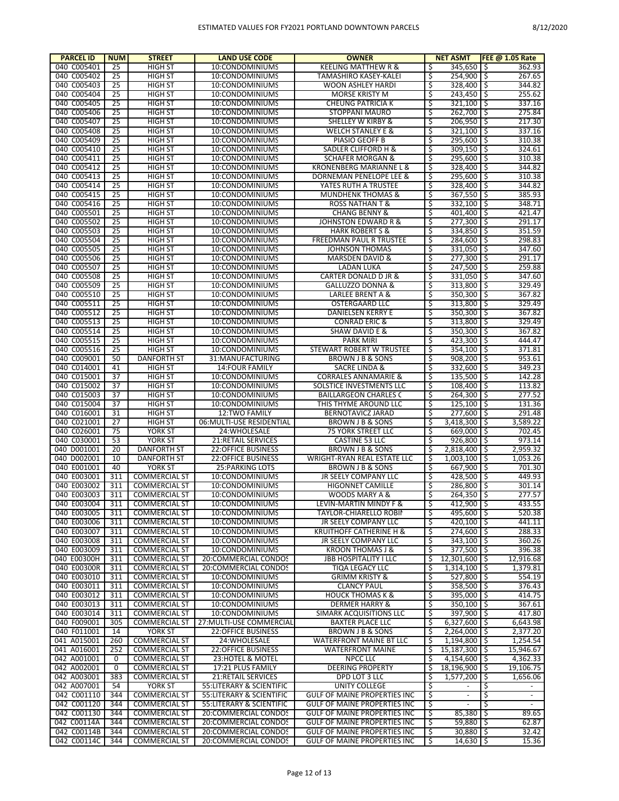| <b>PARCEL ID</b>           | <b>NUM</b> | <b>STREET</b>                                | <b>LAND USE CODE</b>                        | <b>OWNER</b>                                             |          | <b>NET ASMT</b>            | <b>FEE @ 1.05 Rate</b>         |
|----------------------------|------------|----------------------------------------------|---------------------------------------------|----------------------------------------------------------|----------|----------------------------|--------------------------------|
| 040 C005401                | 25         | <b>HIGH ST</b>                               | 10:CONDOMINIUMS                             | <b>KEELING MATTHEW R &amp;</b>                           | \$       | 345.650 \$                 | 362.93                         |
| 040 C005402                | 25         | <b>HIGH ST</b>                               | 10:CONDOMINIUMS                             | TAMASHIRO KASEY-KALEI                                    | \$       | 254,900 \$                 | 267.65                         |
| 040 C005403                | 25         | <b>HIGH ST</b>                               | 10:CONDOMINIUMS                             | <b>WOON ASHLEY HARDI</b>                                 | Ś        | 328,400 \$                 | 344.82                         |
| 040 C005404                | 25         | <b>HIGH ST</b>                               | 10:CONDOMINIUMS                             | <b>MORSE KRISTY M</b>                                    | \$       | $243,450$ \$               | 255.62                         |
| 040 C005405                | 25         | <b>HIGH ST</b>                               | 10:CONDOMINIUMS                             | <b>CHEUNG PATRICIA K</b>                                 | \$       | $321,100$ \$               | 337.16                         |
| 040 C005406                | 25         | <b>HIGH ST</b>                               | 10:CONDOMINIUMS                             | STOPPANI MAURO                                           | \$       | 262.700 \$                 | 275.84                         |
| 040 C005407                | 25         | <b>HIGH ST</b>                               | 10:CONDOMINIUMS                             | SHELLEY W KIRBY &                                        | Ś        | $206,950$ \$               | 217.30                         |
| 040 C005408                | 25         | <b>HIGH ST</b>                               | 10:CONDOMINIUMS                             | <b>WELCH STANLEY E &amp;</b>                             | \$       | $321,100$ \$               | 337.16                         |
| 040 C005409                | 25         | <b>HIGH ST</b>                               | 10:CONDOMINIUMS                             | PIASIO GEOFF B                                           | \$       | 295,600 \$                 | 310.38                         |
| 040 C005410<br>040 C005411 | 25<br>25   | <b>HIGH ST</b><br><b>HIGH ST</b>             | 10:CONDOMINIUMS<br>10:CONDOMINIUMS          | SADLER CLIFFORD H &<br><b>SCHAFER MORGAN &amp;</b>       | \$<br>Ś  | $309,150$ \$<br>295,600 \$ | 324.61<br>310.38               |
| 040 C005412                | 25         | <b>HIGH ST</b>                               | 10:CONDOMINIUMS                             | KRONENBERG MARIANNE L &                                  | \$       | 328,400 \$                 | 344.82                         |
| 040 C005413                | 25         | <b>HIGH ST</b>                               | 10:CONDOMINIUMS                             | DORNEMAN PENELOPE LEE &                                  | Ś        | 295.600 \$                 | 310.38                         |
| 040 C005414                | 25         | <b>HIGH ST</b>                               | 10:CONDOMINIUMS                             | YATES RUTH A TRUSTEE                                     | \$       | 328,400 \$                 | 344.82                         |
| 040 C005415                | 25         | <b>HIGH ST</b>                               | 10:CONDOMINIUMS                             | <b>MUNDHENK THOMAS &amp;</b>                             | \$       | $367,550$ \$               | 385.93                         |
| 040 C005416                | 25         | <b>HIGH ST</b>                               | 10:CONDOMINIUMS                             | <b>ROSS NATHAN T &amp;</b>                               | \$       | $332,100$ \$               | 348.71                         |
| 040 C005501                | 25         | <b>HIGH ST</b>                               | 10:CONDOMINIUMS                             | <b>CHANG BENNY &amp;</b>                                 | \$       | 401,400 \$                 | 421.47                         |
| 040 C005502                | 25         | <b>HIGH ST</b>                               | 10:CONDOMINIUMS                             | JOHNSTON EDWARD R &                                      | \$       | $277,300$ \$               | 291.17                         |
| 040 C005503                | 25         | <b>HIGH ST</b>                               | 10:CONDOMINIUMS                             | <b>HARK ROBERT S &amp;</b>                               | Ś        | 334,850 \$                 | 351.59                         |
| 040 C005504                | 25         | <b>HIGH ST</b>                               | 10:CONDOMINIUMS                             | FREEDMAN PAUL R TRUSTEE                                  | \$       | 284,600 \$                 | 298.83                         |
| 040 C005505                | 25         | <b>HIGH ST</b>                               | 10:CONDOMINIUMS                             | <b>JOHNSON THOMAS</b>                                    | Ś        | 331,050 \$                 | 347.60                         |
| 040 C005506                | 25         | <b>HIGH ST</b>                               | 10:CONDOMINIUMS                             | <b>MARSDEN DAVID &amp;</b>                               | \$       | $277,300$ \$               | 291.17                         |
| 040 C005507                | 25         | <b>HIGH ST</b>                               | 10:CONDOMINIUMS                             | <b>LADAN LUKA</b>                                        | \$       | 247,500 \$                 | 259.88                         |
| 040 C005508                | 25         | <b>HIGH ST</b>                               | 10:CONDOMINIUMS                             | CARTER DONALD D JR &                                     | \$       | $331,050$ \$               | 347.60                         |
| 040 C005509                | 25         | <b>HIGH ST</b>                               | 10:CONDOMINIUMS                             | GALLUZZO DONNA &                                         | \$       | 313,800 \$                 | 329.49                         |
| 040 C005510                | 25         | <b>HIGH ST</b>                               | 10:CONDOMINIUMS                             | <b>LARLEE BRENT A &amp;</b>                              | \$       | $350,300$ \$               | 367.82                         |
| 040 C005511                | 25         | <b>HIGH ST</b>                               | 10:CONDOMINIUMS                             | <b>OSTERGAARD LLC</b>                                    | \$       | 313,800 \$                 | 329.49                         |
| 040 C005512                | 25         | <b>HIGH ST</b>                               | 10:CONDOMINIUMS                             | DANIELSEN KERRY E                                        | \$       | $350,300$ \$               | 367.82                         |
| 040 C005513                | 25         | <b>HIGH ST</b>                               | 10:CONDOMINIUMS                             | <b>CONRAD ERIC &amp;</b>                                 | Ś        | 313,800 \$                 | 329.49                         |
| 040 C005514                | 25         | <b>HIGH ST</b>                               | 10:CONDOMINIUMS                             | <b>SHAW DAVID E &amp;</b>                                | \$       | $350,300$ \$               | 367.82                         |
| 040 C005515                | 25         | <b>HIGH ST</b>                               | 10:CONDOMINIUMS                             | <b>PARK MIRI</b>                                         | \$       | 423,300 \$                 | 444.47                         |
| 040 C005516                | 25         | <b>HIGH ST</b>                               | 10:CONDOMINIUMS                             | STEWART ROBERT W TRUSTEE                                 | \$       | $354,100$ \$               | 371.81                         |
| 040 C009001                | 50         | <b>DANFORTH ST</b>                           | 31:MANUFACTURING                            | <b>BROWN J B &amp; SONS</b>                              | \$       | $908,200$ \$               | 953.61                         |
| 040 C014001                | 41         | <b>HIGH ST</b>                               | 14: FOUR FAMILY                             | SACRE LINDA &                                            | \$       | 332,600 \$                 | 349.23                         |
| 040 C015001                | 37         | <b>HIGH ST</b><br><b>HIGH ST</b>             | 10:CONDOMINIUMS                             | <b>CORRALES ANNAMARIE &amp;</b>                          | Ś        | $135,500$ \$               | 142.28                         |
| 040 C015002<br>040 C015003 | 37<br>37   | <b>HIGH ST</b>                               | 10:CONDOMINIUMS<br>10:CONDOMINIUMS          | SOLSTICE INVESTMENTS LLC<br><b>BAILLARGEON CHARLES C</b> | \$<br>\$ | $108,400$ \$<br>264,300 \$ | 113.82<br>277.52               |
| 040 C015004                | 37         | <b>HIGH ST</b>                               | 10:CONDOMINIUMS                             | THIS THYME AROUND LLC                                    | \$       | $125,100$ \$               | 131.36                         |
| 040 C016001                | 31         | <b>HIGH ST</b>                               | 12:TWO FAMILY                               | BERNOTAVICZ JARAD                                        | \$       | 277,600 \$                 | 291.48                         |
| 040 C021001                | 27         | <b>HIGH ST</b>                               | 06: MULTI-USE RESIDENTIAL                   | <b>BROWN J B &amp; SONS</b>                              | \$       | 3,418,300 \$               | 3,589.22                       |
| 040 C026001                | 75         | YORK ST                                      | 24: WHOLESALE                               | 75 YORK STREET LLC                                       | Ś        | 669,000 \$                 | 702.45                         |
| 040 C030001                | 53         | YORK ST                                      | 21:RETAIL SERVICES                          | <b>CASTINE 53 LLC</b>                                    | \$       | $926,800$ \$               | 973.14                         |
| 040 D001001                | 20         | <b>DANFORTH ST</b>                           | <b>22:OFFICE BUSINESS</b>                   | <b>BROWN J B &amp; SONS</b>                              | \$       | 2,818,400 \$               | 2,959.32                       |
| 040 D002001                | 10         | <b>DANFORTH ST</b>                           | <b>22:OFFICE BUSINESS</b>                   | WRIGHT-RYAN REAL ESTATE LLC                              | \$       | $1,003,100$ \$             | 1,053.26                       |
| 040 E001001                | 40         | YORK ST                                      | <b>25: PARKING LOTS</b>                     | <b>BROWN J B &amp; SONS</b>                              | \$       | 667,900 \$                 | 701.30                         |
| 040 E003001                | 311        | <b>COMMERCIAL ST</b>                         | 10:CONDOMINIUMS                             | <b>JR SEELY COMPANY LLC</b>                              | \$       | 428,500 \$                 | 449.93                         |
| 040 E003002                | 311        | <b>COMMERCIAL ST</b>                         | 10:CONDOMINIUMS                             | <b>HIGONNET CAMILLE</b>                                  | \$       | 286,800 \$                 | 301.14                         |
| 040 E003003                | 311        | <b>COMMERCIAL ST</b>                         | 10:CONDOMINIUMS                             | WOODS MARY A &                                           | \$       | $264,350$ \$               | 277.57                         |
| 040 E003004                | 311        | <b>COMMERCIAL ST</b>                         | 10:CONDOMINIUMS                             | LEVIN-MARTIN MINDY F &                                   | Ŝ        | 412.900 \$                 | 433.55                         |
| 040 E003005                | 311        | <b>COMMERCIAL ST</b>                         | 10:CONDOMINIUMS                             | TAYLOR-CHIARELLO ROBIN                                   | \$       | 495,600 \$                 | 520.38                         |
| 040 E003006                | 311        | <b>COMMERCIAL ST</b>                         | 10:CONDOMINIUMS                             | JR SEELY COMPANY LLC                                     | \$       | 420,100 \$                 | 441.11                         |
| 040 E003007                | 311        | <b>COMMERCIAL ST</b>                         | 10:CONDOMINIUMS                             | <b>KRUITHOFF CATHERINE H &amp;</b>                       | \$       | 274,600 \$                 | 288.33                         |
| 040 E003008                | 311        | <b>COMMERCIAL ST</b>                         | 10:CONDOMINIUMS                             | JR SEELY COMPANY LLC                                     | Ś        | 343,100 \$                 | 360.26                         |
| 040 E003009                | 311        | <b>COMMERCIAL ST</b>                         | 10:CONDOMINIUMS                             | <b>KROON THOMAS J &amp;</b>                              | \$       | 377,500 \$                 | 396.38                         |
| 040 E00300H                | 311        | <b>COMMERCIAL ST</b>                         | 20:COMMERCIAL CONDOS                        | <b>JBB HOSPITALITY I LLC</b>                             | \$       | $12,301,600$ \$            | 12,916.68                      |
| 040 E00300R                | 311        | <b>COMMERCIAL ST</b>                         | 20:COMMERCIAL CONDOS                        | TIQA LEGACY LLC                                          | \$       | $1,314,100$ \$             | 1,379.81                       |
| 040 E003010                | 311        | <b>COMMERCIAL ST</b>                         | 10:CONDOMINIUMS                             | <b>GRIMM KRISTY &amp;</b>                                | \$       | 527,800 \$                 | 554.19                         |
| 040 E003011                | 311        | <b>COMMERCIAL ST</b>                         | 10:CONDOMINIUMS                             | <b>CLANCY PAUL</b>                                       | \$       | 358,500 \$                 | 376.43                         |
| 040 E003012                | 311        | <b>COMMERCIAL ST</b>                         | 10:CONDOMINIUMS                             | <b>HOUCK THOMAS K &amp;</b>                              | Ś        | 395,000 \$                 | 414.75                         |
| 040 E003013<br>040 E003014 | 311<br>311 | <b>COMMERCIAL ST</b>                         | 10:CONDOMINIUMS                             | <b>DERMER HARRY &amp;</b>                                | \$<br>\$ | $350,100$ \$<br>397.900 \$ | 367.61                         |
| 040 F009001                | 305        | <b>COMMERCIAL ST</b><br><b>COMMERCIAL ST</b> | 10:CONDOMINIUMS<br>27: MULTI-USE COMMERCIAL | SIMARK ACQUISITIONS LLC<br><b>BAXTER PLACE LLC</b>       | \$       | $6,327,600$ $\uparrow$ \$  | 417.80<br>6,643.98             |
| 040 F011001                | 14         | YORK ST                                      | <b>22:OFFICE BUSINESS</b>                   | BROWN J B & SONS                                         | Ŝ.       | $2,264,000$ \$             | 2,377.20                       |
| 041 A015001                | 260        | <b>COMMERCIAL ST</b>                         | 24: WHOLESALE                               | WATERFRONT MAINE BT LLC                                  | \$       | $1,194,800$ \$             | 1,254.54                       |
| 041 A016001                | 252        | <b>COMMERCIAL ST</b>                         | <b>22:OFFICE BUSINESS</b>                   | <b>WATERFRONT MAINE</b>                                  | \$       | $15,187,300$ \$            | 15,946.67                      |
| 042 A001001                | 0          | <b>COMMERCIAL ST</b>                         | 23: HOTEL & MOTEL                           | <b>NPCC LLC</b>                                          | \$       | $4,154,600$ \$             | 4,362.33                       |
| 042 A002001                | 0          | <b>COMMERCIAL ST</b>                         | 17:21 PLUS FAMILY                           | <b>DEERING PROPERTY</b>                                  | \$       | 18,196,900 \$              | 19,106.75                      |
| 042 A003001                | 383        | <b>COMMERCIAL ST</b>                         | 21:RETAIL SERVICES                          | DPD LOT 3 LLC                                            | \$       | $1,577,200$ \$             | 1,656.06                       |
| 042 A007001                | 54         | YORK ST                                      | 55: LITERARY & SCIENTIFIC                   | <b>UNITY COLLEGE</b>                                     | \$       | $\sim$                     | S,<br>$\overline{\phantom{a}}$ |
| 042 C001110                | 344        | <b>COMMERCIAL ST</b>                         | 55: LITERARY & SCIENTIFIC                   | GULF OF MAINE PROPERTIES INC                             | \$       | $\sim$                     | \$<br>$\overline{\phantom{a}}$ |
| 042 C001120                | 344        | <b>COMMERCIAL ST</b>                         | 55: LITERARY & SCIENTIFIC                   | GULF OF MAINE PROPERTIES INC                             | \$       | $\sim$                     | ड<br>$\blacksquare$            |
| 042 C001130                | 344        | <b>COMMERCIAL ST</b>                         | 20:COMMERCIAL CONDOS                        | GULF OF MAINE PROPERTIES INC                             | \$       | $85,380$ \$                | 89.65                          |
| 042 C00114A                | 344        | <b>COMMERCIAL ST</b>                         | 20:COMMERCIAL CONDOS                        | GULF OF MAINE PROPERTIES INC                             | \$       | $59,880$ \$                | 62.87                          |
| 042 C00114B                | 344        | <b>COMMERCIAL ST</b>                         | 20:COMMERCIAL CONDOS                        | GULF OF MAINE PROPERTIES INC                             | \$       | $30,880$   \$              | 32.42                          |
| 042 C00114C                | 344        | <b>COMMERCIAL ST</b>                         | 20:COMMERCIAL CONDOS                        | GULF OF MAINE PROPERTIES INC                             | \$       | $14,630$ \$                | 15.36                          |